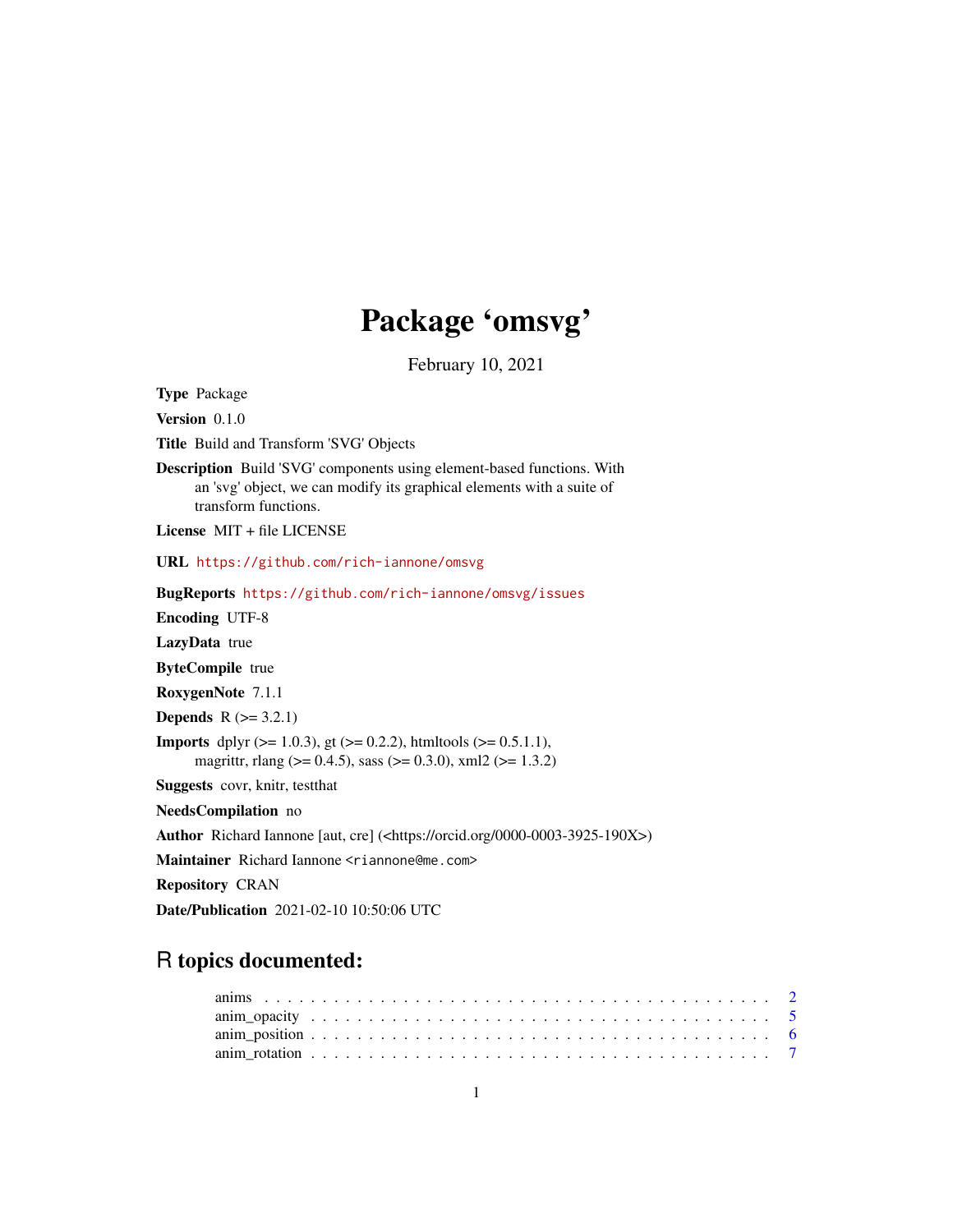# Package 'omsvg'

February 10, 2021

Type Package

Version 0.1.0

Title Build and Transform 'SVG' Objects

Description Build 'SVG' components using element-based functions. With an 'svg' object, we can modify its graphical elements with a suite of transform functions.

License MIT + file LICENSE

URL <https://github.com/rich-iannone/omsvg>

BugReports <https://github.com/rich-iannone/omsvg/issues>

Encoding UTF-8

LazyData true

ByteCompile true

RoxygenNote 7.1.1

**Depends**  $R$  ( $>= 3.2.1$ )

**Imports** dplyr ( $>= 1.0.3$ ), gt ( $>= 0.2.2$ ), htmltools ( $>= 0.5.1.1$ ), magrittr, rlang (>= 0.4.5), sass (>= 0.3.0), xml2 (>= 1.3.2)

Suggests covr, knitr, testthat

NeedsCompilation no

Author Richard Iannone [aut, cre] (<https://orcid.org/0000-0003-3925-190X>)

Maintainer Richard Iannone <riannone@me.com>

Repository CRAN

Date/Publication 2021-02-10 10:50:06 UTC

# R topics documented: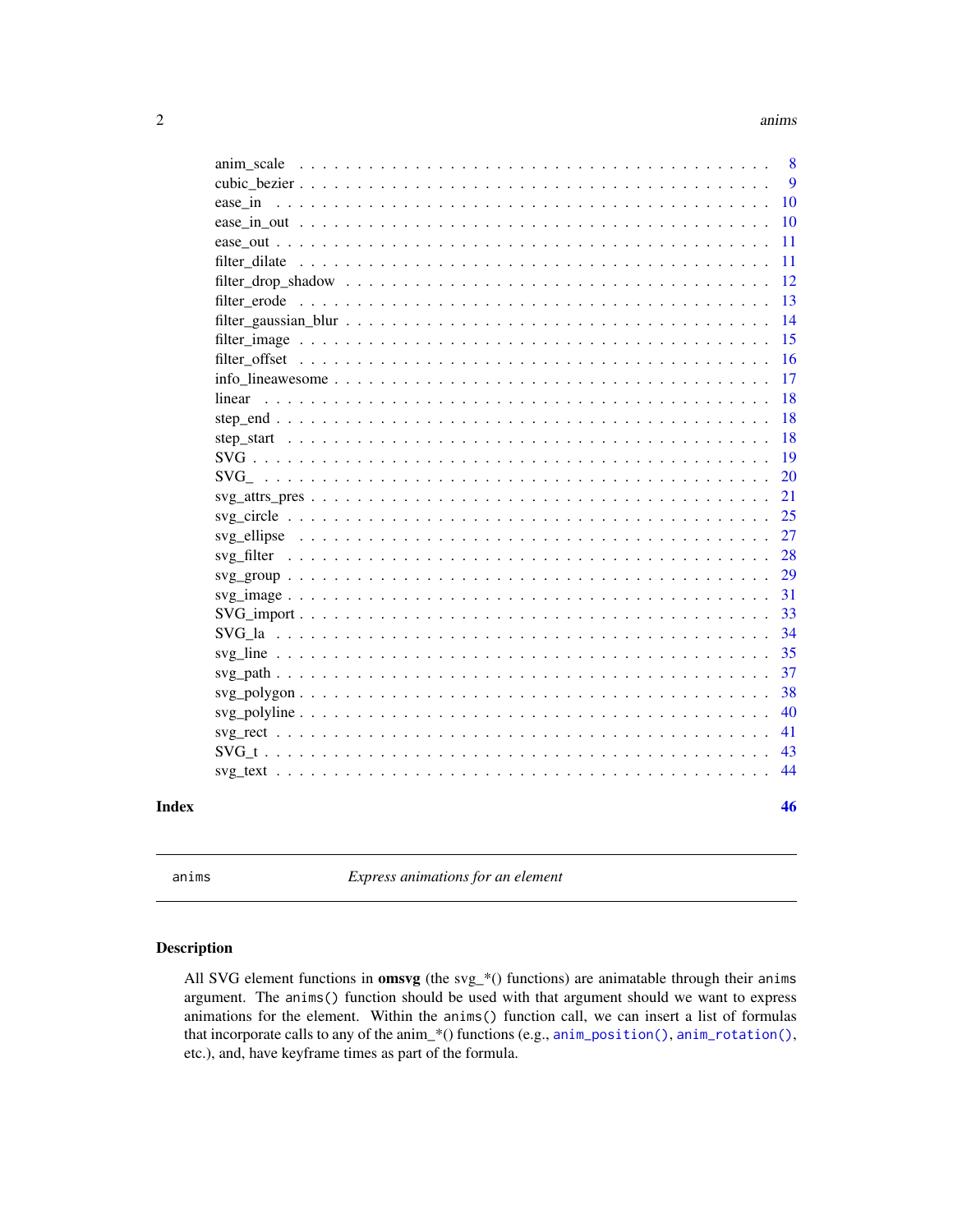<span id="page-1-0"></span>

| Index |               | 46 |
|-------|---------------|----|
|       |               | 44 |
|       |               | 43 |
|       |               | 41 |
|       |               | 40 |
|       |               | 38 |
|       |               | 37 |
|       |               | 35 |
|       |               | 34 |
|       |               | 33 |
|       |               | 31 |
|       |               | 29 |
|       |               | 28 |
|       |               | 27 |
|       |               | 25 |
|       |               | 21 |
|       |               | 20 |
|       |               | 19 |
|       |               | 18 |
|       |               | 18 |
|       | linear        | 18 |
|       |               | 17 |
|       |               | 16 |
|       |               | 15 |
|       |               | 14 |
|       |               | 13 |
|       |               | 12 |
|       | filter dilate | 11 |
|       |               | 11 |
|       |               | 10 |
|       |               | 10 |
|       |               | 9  |
|       |               | 8  |

<span id="page-1-1"></span>anims *Express animations for an element*

# Description

All SVG element functions in **omsvg** (the svg\_\*() functions) are animatable through their anims argument. The anims() function should be used with that argument should we want to express animations for the element. Within the anims() function call, we can insert a list of formulas that incorporate calls to any of the anim\_\*() functions (e.g., [anim\\_position\(\)](#page-5-1), [anim\\_rotation\(\)](#page-6-1), etc.), and, have keyframe times as part of the formula.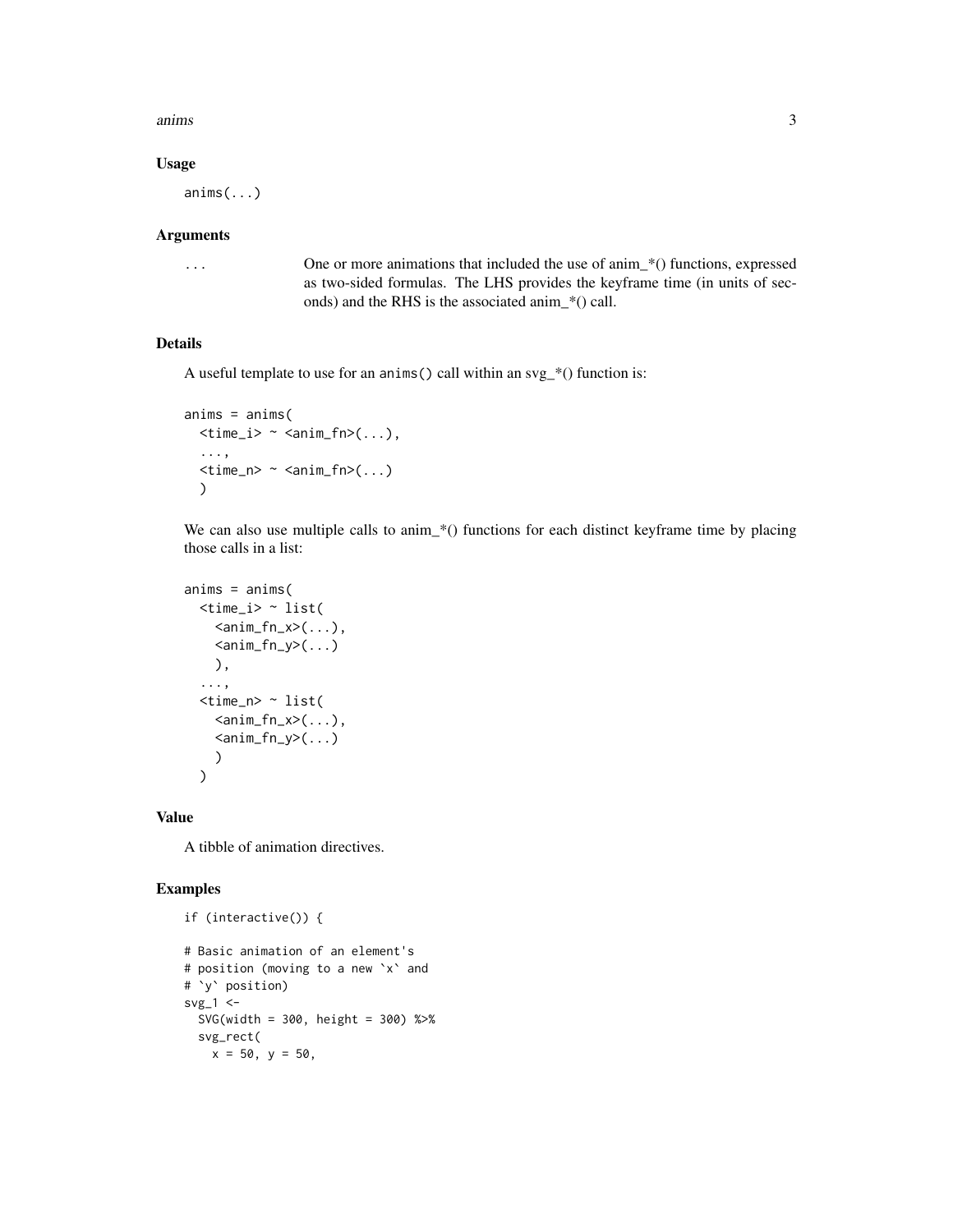anims 3

#### Usage

anims(...)

#### Arguments

... One or more animations that included the use of anim\_\*() functions, expressed as two-sided formulas. The LHS provides the keyframe time (in units of seconds) and the RHS is the associated anim\_\*() call.

# Details

A useful template to use for an anims () call within an  $svg$ <sup>\*</sup>() function is:

```
anims = anims(\timestime_i> \sim \times anim_fn>(...),
  ...,
  \timestime_n> \sim \times anim_fn>(...)
  )
```
We can also use multiple calls to anim\_\*() functions for each distinct keyframe time by placing those calls in a list:

```
anims = anims(<time_i> ~ list(
      \langle \text{anim_fn}_x \rangle( \ldots ),
       \langle \text{anim_fn}_y \rangle(...)
       ),
   ...,
   <time_n> ~ list(
      \langle \text{anim_fn}_x \rangle( \ldots ),
       \langle \text{anim_fn}_y \rangle(...)
       )
   )
```
Value

A tibble of animation directives.

```
if (interactive()) {
# Basic animation of an element's
# position (moving to a new `x` and
# `y` position)
svg_1 <SVG(width = 300, height = 300) %>%
  svg_rect(
   x = 50, y = 50,
```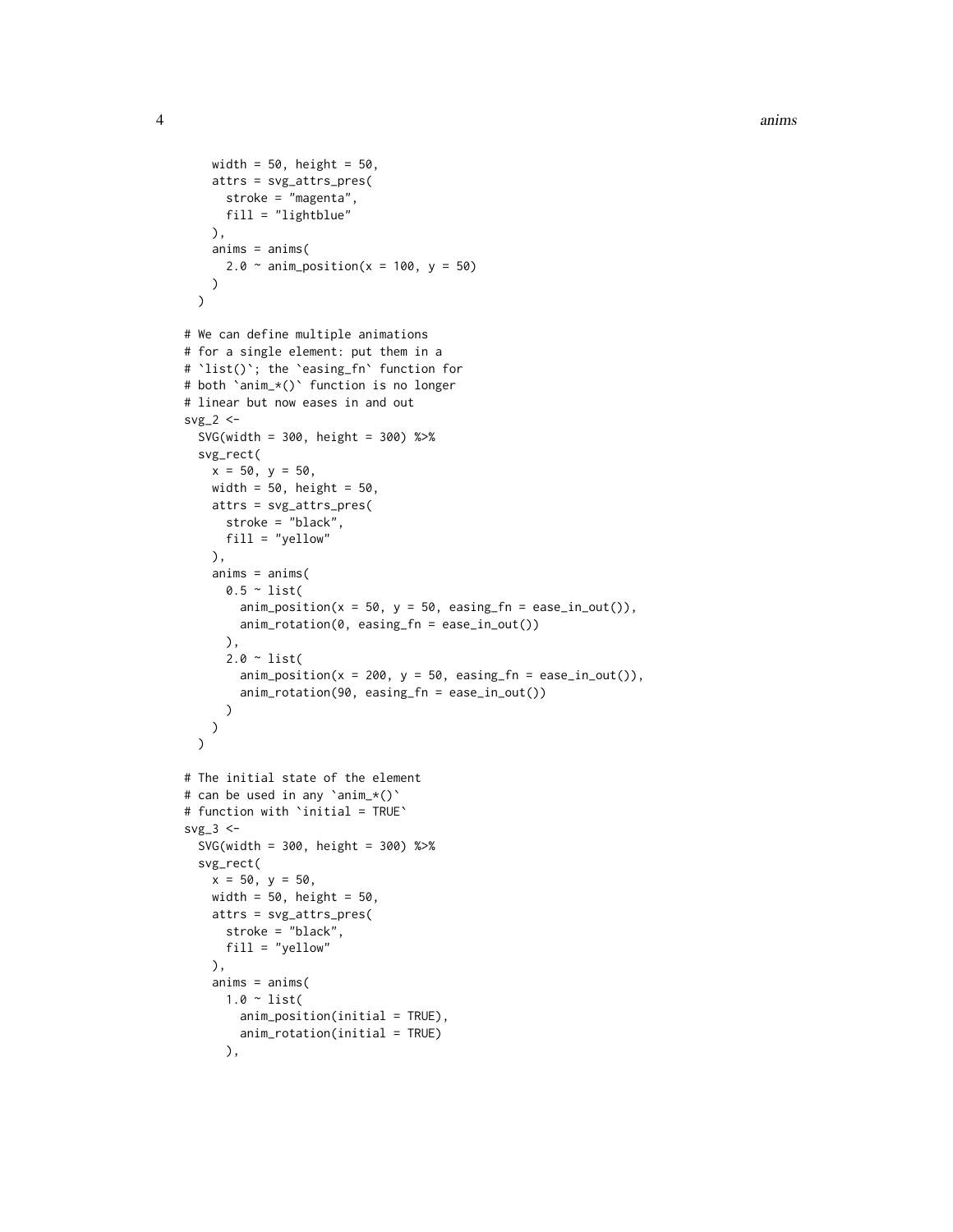```
width = 50, height = 50,
   attrs = svg_attrs_pres(
      stroke = "magenta",
     fill = "lightblue"
   ),
   anims = anims(2.0 \sim anim_position(x = 100, y = 50)
   )
 \lambda# We can define multiple animations
# for a single element: put them in a
# `list()`; the `easing_fn` function for
# both `anim_*()` function is no longer
# linear but now eases in and out
svg_2 < -SVG(width = 300, height = 300) %>%
 svg_rect(
   x = 50, y = 50,
   width = 50, height = 50,
   attrs = svg_attrs_pres(
      stroke = "black",
     fill = "yellow"
   ),
   anims = anims(
      0.5 \sim list(
        \text{anim\_position}(x = 50, y = 50, \text{easing\_fn} = \text{ease\_in\_out}()),anim_rotation(0, easing_fn = ease_in_out())
      ),
      2.0 ~ list(
        \text{anim\_position}(x = 200, y = 50, \text{ easing\_fn} = \text{ease\_in\_out}()),anim_rotation(90, easing_fn = ease_in_out())
      )
   )
 \lambda# The initial state of the element
# can be used in any `anim_*()`
# function with `initial = TRUE`
svg_3 < -SVG(width = 300, height = 300) %>%
 svg_rect(
   x = 50, y = 50,
   width = 50, height = 50,
   attrs = svg_attrs_pres(
      stroke = "black",
      fill = "yellow"
   ),
    anims = anims(1.0 ~ list(
        anim_position(initial = TRUE),
        anim_rotation(initial = TRUE)
      ),
```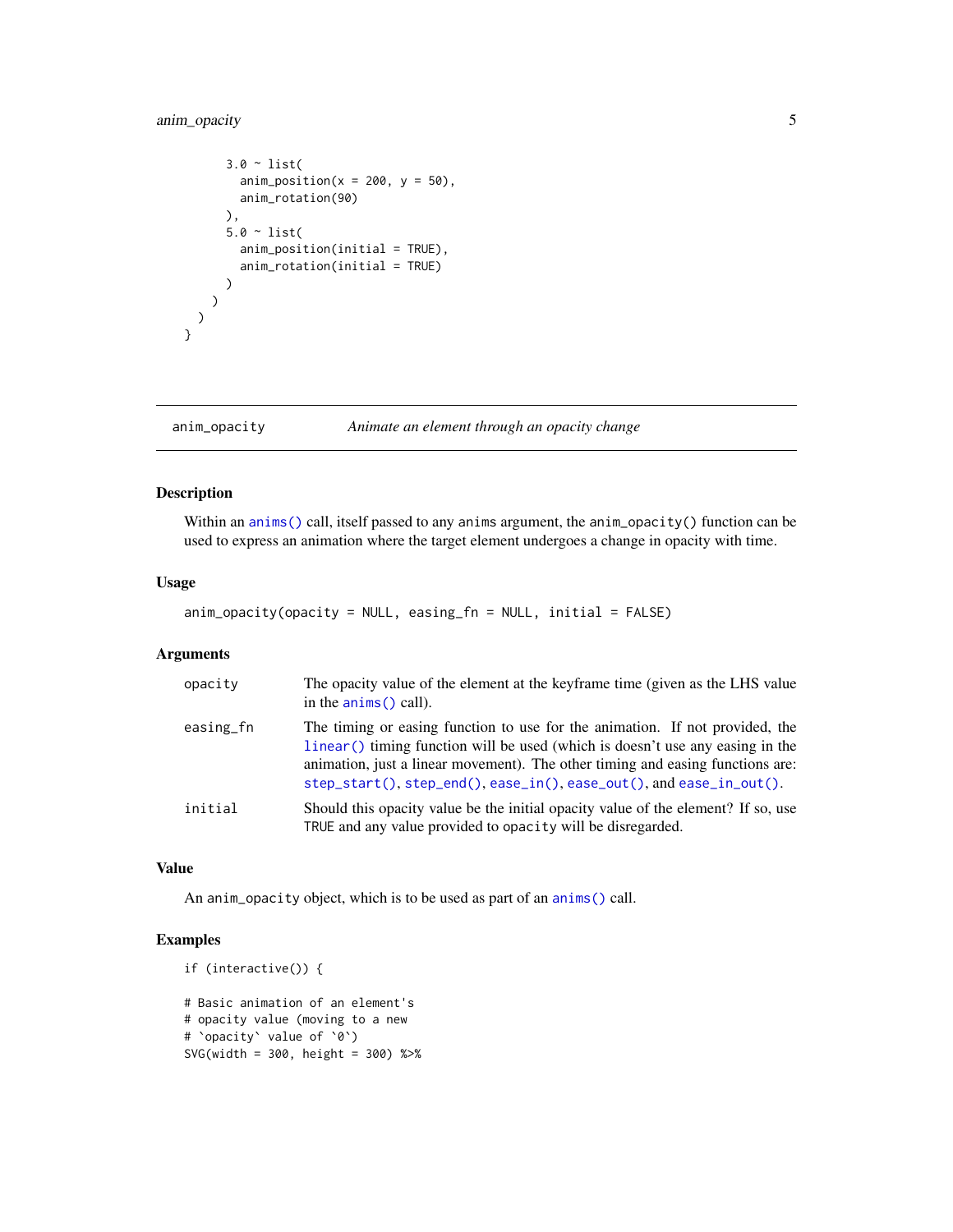# <span id="page-4-0"></span>anim\_opacity 5

```
3.0 ~ list(
      anim_position(x = 200, y = 50),
      anim_rotation(90)
    ),
    5.0 \sim list(
      anim_position(initial = TRUE),
      anim_rotation(initial = TRUE)
    )
 )
\lambda
```
# anim\_opacity *Animate an element through an opacity change*

#### Description

}

Within an [anims\(\)](#page-1-1) call, itself passed to any anims argument, the anim\_opacity() function can be used to express an animation where the target element undergoes a change in opacity with time.

#### Usage

```
anim_opacity(opacity = NULL, easing_fn = NULL, initial = FALSE)
```
# Arguments

| opacity   | The opacity value of the element at the keyframe time (given as the LHS value<br>in the $\text{anims}()$ call).                                                                                                                                                                                                                             |
|-----------|---------------------------------------------------------------------------------------------------------------------------------------------------------------------------------------------------------------------------------------------------------------------------------------------------------------------------------------------|
| easing_fn | The timing or easing function to use for the animation. If not provided, the<br>linear() timing function will be used (which is doesn't use any easing in the<br>animation, just a linear movement). The other timing and easing functions are:<br>$step\_start()$ , $step\_end()$ , $case\_in()$ , $case\_out()$ , and $case\_in\_out()$ . |
| initial   | Should this opacity value be the initial opacity value of the element? If so, use<br>TRUE and any value provided to opacity will be disregarded.                                                                                                                                                                                            |

#### Value

An anim\_opacity object, which is to be used as part of an [anims\(\)](#page-1-1) call.

```
if (interactive()) {
# Basic animation of an element's
# opacity value (moving to a new
# `opacity` value of `0`)
SVG(width = 300, height = 300) %>%
```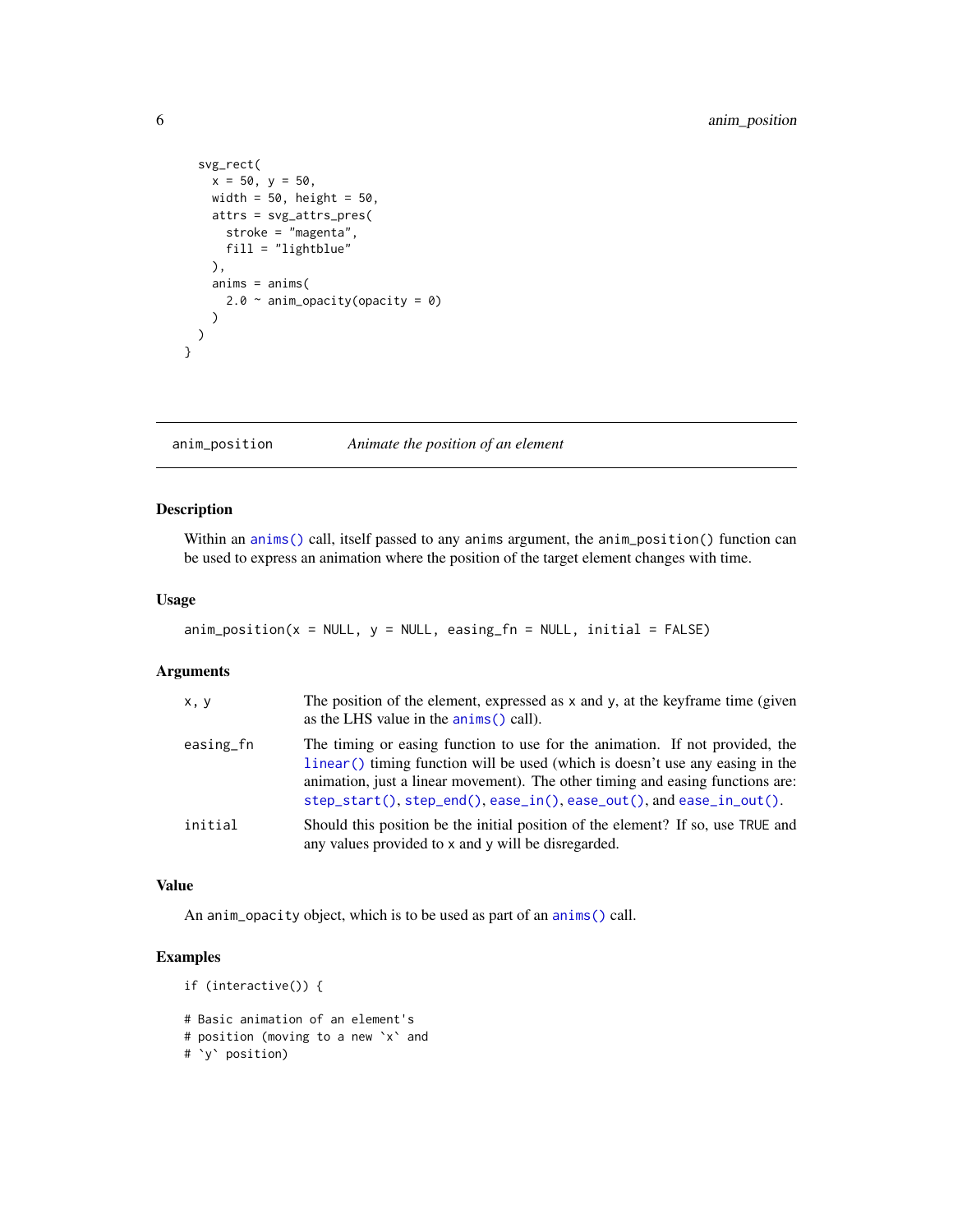```
svg_rect(
   x = 50, y = 50,
   width = 50, height = 50,
   attrs = svg_attrs_pres(
     stroke = "magenta",
     fill = "lightblue"
   ),
   anims = anims(2.0 \sim anim_opacity(opacity = 0)
   )
 )
}
```
<span id="page-5-1"></span>anim\_position *Animate the position of an element*

#### Description

Within an [anims\(\)](#page-1-1) call, itself passed to any anims argument, the anim\_position() function can be used to express an animation where the position of the target element changes with time.

### Usage

```
\text{anim\_position}(x = \text{NULL}, y = \text{NULL}, \text{easing\_fn} = \text{NULL}, \text{initial} = \text{FALSE})
```
# Arguments

| x, y      | The position of the element, expressed as x and y, at the keyframe time (given<br>as the LHS value in the anims () call).                                                                                                                                                                                               |
|-----------|-------------------------------------------------------------------------------------------------------------------------------------------------------------------------------------------------------------------------------------------------------------------------------------------------------------------------|
| easing_fn | The timing or easing function to use for the animation. If not provided, the<br>linear () timing function will be used (which is doesn't use any easing in the<br>animation, just a linear movement). The other timing and easing functions are:<br>step_start(), step_end(), ease_in(), ease_out(), and ease_in_out(). |
| initial   | Should this position be the initial position of the element? If so, use TRUE and<br>any values provided to x and y will be disregarded.                                                                                                                                                                                 |

#### Value

An anim\_opacity object, which is to be used as part of an [anims\(\)](#page-1-1) call.

```
if (interactive()) {
# Basic animation of an element's
# position (moving to a new `x` and
# `y` position)
```
<span id="page-5-0"></span>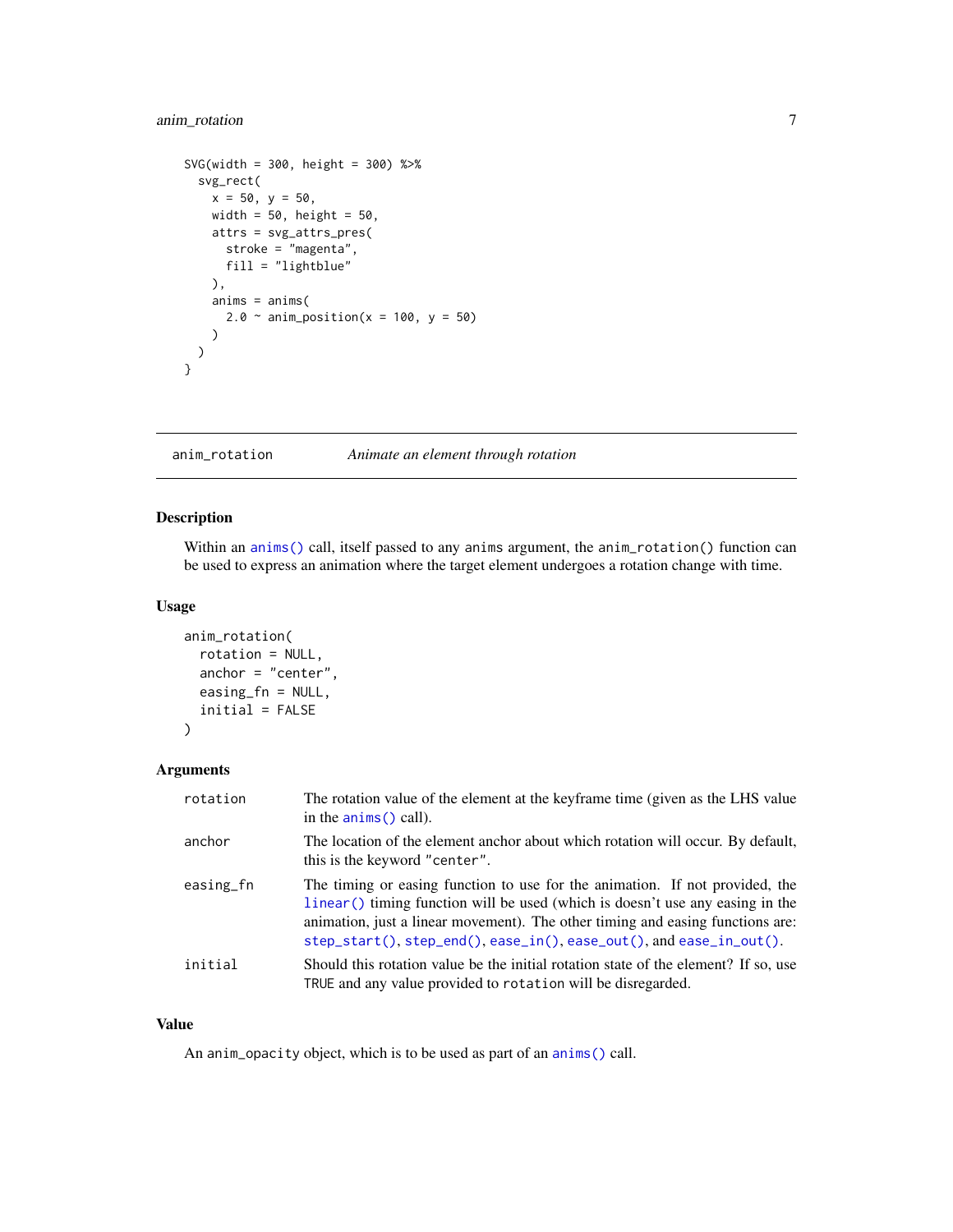# <span id="page-6-0"></span>anim\_rotation 7

```
SVG(width = 300, height = 300) %>%
  svg_rect(
   x = 50, y = 50,width = 50, height = 50,
   attrs = svg_attrs_pres(
     stroke = "magenta",
     fill = "lightblue"
   ),
   anims = anims(2.0 \sim anim_position(x = 100, y = 50)
   )
  )
}
```
<span id="page-6-1"></span>anim\_rotation *Animate an element through rotation*

#### Description

Within an [anims\(\)](#page-1-1) call, itself passed to any anims argument, the anim\_rotation() function can be used to express an animation where the target element undergoes a rotation change with time.

#### Usage

```
anim_rotation(
  rotation = NULL,
  anchor = "center",
  easing_fn = NULL,
  initial = FALSE
)
```
# Arguments

| rotation  | The rotation value of the element at the keyframe time (given as the LHS value<br>in the $\text{anims}()$ call).                                                                                                                                                                                                                             |
|-----------|----------------------------------------------------------------------------------------------------------------------------------------------------------------------------------------------------------------------------------------------------------------------------------------------------------------------------------------------|
| anchor    | The location of the element anchor about which rotation will occur. By default,<br>this is the keyword "center".                                                                                                                                                                                                                             |
| easing_fn | The timing or easing function to use for the animation. If not provided, the<br>linear () timing function will be used (which is doesn't use any easing in the<br>animation, just a linear movement). The other timing and easing functions are:<br>$step\_start()$ , $step\_end()$ , $case\_in()$ , $case\_out()$ , and $case\_in\_out()$ . |
| initial   | Should this rotation value be the initial rotation state of the element? If so, use<br>TRUE and any value provided to rotation will be disregarded.                                                                                                                                                                                          |

#### Value

An anim\_opacity object, which is to be used as part of an [anims\(\)](#page-1-1) call.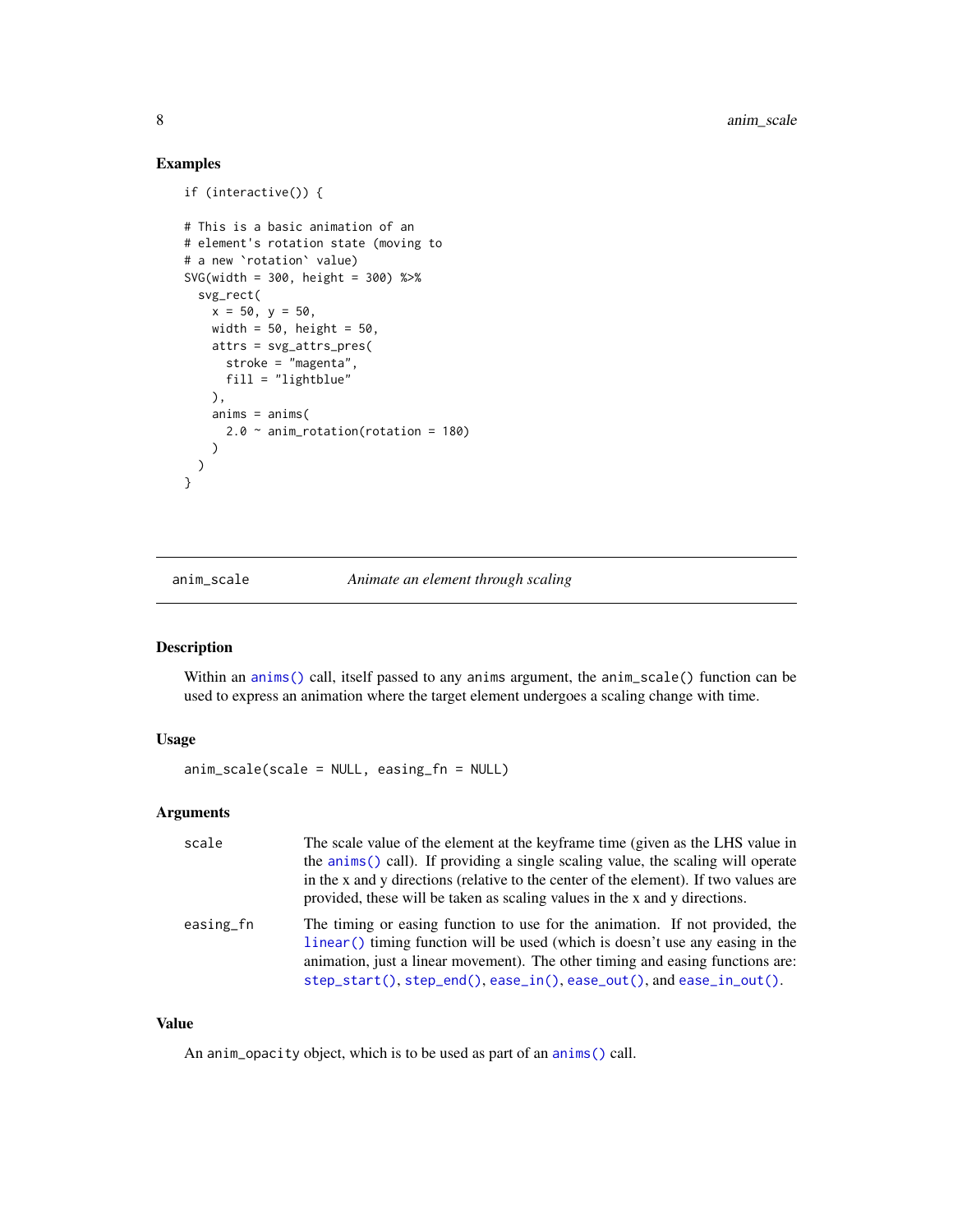# Examples

```
if (interactive()) {
# This is a basic animation of an
# element's rotation state (moving to
# a new `rotation` value)
SVG(width = 300, height = 300) %>%
  svg_rect(
   x = 50, y = 50,width = 50, height = 50,
   attrs = svg_attrs_pres(
     stroke = "magenta",
     fill = "lightblue"
   ),
   anims = anims(2.0 ~ anim_rotation(rotation = 180)
   )
 \lambda}
```
anim\_scale *Animate an element through scaling*

# Description

Within an [anims\(\)](#page-1-1) call, itself passed to any anims argument, the anim\_scale() function can be used to express an animation where the target element undergoes a scaling change with time.

#### Usage

anim\_scale(scale = NULL, easing\_fn = NULL)

### Arguments

| scale     | The scale value of the element at the keyframe time (given as the LHS value in<br>the anims () call). If providing a single scaling value, the scaling will operate<br>in the x and y directions (relative to the center of the element). If two values are<br>provided, these will be taken as scaling values in the x and y directions.   |
|-----------|---------------------------------------------------------------------------------------------------------------------------------------------------------------------------------------------------------------------------------------------------------------------------------------------------------------------------------------------|
| easing_fn | The timing or easing function to use for the animation. If not provided, the<br>linear () timing function will be used (which is doesn't use any easing in the<br>animation, just a linear movement). The other timing and easing functions are:<br>$step\_start()$ , $step\_end()$ , $case\_in()$ , $case\_out()$ , and $ease_in\_out()$ . |

### Value

An anim\_opacity object, which is to be used as part of an [anims\(\)](#page-1-1) call.

<span id="page-7-0"></span>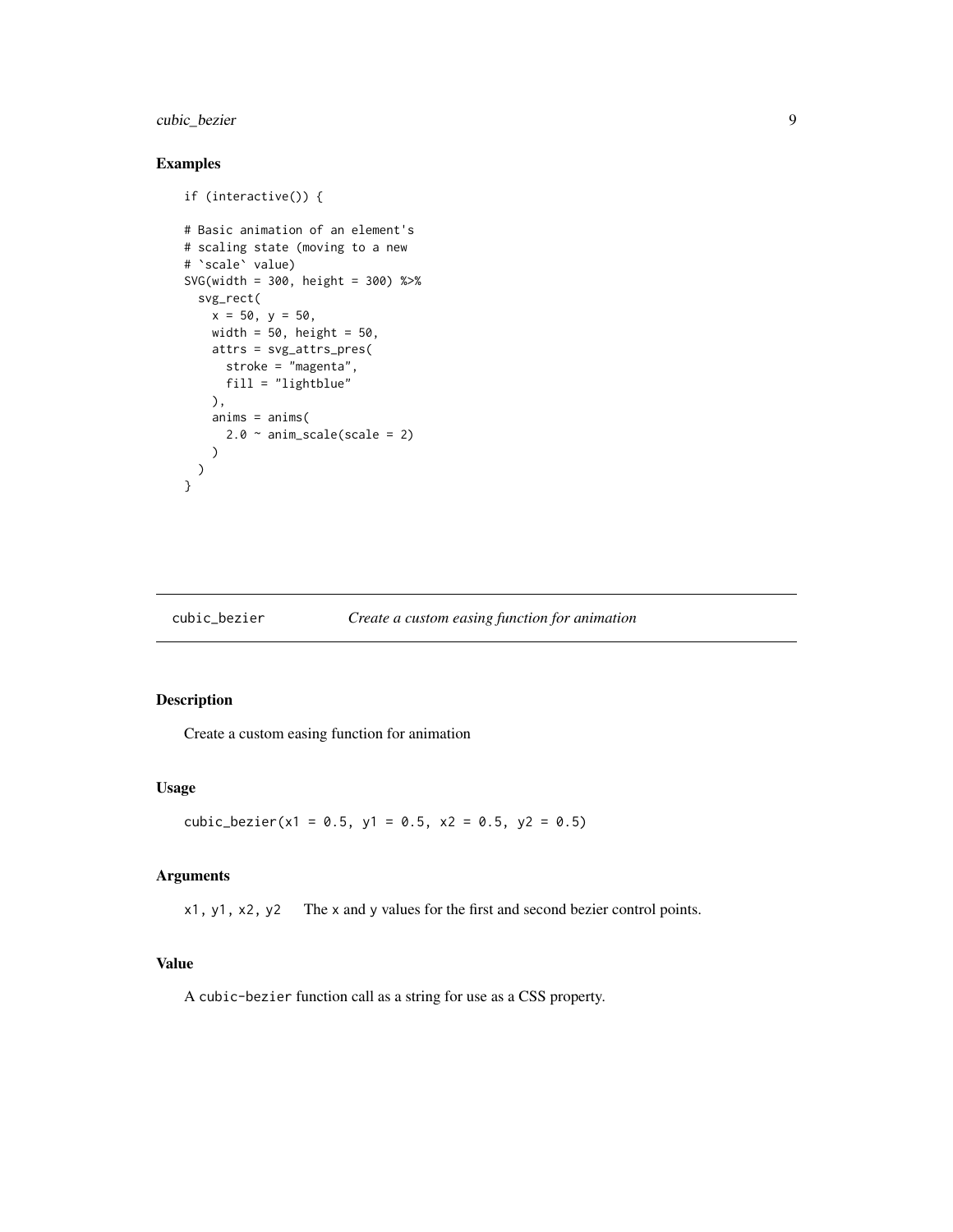# <span id="page-8-0"></span>cubic\_bezier 9

# Examples

```
if (interactive()) {
# Basic animation of an element's
# scaling state (moving to a new
# `scale` value)
SVG(width = 300, height = 300) %>%
  svg_rect(
   x = 50, y = 50,
   width = 50, height = 50,
   attrs = svg_attrs_pres(
     stroke = "magenta",
     fill = "lightblue"
   ),
   anims = anims(2.0 \sim anim_scale(scale = 2)
   )
 )
}
```
#### cubic\_bezier *Create a custom easing function for animation*

# Description

Create a custom easing function for animation

#### Usage

cubic\_bezier(x1 =  $0.5$ , y1 =  $0.5$ , x2 =  $0.5$ , y2 =  $0.5$ )

#### Arguments

x1, y1, x2, y2 The x and y values for the first and second bezier control points.

#### Value

A cubic-bezier function call as a string for use as a CSS property.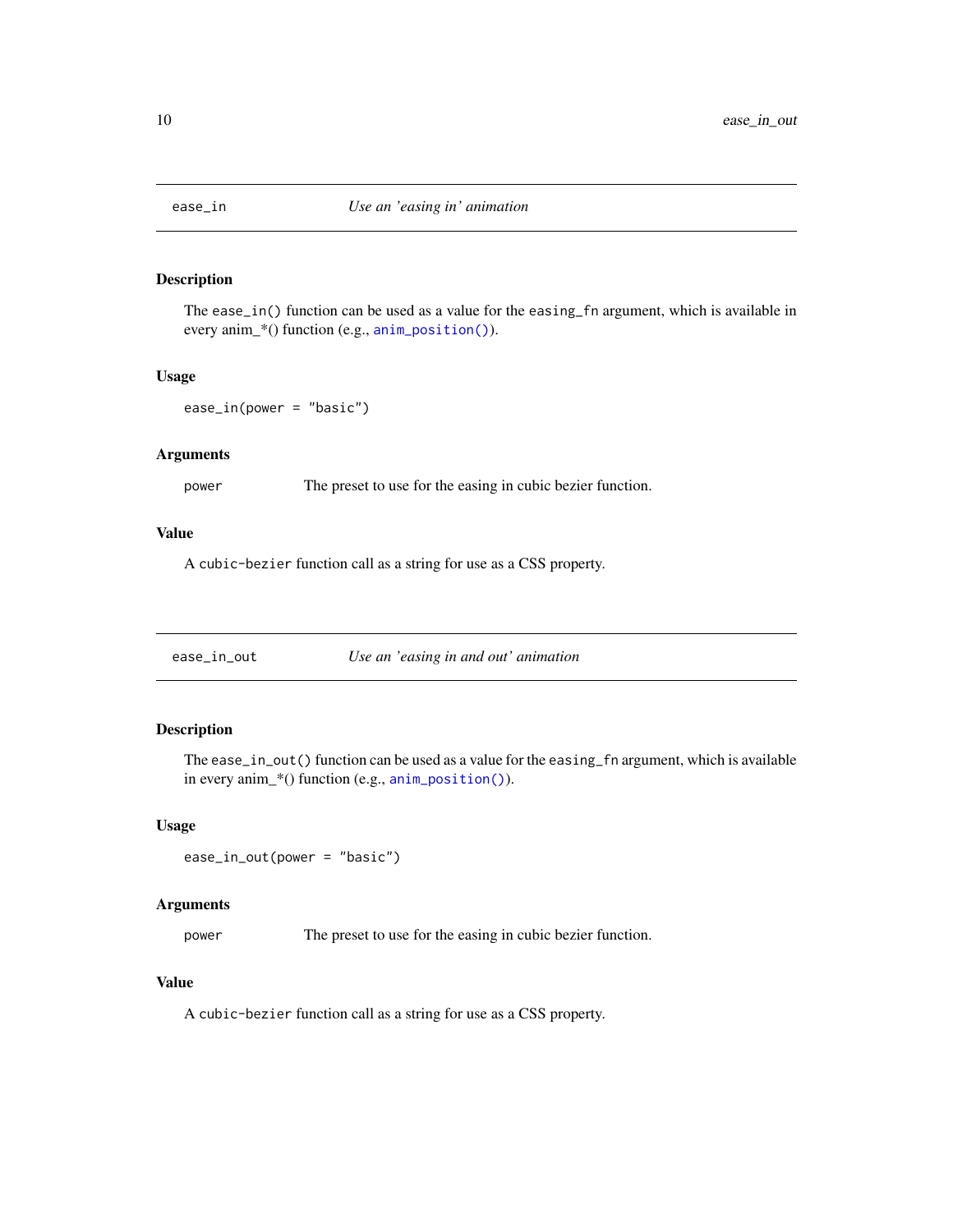<span id="page-9-1"></span><span id="page-9-0"></span>

# Description

The ease\_in() function can be used as a value for the easing\_fn argument, which is available in every anim\_\*() function (e.g., [anim\\_position\(\)](#page-5-1)).

#### Usage

```
ease_in(power = "basic")
```
#### Arguments

power The preset to use for the easing in cubic bezier function.

#### Value

A cubic-bezier function call as a string for use as a CSS property.

<span id="page-9-2"></span>

#### Description

The ease\_in\_out() function can be used as a value for the easing\_fn argument, which is available in every anim\_\*() function (e.g., [anim\\_position\(\)](#page-5-1)).

#### Usage

```
ease_in_out(power = "basic")
```
#### Arguments

power The preset to use for the easing in cubic bezier function.

#### Value

A cubic-bezier function call as a string for use as a CSS property.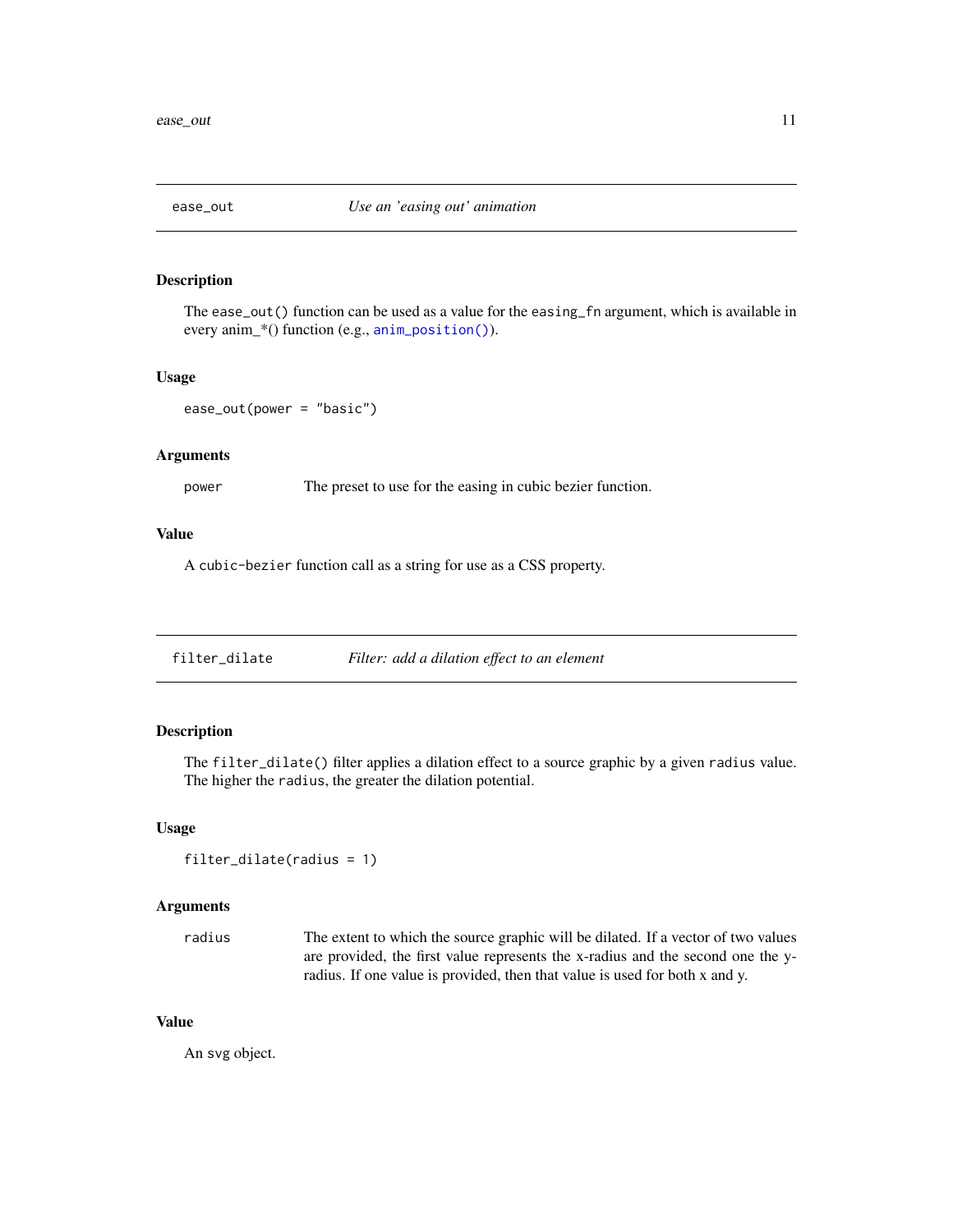<span id="page-10-1"></span><span id="page-10-0"></span>

#### Description

The ease\_out() function can be used as a value for the easing\_fn argument, which is available in every anim\_\*() function (e.g., [anim\\_position\(\)](#page-5-1)).

#### Usage

ease\_out(power = "basic")

#### Arguments

power The preset to use for the easing in cubic bezier function.

#### Value

A cubic-bezier function call as a string for use as a CSS property.

filter\_dilate *Filter: add a dilation effect to an element*

# Description

The filter\_dilate() filter applies a dilation effect to a source graphic by a given radius value. The higher the radius, the greater the dilation potential.

#### Usage

```
filter_dilate(radius = 1)
```
#### Arguments

radius The extent to which the source graphic will be dilated. If a vector of two values are provided, the first value represents the x-radius and the second one the yradius. If one value is provided, then that value is used for both x and y.

#### Value

An svg object.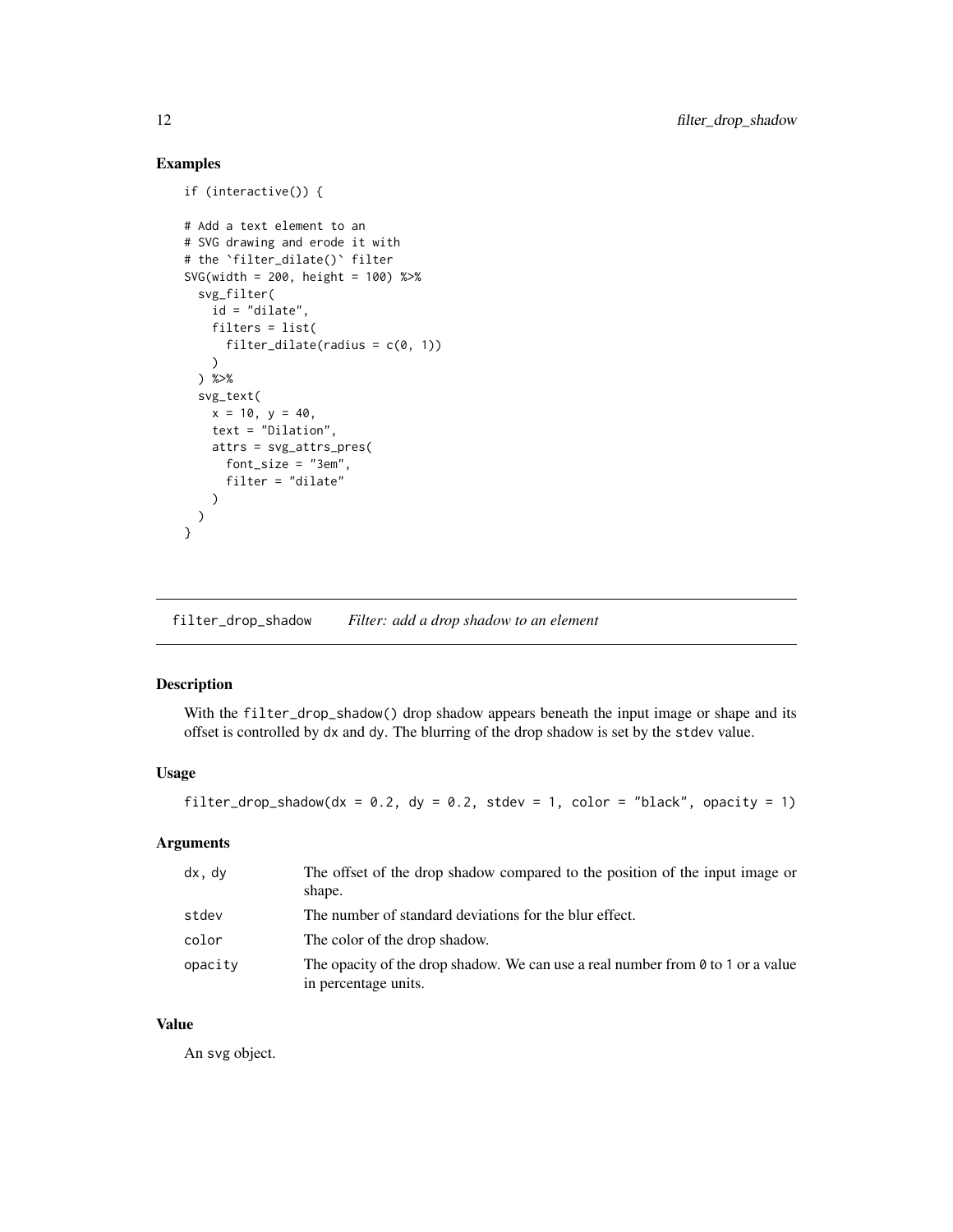# Examples

```
if (interactive()) {
# Add a text element to an
# SVG drawing and erode it with
# the `filter_dilate()` filter
SVG(width = 200, height = 100) %>%
  svg_filter(
   id = "dilate",
   filters = list(
      filter_dilate(radius = c(\emptyset, 1))
   )
  ) %>%
  svg_text(
   x = 10, y = 40,text = "Dilation",
   attrs = svg_attrs_pres(
      font_size = "3em",
      filter = "dilate"
   )
 )
}
```
filter\_drop\_shadow *Filter: add a drop shadow to an element*

# Description

With the filter\_drop\_shadow() drop shadow appears beneath the input image or shape and its offset is controlled by dx and dy. The blurring of the drop shadow is set by the stdev value.

#### Usage

```
filter_drop_shadow(dx = 0.2, dy = 0.2, stdev = 1, color = "black", opacity = 1)
```
# Arguments

| dx, dy  | The offset of the drop shadow compared to the position of the input image or<br>shape.                         |
|---------|----------------------------------------------------------------------------------------------------------------|
| stdev   | The number of standard deviations for the blur effect.                                                         |
| color   | The color of the drop shadow.                                                                                  |
| opacity | The opacity of the drop shadow. We can use a real number from $\theta$ to 1 or a value<br>in percentage units. |

# Value

An svg object.

<span id="page-11-0"></span>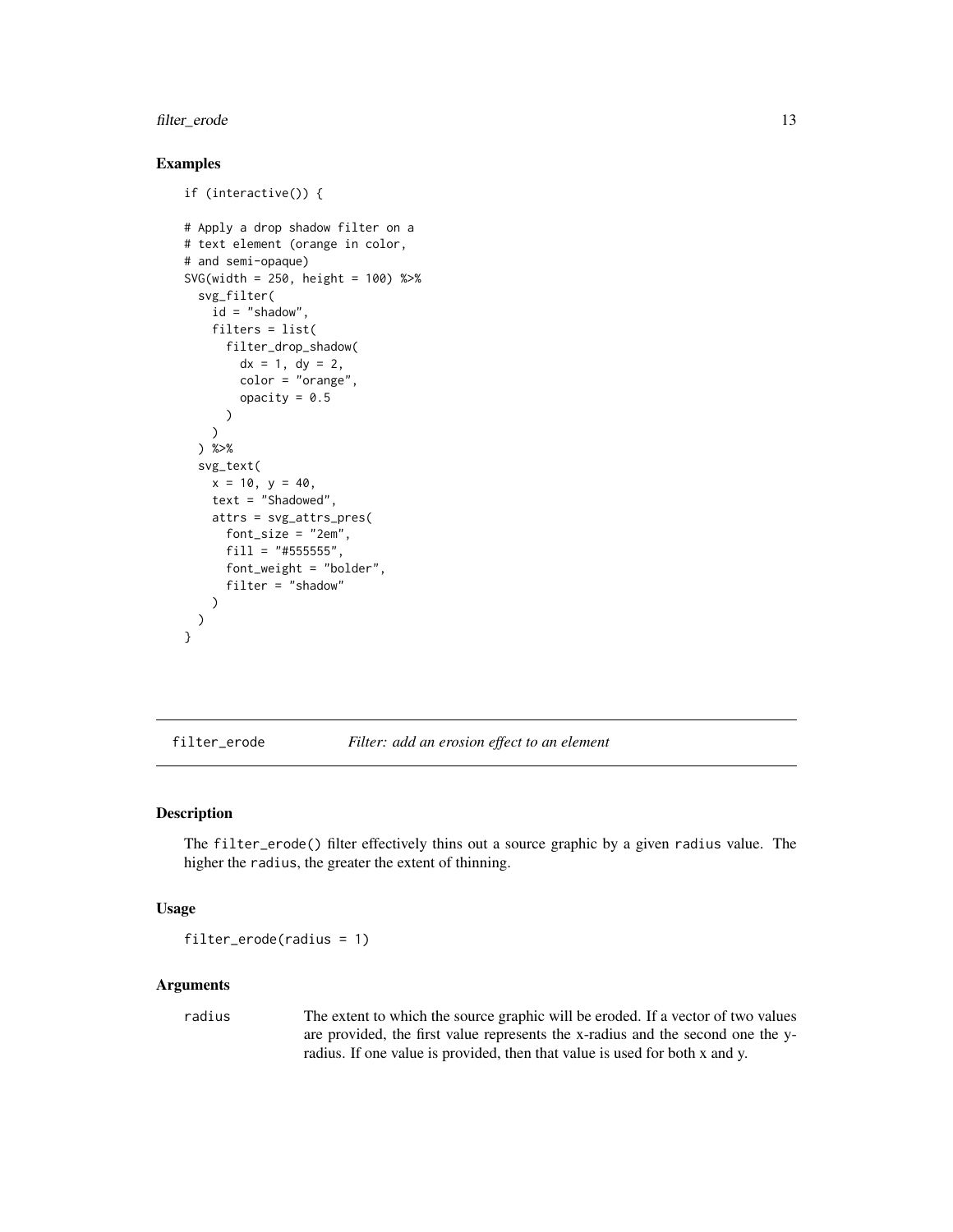# <span id="page-12-0"></span>filter\_erode 13

# Examples

```
if (interactive()) {
# Apply a drop shadow filter on a
# text element (orange in color,
# and semi-opaque)
SVG(width = 250, height = 100) %>%
  svg_filter(
    id = "shadow",filters = list(
     filter_drop_shadow(
        dx = 1, dy = 2,
        color = "orange",
        opacity = 0.5)
   )
  ) %>%
  svg_text(
   x = 10, y = 40,text = "Shadowed",
   attrs = svg_attrs_pres(
      font_size = "2em",
      fill = "#555555",
      font_weight = "bolder",
      filter = "shadow"
    )
 )
}
```
filter\_erode *Filter: add an erosion effect to an element*

#### Description

The filter\_erode() filter effectively thins out a source graphic by a given radius value. The higher the radius, the greater the extent of thinning.

#### Usage

```
filter_erode(radius = 1)
```
#### Arguments

radius The extent to which the source graphic will be eroded. If a vector of two values are provided, the first value represents the x-radius and the second one the yradius. If one value is provided, then that value is used for both x and y.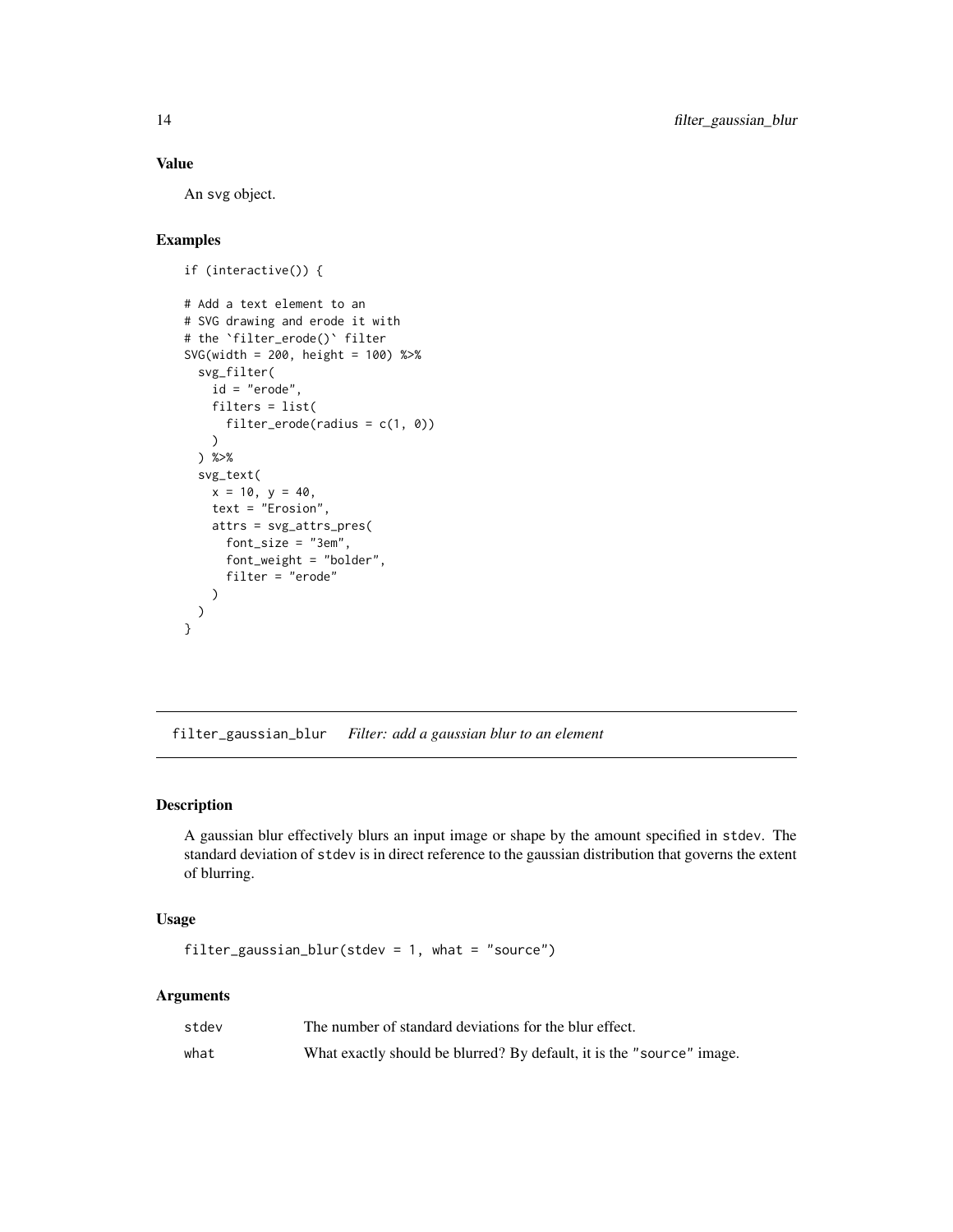#### <span id="page-13-0"></span>Value

An svg object.

# Examples

```
if (interactive()) {
# Add a text element to an
# SVG drawing and erode it with
# the `filter_erode()` filter
SVG(width = 200, height = 100) %>%
  svg_filter(
   id = "erode",
   filters = list(
      filter_erode(radius = c(1, 0))
   \lambda) %>%
  svg_text(
   x = 10, y = 40,text = "Erosion",
   attrs = svg_attrs_pres(
     font_size = "3em",
      font_weight = "bolder",
      filter = "erode"
   )
 )
}
```
<span id="page-13-1"></span>filter\_gaussian\_blur *Filter: add a gaussian blur to an element*

# Description

A gaussian blur effectively blurs an input image or shape by the amount specified in stdev. The standard deviation of stdev is in direct reference to the gaussian distribution that governs the extent of blurring.

#### Usage

```
filter_gaussian_blur(stdev = 1, what = "source")
```

| stdev | The number of standard deviations for the blur effect.                |
|-------|-----------------------------------------------------------------------|
| what  | What exactly should be blurred? By default, it is the "source" image. |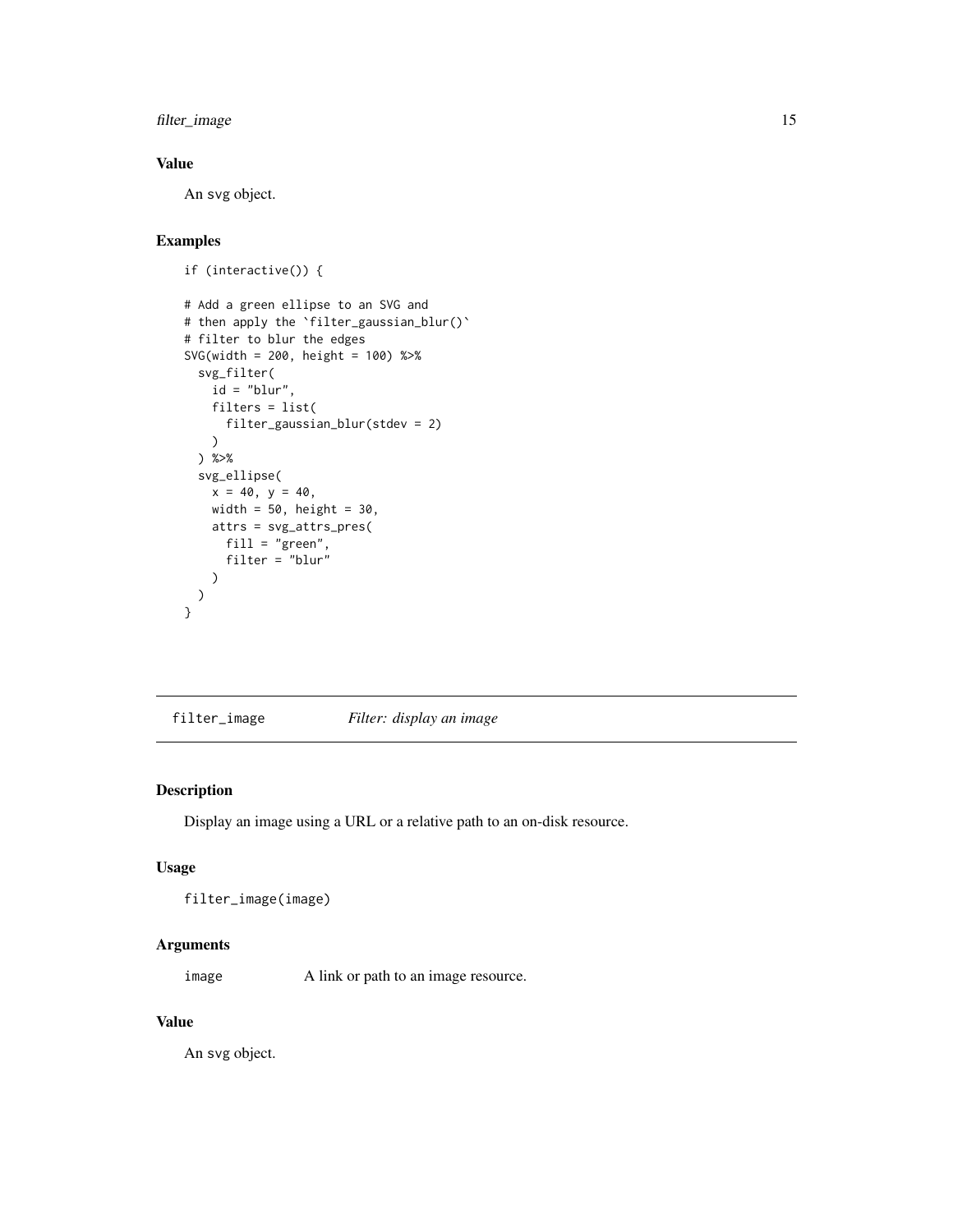<span id="page-14-0"></span>filter\_image 15

# Value

An svg object.

# Examples

```
if (interactive()) {
# Add a green ellipse to an SVG and
# then apply the `filter_gaussian_blur()`
# filter to blur the edges
SVG(width = 200, height = 100) %>%
  svg_filter(
   id = "blur",filters = list(
     filter_gaussian_blur(stdev = 2)
   )
  ) %>%
  svg_ellipse(
    x = 40, y = 40,width = 50, height = 30,
   attrs = svg_attrs_pres(
     fill = "green",
     filter = "blur"
   )
 )
}
```
<span id="page-14-1"></span>filter\_image *Filter: display an image*

#### Description

Display an image using a URL or a relative path to an on-disk resource.

#### Usage

```
filter_image(image)
```
#### Arguments

image A link or path to an image resource.

#### Value

An svg object.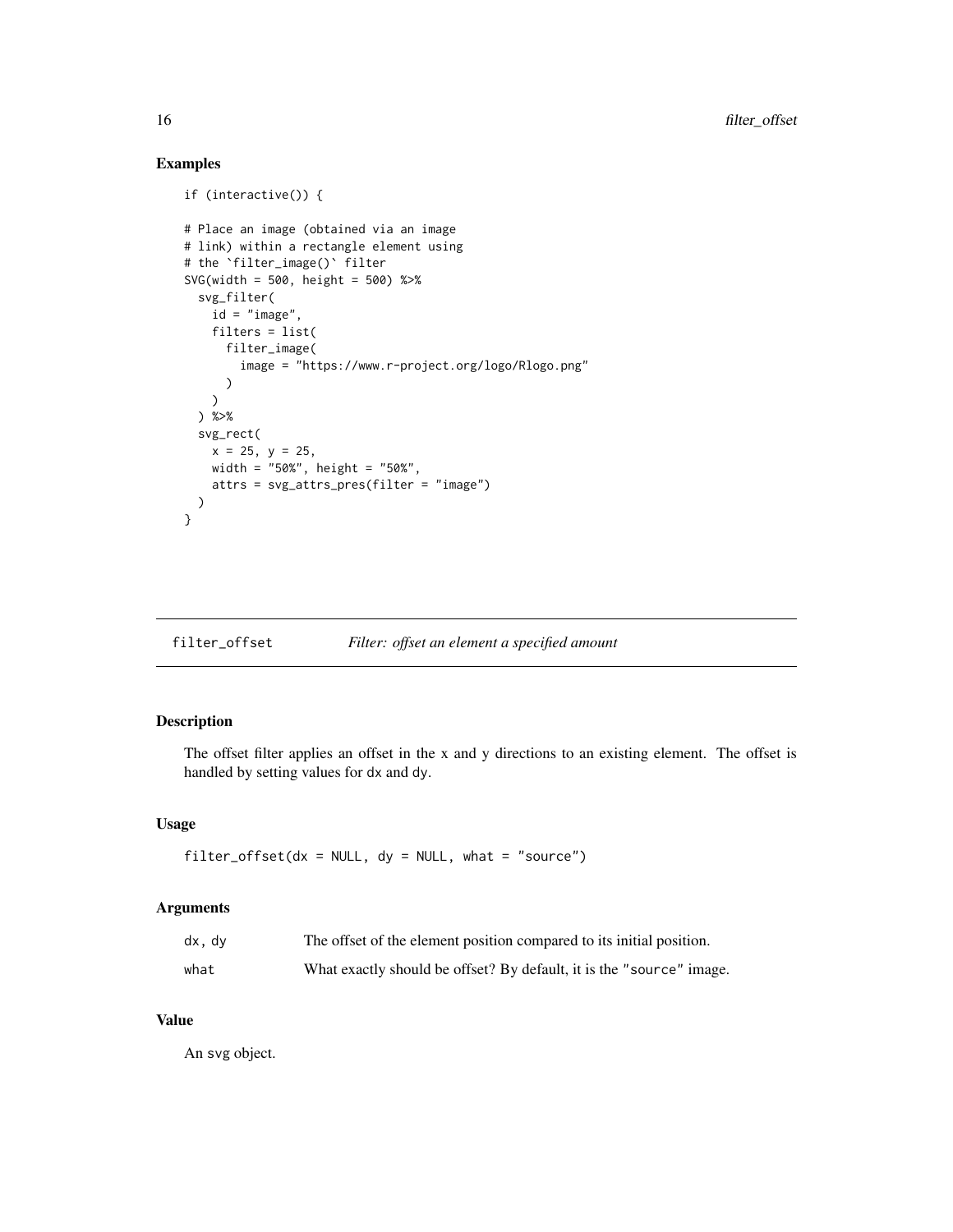# Examples

```
if (interactive()) {
# Place an image (obtained via an image
# link) within a rectangle element using
# the `filter_image()` filter
SVG(width = 500, height = 500) %>%
  svg_filter(
   id = "image",
   filters = list(
      filter_image(
        image = "https://www.r-project.org/logo/Rlogo.png"
      )
   \lambda) %>%
  svg_rect(
   x = 25, y = 25,
   width = "50%", height = "50%",
   attrs = svg_attrs_pres(filter = "image")
  )
}
```
# filter\_offset *Filter: offset an element a specified amount*

# Description

The offset filter applies an offset in the x and y directions to an existing element. The offset is handled by setting values for dx and dy.

#### Usage

```
filter_ofset(dx = NULL, dy = NULL, what = "source")
```
#### Arguments

| dx, dv | The offset of the element position compared to its initial position. |
|--------|----------------------------------------------------------------------|
| what   | What exactly should be offset? By default, it is the "source" image. |

#### Value

An svg object.

<span id="page-15-0"></span>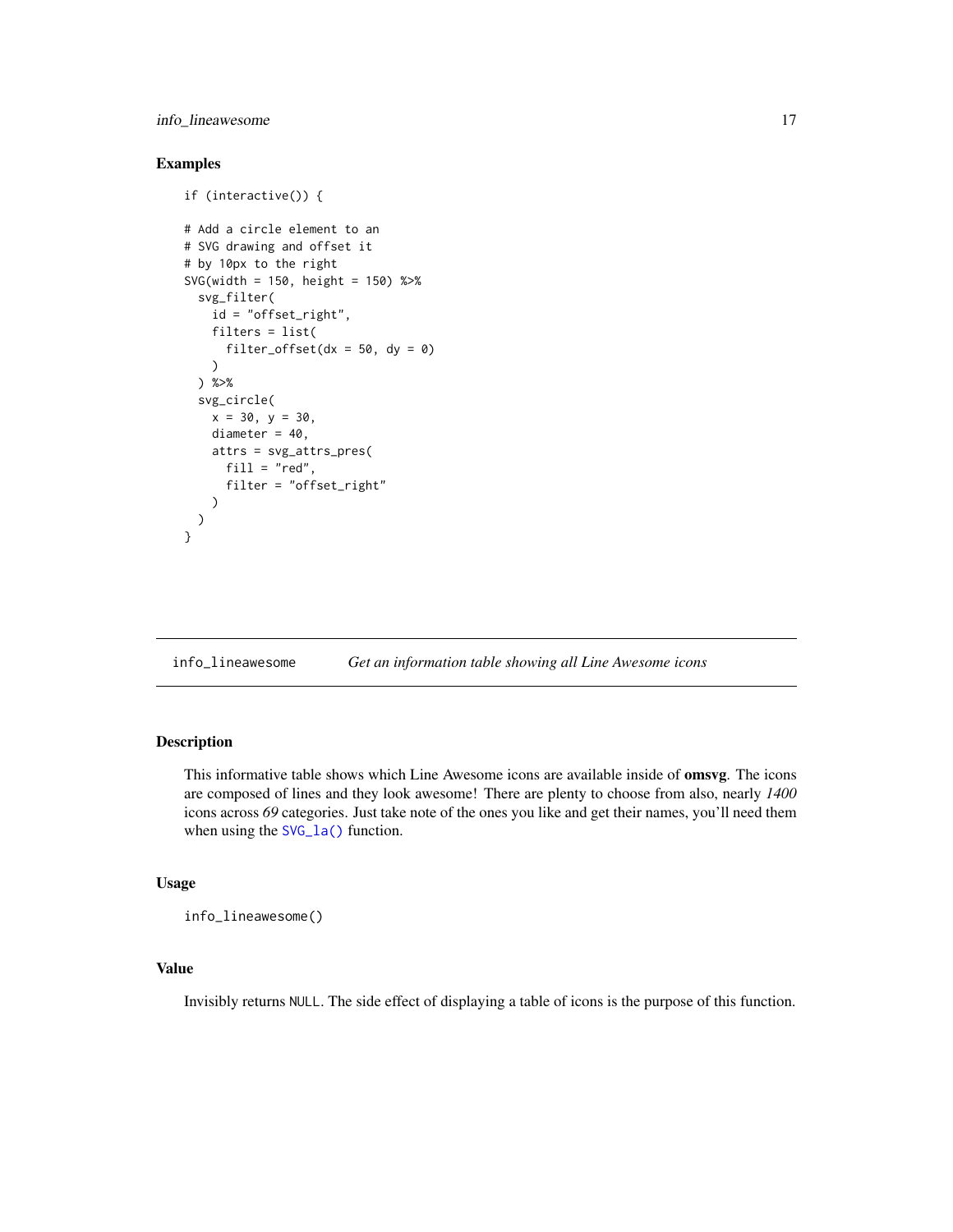# <span id="page-16-0"></span>info\_lineawesome 17

#### Examples

```
if (interactive()) {
# Add a circle element to an
# SVG drawing and offset it
# by 10px to the right
SVG(width = 150, height = 150) %>%
 svg_filter(
    id = "offset_right",
   filters = list(
      filter_offset(dx = 50, dy = 0)
   \lambda) %>%
 svg_circle(
   x = 30, y = 30,diameter = 40,
   attrs = svg_attrs_pres(
      fill = "red",filter = "offset_right"
   )
 )
}
```
info\_lineawesome *Get an information table showing all Line Awesome icons*

# Description

This informative table shows which Line Awesome icons are available inside of omsvg. The icons are composed of lines and they look awesome! There are plenty to choose from also, nearly *1400* icons across *69* categories. Just take note of the ones you like and get their names, you'll need them when using the [SVG\\_la\(\)](#page-33-1) function.

#### Usage

info\_lineawesome()

# Value

Invisibly returns NULL. The side effect of displaying a table of icons is the purpose of this function.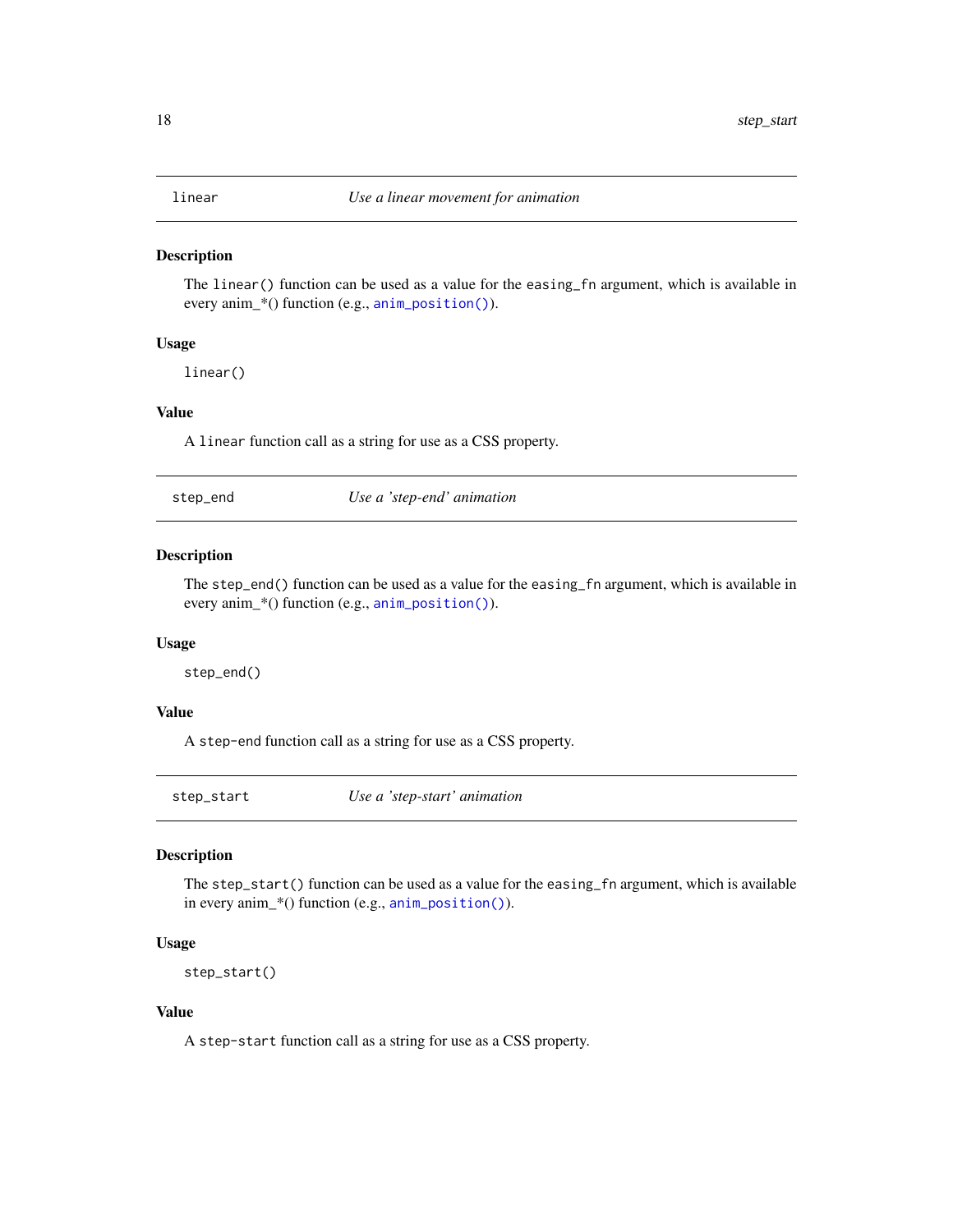<span id="page-17-1"></span><span id="page-17-0"></span>

#### Description

The linear() function can be used as a value for the easing\_fn argument, which is available in every anim\_\*() function (e.g., [anim\\_position\(\)](#page-5-1)).

# Usage

linear()

# Value

A linear function call as a string for use as a CSS property.

<span id="page-17-3"></span>step\_end *Use a 'step-end' animation*

#### Description

The step\_end() function can be used as a value for the easing\_fn argument, which is available in every anim\_\*() function (e.g., [anim\\_position\(\)](#page-5-1)).

#### Usage

step\_end()

#### Value

A step-end function call as a string for use as a CSS property.

<span id="page-17-2"></span>step\_start *Use a 'step-start' animation*

# Description

The step\_start() function can be used as a value for the easing\_fn argument, which is available in every anim\_\*() function (e.g., [anim\\_position\(\)](#page-5-1)).

#### Usage

```
step_start()
```
#### Value

A step-start function call as a string for use as a CSS property.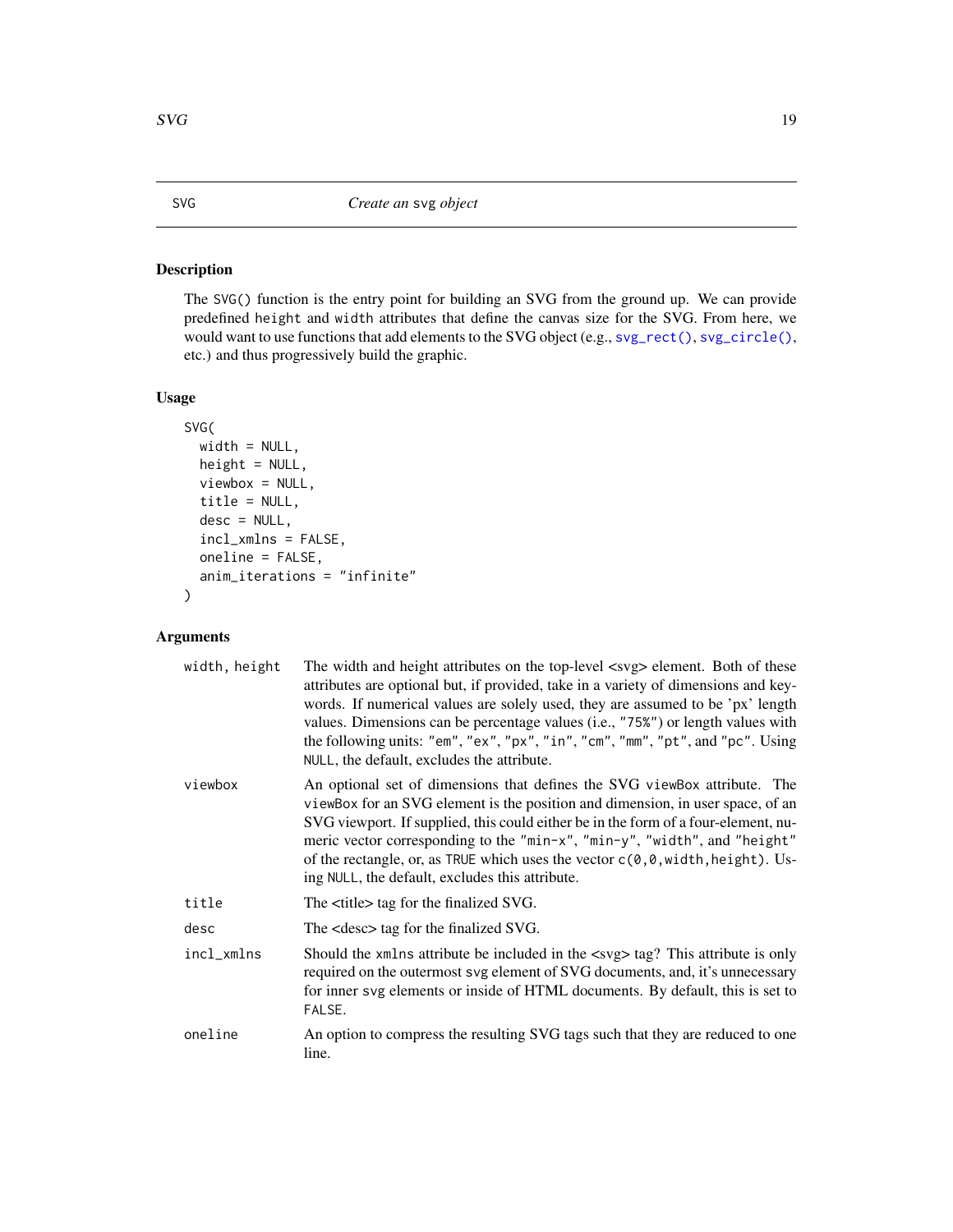# <span id="page-18-1"></span><span id="page-18-0"></span>Description

The SVG() function is the entry point for building an SVG from the ground up. We can provide predefined height and width attributes that define the canvas size for the SVG. From here, we would want to use functions that add elements to the SVG object (e.g., [svg\\_rect\(\)](#page-40-1), [svg\\_circle\(\)](#page-24-1), etc.) and thus progressively build the graphic.

#### Usage

```
SVG(
  width = NULL,
  height = NULL,viewbox = NULL,
  title = NULL,
  desc = NULL,incl_xmlns = FALSE,
  oneline = FALSE,
  anim_iterations = "infinite"
)
```

| width, height | The width and height attributes on the top-level <svg> element. Both of these<br/>attributes are optional but, if provided, take in a variety of dimensions and key-<br/>words. If numerical values are solely used, they are assumed to be 'px' length<br/>values. Dimensions can be percentage values (i.e., "75%") or length values with<br/>the following units: "em", "ex", "px", "in", "cm", "mm", "pt", and "pc". Using<br/>NULL, the default, excludes the attribute.</svg> |
|---------------|-------------------------------------------------------------------------------------------------------------------------------------------------------------------------------------------------------------------------------------------------------------------------------------------------------------------------------------------------------------------------------------------------------------------------------------------------------------------------------------|
| viewbox       | An optional set of dimensions that defines the SVG viewBox attribute. The<br>viewBox for an SVG element is the position and dimension, in user space, of an<br>SVG viewport. If supplied, this could either be in the form of a four-element, nu-<br>meric vector corresponding to the "min-x", "min-y", "width", and "height"<br>of the rectangle, or, as TRUE which uses the vector $c(0,0,width, height)$ . Us-<br>ing NULL, the default, excludes this attribute.               |
| title         | The <title> tag for the finalized SVG.</title>                                                                                                                                                                                                                                                                                                                                                                                                                                      |
| desc          | The <desc> tag for the finalized SVG.</desc>                                                                                                                                                                                                                                                                                                                                                                                                                                        |
| incl_xmlns    | Should the xmlns attribute be included in the <svg> tag? This attribute is only<br/>required on the outermost svg element of SVG documents, and, it's unnecessary<br/>for inner svg elements or inside of HTML documents. By default, this is set to<br/>FALSE.</svg>                                                                                                                                                                                                               |
| oneline       | An option to compress the resulting SVG tags such that they are reduced to one<br>line.                                                                                                                                                                                                                                                                                                                                                                                             |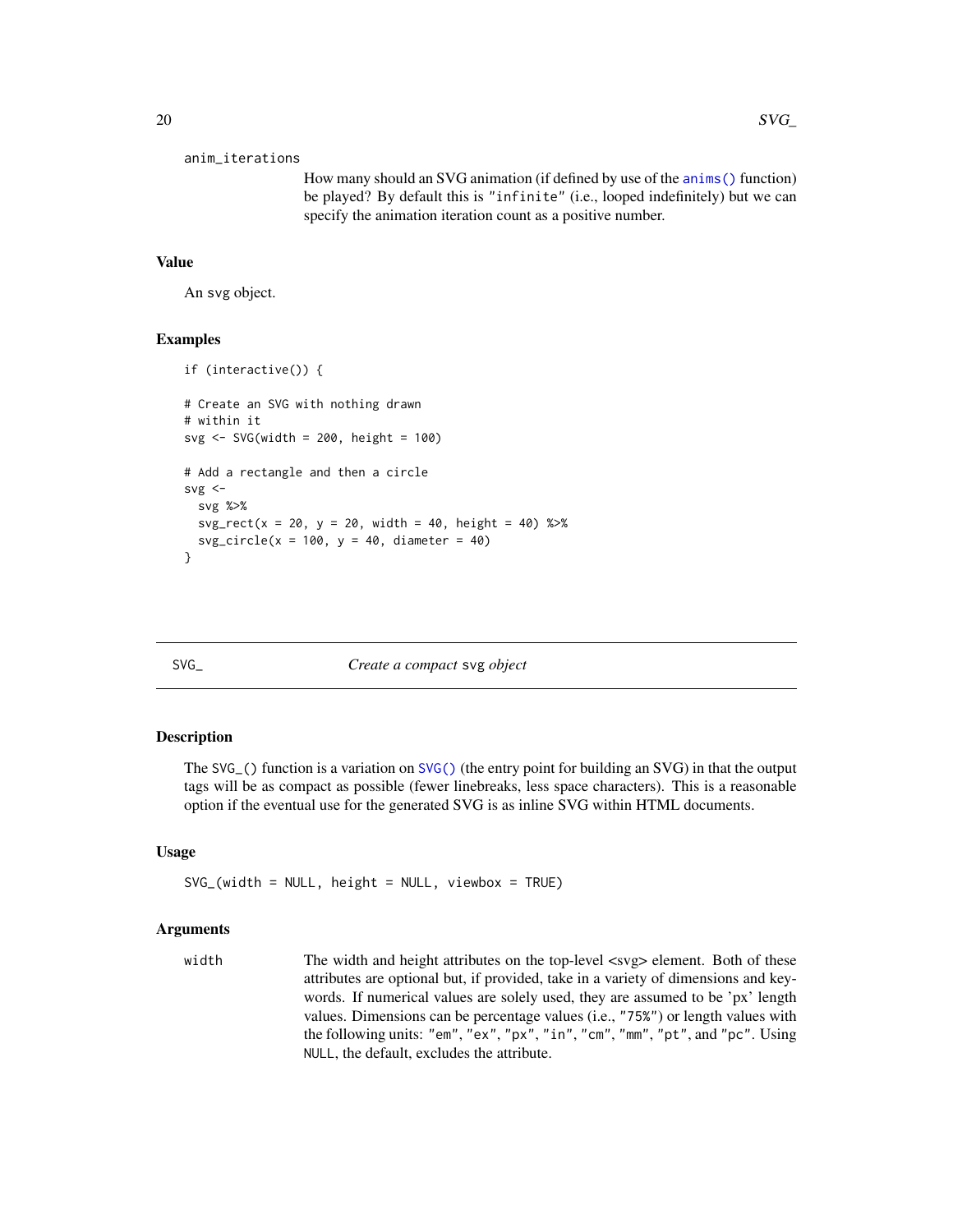```
anim_iterations
```
How many should an SVG animation (if defined by use of the [anims\(\)](#page-1-1) function) be played? By default this is "infinite" (i.e., looped indefinitely) but we can specify the animation iteration count as a positive number.

#### Value

An svg object.

#### Examples

```
if (interactive()) {
# Create an SVG with nothing drawn
# within it
svg <- SVG(width = 200, height = 100)
# Add a rectangle and then a circle
svg < -svg %>%
 svg\_rect(x = 20, y = 20, width = 40, height = 40) %>%
 svg\_circle(x = 100, y = 40, diameter = 40)}
```
SVG\_ *Create a compact* svg *object*

# **Description**

The SVG\_() function is a variation on [SVG\(\)](#page-18-1) (the entry point for building an SVG) in that the output tags will be as compact as possible (fewer linebreaks, less space characters). This is a reasonable option if the eventual use for the generated SVG is as inline SVG within HTML documents.

#### Usage

 $SVG_{(width = NULL, height = NULL, viewbox = TRUE)}$ 

#### Arguments

width The width and height attributes on the top-level  $\langle s \rangle$  element. Both of these attributes are optional but, if provided, take in a variety of dimensions and keywords. If numerical values are solely used, they are assumed to be 'px' length values. Dimensions can be percentage values (i.e., "75%") or length values with the following units: "em", "ex", "px", "in", "cm", "mm", "pt", and "pc". Using NULL, the default, excludes the attribute.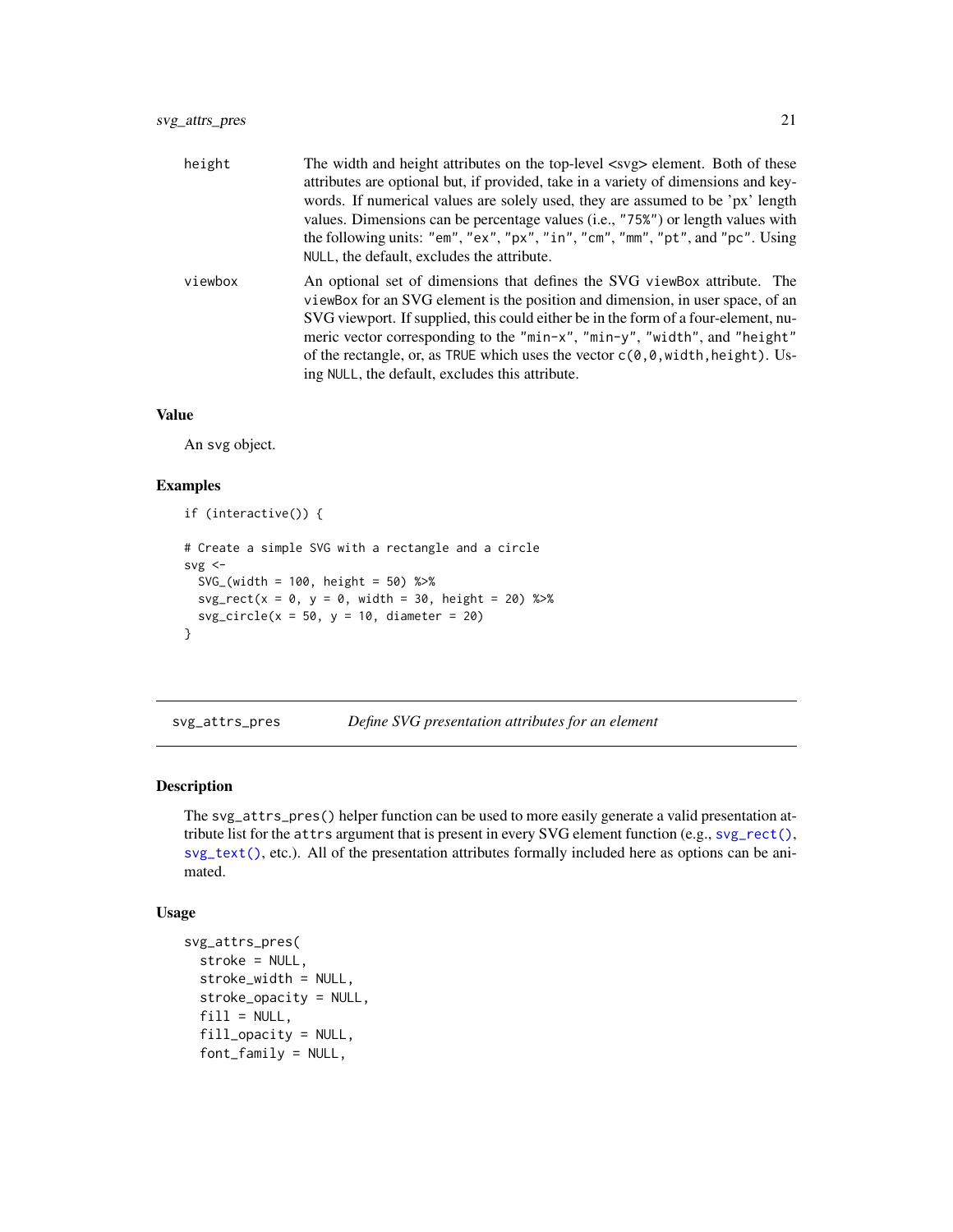<span id="page-20-0"></span>

| height  | The width and height attributes on the top-level <svg> element. Both of these<br/>attributes are optional but, if provided, take in a variety of dimensions and key-<br/>words. If numerical values are solely used, they are assumed to be 'px' length<br/>values. Dimensions can be percentage values (i.e., "75%") or length values with<br/>the following units: "em", "ex", "px", "in", "cm", "mm", "pt", and "pc". Using<br/>NULL, the default, excludes the attribute.</svg> |
|---------|-------------------------------------------------------------------------------------------------------------------------------------------------------------------------------------------------------------------------------------------------------------------------------------------------------------------------------------------------------------------------------------------------------------------------------------------------------------------------------------|
| viewbox | An optional set of dimensions that defines the SVG viewBox attribute. The<br>viewBox for an SVG element is the position and dimension, in user space, of an<br>SVG viewport. If supplied, this could either be in the form of a four-element, nu-<br>meric vector corresponding to the "min-x", "min-y", "width", and "height"<br>of the rectangle, or, as TRUE which uses the vector $c(0,0,w)$ width, height). Us-<br>ing NULL, the default, excludes this attribute.             |

#### Value

An svg object.

# Examples

```
if (interactive()) {
# Create a simple SVG with a rectangle and a circle
svg \leftarrowSVG_(width = 100, height = 50) %>%
  svg\_rect(x = 0, y = 0, width = 30, height = 20) %>%
  svg\_circle(x = 50, y = 10, diameter = 20)}
```
<span id="page-20-1"></span>svg\_attrs\_pres *Define SVG presentation attributes for an element*

# Description

The svg\_attrs\_pres() helper function can be used to more easily generate a valid presentation attribute list for the attrs argument that is present in every SVG element function (e.g., [svg\\_rect\(\)](#page-40-1), [svg\\_text\(\)](#page-43-1), etc.). All of the presentation attributes formally included here as options can be animated.

#### Usage

```
svg_attrs_pres(
  stroke = NULL,
  stroke_width = NULL,
  stroke_opacity = NULL,
  fill = NULL,fill_opacity = NULL,
  font_family = NULL,
```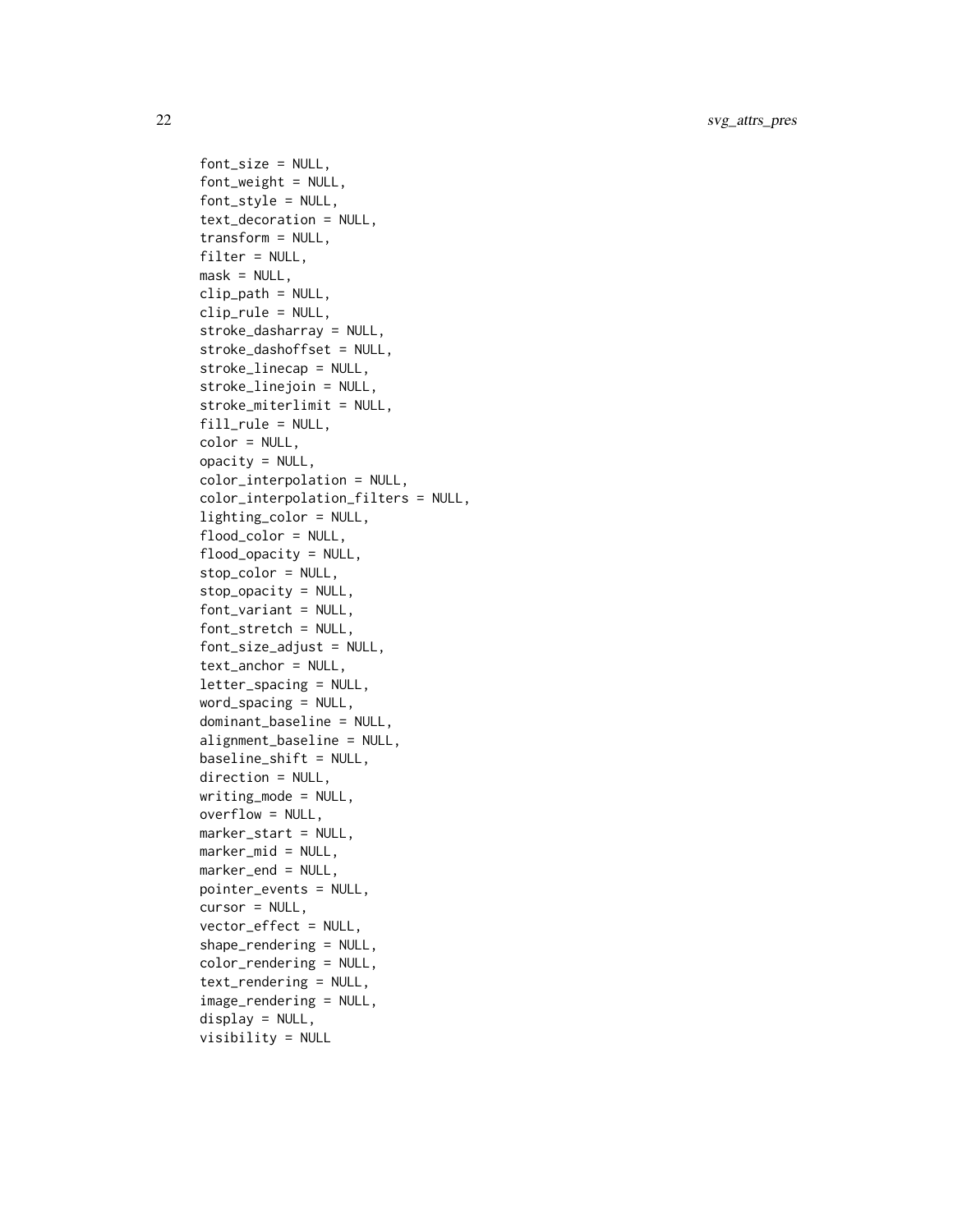22 svg\_attrs\_pres

```
font_size = NULL,
font_weight = NULL,
font_style = NULL,
text_decoration = NULL,
transform = NULL,
filter = NULL,
mask = NULL,clip_path = NULL,
clip_rule = NULL,
stroke_dasharray = NULL,
stroke_dashoffset = NULL,
stroke_linecap = NULL,
stroke_linejoin = NULL,
stroke_miterlimit = NULL,
fill_rule = NULL,
color = NULL,
opacity = NULL,color_interpolation = NULL,
color_interpolation_filters = NULL,
lighting_color = NULL,
flood_color = NULL,
flood_opacity = NULL,
stop_color = NULL,
stop_opacity = NULL,
font_variant = NULL,
font_stretch = NULL,
font_size_adjust = NULL,
text_anchor = NULL,
letter_spacing = NULL,
word_spacing = NULL,
dominant_baseline = NULL,
alignment_baseline = NULL,
baseline_shift = NULL,
direction = NULL,
writing_mode = NULL,
overflow = NULL,
marker_start = NULL,
marker_mid = NULL,
marker_end = NULL,
pointer_events = NULL,
cursor = NULL,vector_effect = NULL,
shape_rendering = NULL,
color_rendering = NULL,
text_rendering = NULL,
image_rendering = NULL,
display = NULL,
visibility = NULL
```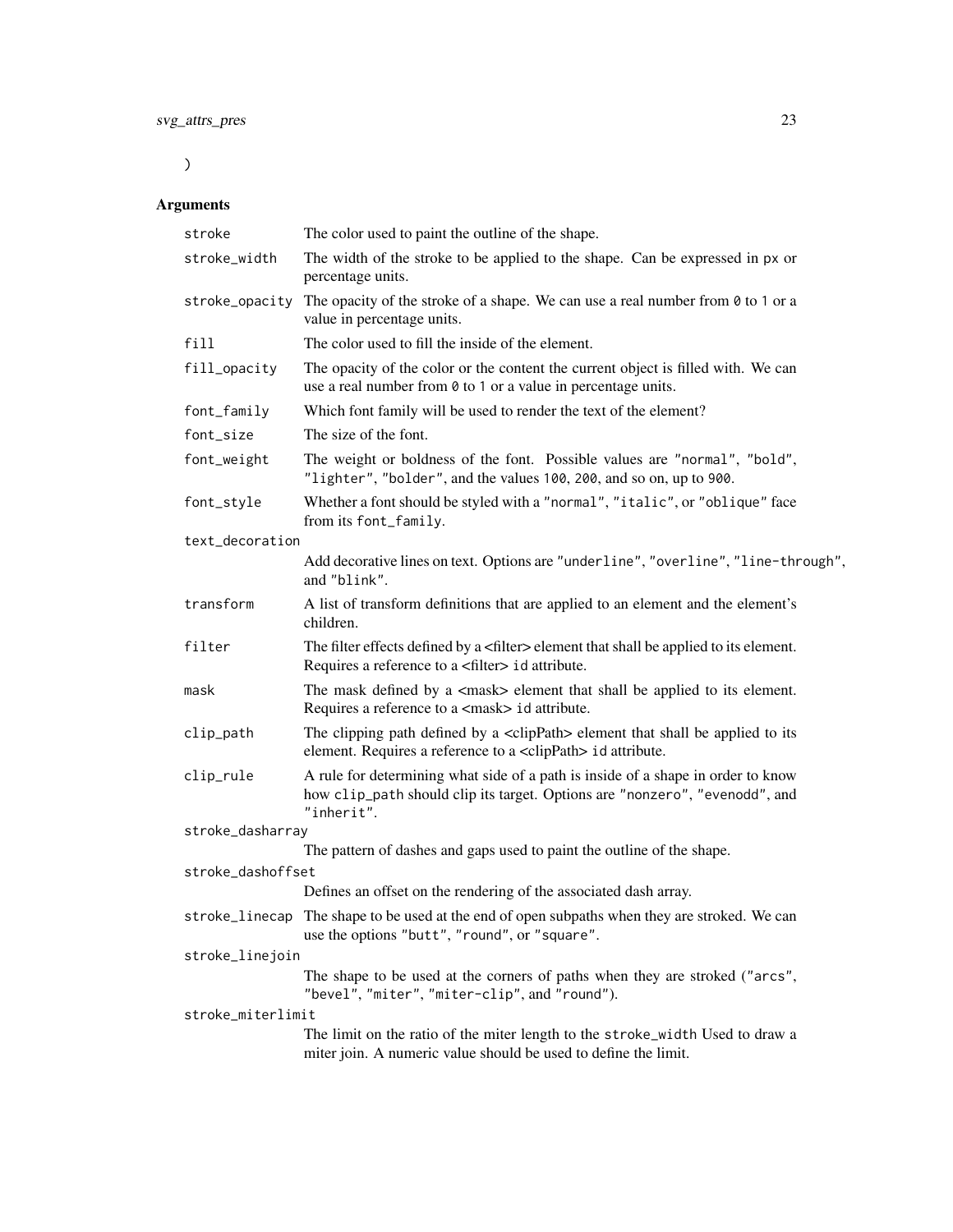$\overline{)}$ 

| stroke            | The color used to paint the outline of the shape.                                                                                                                             |
|-------------------|-------------------------------------------------------------------------------------------------------------------------------------------------------------------------------|
| stroke_width      | The width of the stroke to be applied to the shape. Can be expressed in px or<br>percentage units.                                                                            |
| stroke_opacity    | The opacity of the stroke of a shape. We can use a real number from $\theta$ to 1 or a<br>value in percentage units.                                                          |
| fill              | The color used to fill the inside of the element.                                                                                                                             |
| fill_opacity      | The opacity of the color or the content the current object is filled with. We can<br>use a real number from 0 to 1 or a value in percentage units.                            |
| font_family       | Which font family will be used to render the text of the element?                                                                                                             |
| font_size         | The size of the font.                                                                                                                                                         |
| font_weight       | The weight or boldness of the font. Possible values are "normal", "bold",<br>"lighter", "bolder", and the values 100, 200, and so on, up to 900.                              |
| font_style        | Whether a font should be styled with a "normal", "italic", or "oblique" face<br>from its font_family.                                                                         |
| text_decoration   |                                                                                                                                                                               |
|                   | Add decorative lines on text. Options are "underline", "overline", "line-through",<br>and "blink".                                                                            |
| transform         | A list of transform definitions that are applied to an element and the element's<br>children.                                                                                 |
| filter            | The filter effects defined by a <filter> element that shall be applied to its element.<br/>Requires a reference to a <filter> id attribute.</filter></filter>                 |
| mask              | The mask defined by a <mask> element that shall be applied to its element.<br/>Requires a reference to a <mask> id attribute.</mask></mask>                                   |
| clip_path         | The clipping path defined by a $\langle$ clipPath> element that shall be applied to its<br>element. Requires a reference to a <clippath> id attribute.</clippath>             |
| clip_rule         | A rule for determining what side of a path is inside of a shape in order to know<br>how clip_path should clip its target. Options are "nonzero", "evenodd", and<br>"inherit". |
| stroke_dasharray  |                                                                                                                                                                               |
|                   | The pattern of dashes and gaps used to paint the outline of the shape.                                                                                                        |
| stroke_dashoffset |                                                                                                                                                                               |
|                   | Defines an offset on the rendering of the associated dash array.                                                                                                              |
|                   | stroke_linecap The shape to be used at the end of open subpaths when they are stroked. We can<br>use the options "butt", "round", or "square".                                |
| stroke_linejoin   |                                                                                                                                                                               |
|                   | The shape to be used at the corners of paths when they are stroked ("arcs",<br>"bevel", "miter", "miter-clip", and "round").                                                  |
| stroke_miterlimit |                                                                                                                                                                               |
|                   | The limit on the ratio of the miter length to the stroke_width Used to draw a<br>miter join. A numeric value should be used to define the limit.                              |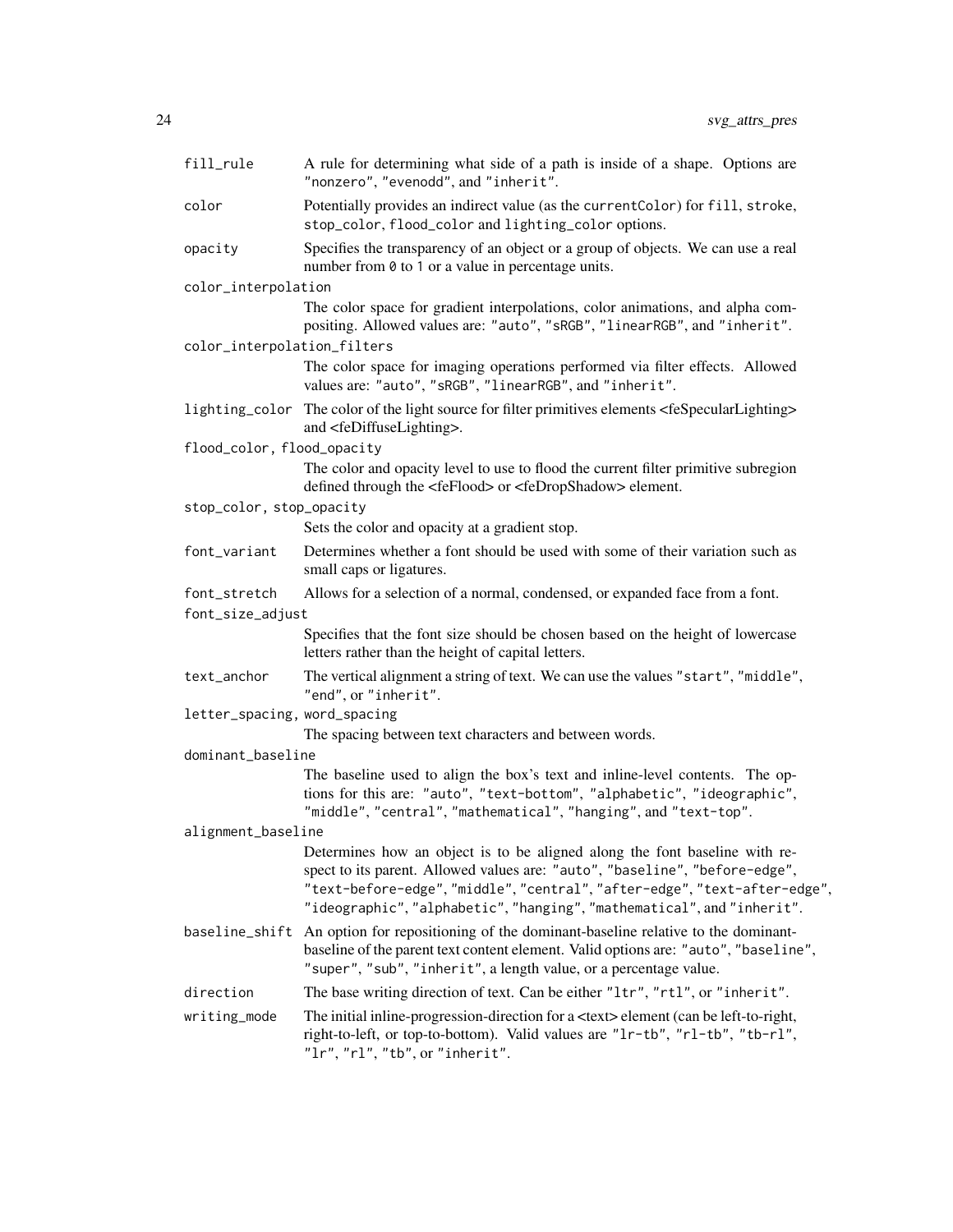| fill_rule                    | A rule for determining what side of a path is inside of a shape. Options are<br>"nonzero", "evenodd", and "inherit".                                                                                                                                                                                             |
|------------------------------|------------------------------------------------------------------------------------------------------------------------------------------------------------------------------------------------------------------------------------------------------------------------------------------------------------------|
| color                        | Potentially provides an indirect value (as the current Color) for fill, stroke,<br>stop_color, flood_color and lighting_color options.                                                                                                                                                                           |
| opacity                      | Specifies the transparency of an object or a group of objects. We can use a real<br>number from $\theta$ to 1 or a value in percentage units.                                                                                                                                                                    |
| color_interpolation          |                                                                                                                                                                                                                                                                                                                  |
|                              | The color space for gradient interpolations, color animations, and alpha com-<br>positing. Allowed values are: "auto", "sRGB", "linearRGB", and "inherit".                                                                                                                                                       |
| color_interpolation_filters  |                                                                                                                                                                                                                                                                                                                  |
|                              | The color space for imaging operations performed via filter effects. Allowed<br>values are: "auto", "sRGB", "linearRGB", and "inherit".                                                                                                                                                                          |
|                              | lighting_color The color of the light source for filter primitives elements <fespecularlighting><br/>and <fediffuselighting>.</fediffuselighting></fespecularlighting>                                                                                                                                           |
| flood_color, flood_opacity   |                                                                                                                                                                                                                                                                                                                  |
|                              | The color and opacity level to use to flood the current filter primitive subregion<br>defined through the <feflood> or <fedropshadow> element.</fedropshadow></feflood>                                                                                                                                          |
| stop_color, stop_opacity     |                                                                                                                                                                                                                                                                                                                  |
|                              | Sets the color and opacity at a gradient stop.                                                                                                                                                                                                                                                                   |
| font_variant                 | Determines whether a font should be used with some of their variation such as<br>small caps or ligatures.                                                                                                                                                                                                        |
| font_stretch                 | Allows for a selection of a normal, condensed, or expanded face from a font.                                                                                                                                                                                                                                     |
| font_size_adjust             |                                                                                                                                                                                                                                                                                                                  |
|                              | Specifies that the font size should be chosen based on the height of lowercase<br>letters rather than the height of capital letters.                                                                                                                                                                             |
| text_anchor                  | The vertical alignment a string of text. We can use the values "start", "middle",<br>"end", or "inherit".                                                                                                                                                                                                        |
| letter_spacing, word_spacing |                                                                                                                                                                                                                                                                                                                  |
|                              | The spacing between text characters and between words.                                                                                                                                                                                                                                                           |
| dominant_baseline            |                                                                                                                                                                                                                                                                                                                  |
|                              | The baseline used to align the box's text and inline-level contents. The op-<br>tions for this are: "auto", "text-bottom", "alphabetic", "ideographic",<br>"middle", "central", "mathematical", "hanging", and "text-top".                                                                                       |
| alignment_baseline           |                                                                                                                                                                                                                                                                                                                  |
|                              | Determines how an object is to be aligned along the font baseline with re-<br>spect to its parent. Allowed values are: "auto", "baseline", "before-edge",<br>"text-before-edge", "middle", "central", "after-edge", "text-after-edge",<br>"ideographic", "alphabetic", "hanging", "mathematical", and "inherit". |
|                              | baseline_shift An option for repositioning of the dominant-baseline relative to the dominant-<br>baseline of the parent text content element. Valid options are: "auto", "baseline",<br>"super", "sub", "inherit", a length value, or a percentage value.                                                        |
| direction                    | The base writing direction of text. Can be either "1tr", "rt1", or "inherit".                                                                                                                                                                                                                                    |
| writing_mode                 | The initial inline-progression-direction for a <text> element (can be left-to-right,<br/>right-to-left, or top-to-bottom). Valid values are "1r-tb", "r1-tb", "tb-r1",<br/>"<math>1r</math>", "<math>r1</math>", "<math>tb</math>", or "<math>inherit</math>".</text>                                            |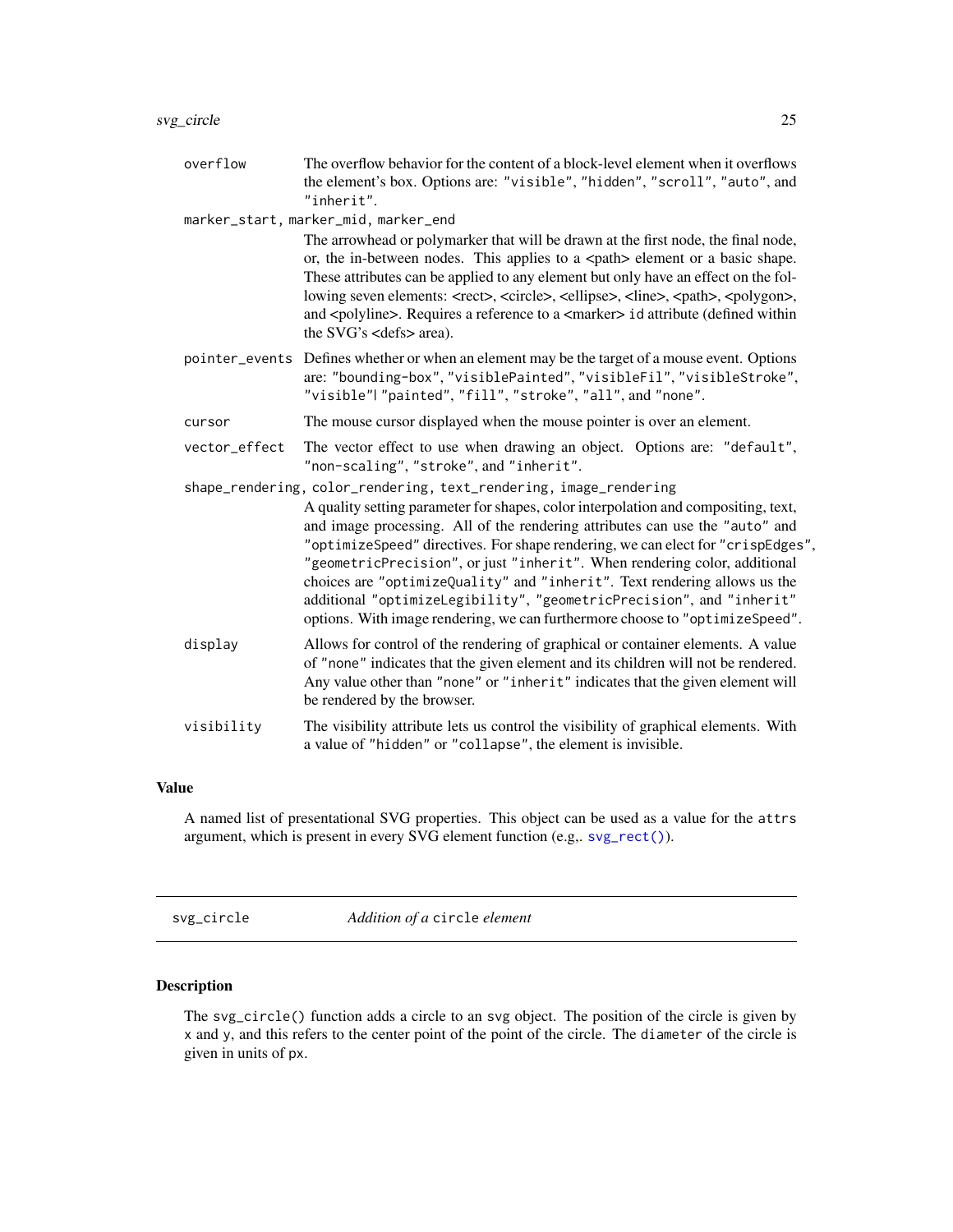<span id="page-24-0"></span>overflow The overflow behavior for the content of a block-level element when it overflows the element's box. Options are: "visible", "hidden", "scroll", "auto", and "inherit".

marker\_start, marker\_mid, marker\_end

The arrowhead or polymarker that will be drawn at the first node, the final node, or, the in-between nodes. This applies to a  $\epsilon$  at  $\epsilon$  belement or a basic shape. These attributes can be applied to any element but only have an effect on the following seven elements: <rect>, <circle>, <ellipse>, <line>, <path>, <polygon>, and <polyline>. Requires a reference to a <marker> id attribute (defined within the SVG's <defs> area).

- pointer\_events Defines whether or when an element may be the target of a mouse event. Options are: "bounding-box", "visiblePainted", "visibleFil", "visibleStroke", "visible"| "painted", "fill", "stroke", "all", and "none".
- cursor The mouse cursor displayed when the mouse pointer is over an element.
- vector\_effect The vector effect to use when drawing an object. Options are: "default", "non-scaling", "stroke", and "inherit".
- shape\_rendering, color\_rendering, text\_rendering, image\_rendering A quality setting parameter for shapes, color interpolation and compositing, text, and image processing. All of the rendering attributes can use the "auto" and "optimizeSpeed" directives. For shape rendering, we can elect for "crispEdges", "geometricPrecision", or just "inherit". When rendering color, additional choices are "optimizeQuality" and "inherit". Text rendering allows us the additional "optimizeLegibility", "geometricPrecision", and "inherit" options. With image rendering, we can furthermore choose to "optimizeSpeed". display Allows for control of the rendering of graphical or container elements. A value of "none" indicates that the given element and its children will not be rendered. Any value other than "none" or "inherit" indicates that the given element will be rendered by the browser. visibility The visibility attribute lets us control the visibility of graphical elements. With a value of "hidden" or "collapse", the element is invisible.

#### Value

A named list of presentational SVG properties. This object can be used as a value for the attrs argument, which is present in every SVG element function (e.g,. [svg\\_rect\(\)](#page-40-1)).

<span id="page-24-1"></span>svg\_circle *Addition of a* circle *element*

#### Description

The svg\_circle() function adds a circle to an svg object. The position of the circle is given by x and y, and this refers to the center point of the point of the circle. The diameter of the circle is given in units of px.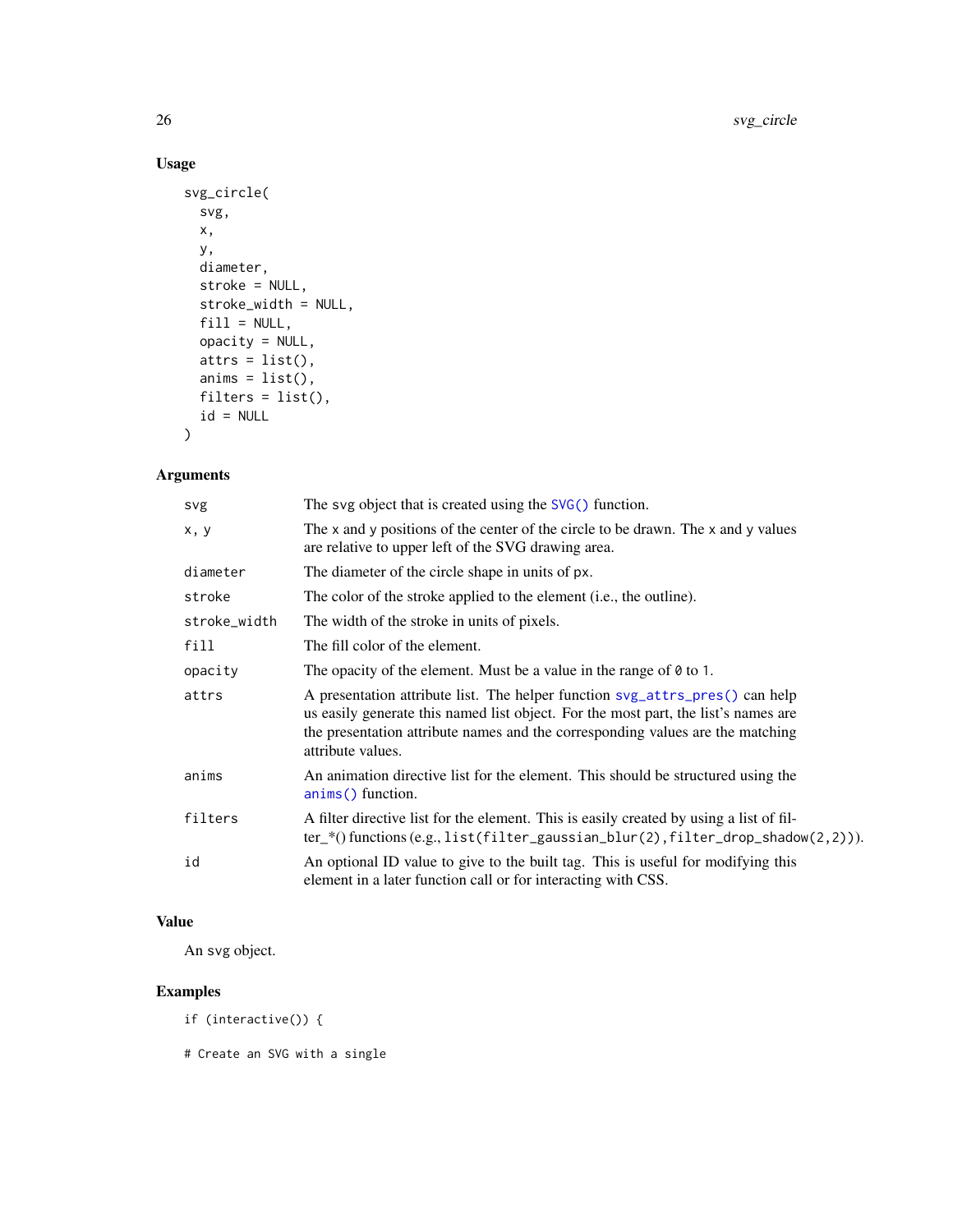# Usage

```
svg_circle(
 svg,
 x,
 y,
 diameter,
 stroke = NULL,
 stroke_width = NULL,
 fill = NULL,opacity = NULL,
 atts = list(),anims = list(),filters = list(),
 id = NULL)
```
# Arguments

| svg          | The svg object that is created using the $SVG()$ function.                                                                                                                                                                                                                |
|--------------|---------------------------------------------------------------------------------------------------------------------------------------------------------------------------------------------------------------------------------------------------------------------------|
| x, y         | The x and y positions of the center of the circle to be drawn. The x and y values<br>are relative to upper left of the SVG drawing area.                                                                                                                                  |
| diameter     | The diameter of the circle shape in units of px.                                                                                                                                                                                                                          |
| stroke       | The color of the stroke applied to the element (i.e., the outline).                                                                                                                                                                                                       |
| stroke_width | The width of the stroke in units of pixels.                                                                                                                                                                                                                               |
| fill         | The fill color of the element.                                                                                                                                                                                                                                            |
| opacity      | The opacity of the element. Must be a value in the range of $\theta$ to 1.                                                                                                                                                                                                |
| attrs        | A presentation attribute list. The helper function svg_attrs_pres() can help<br>us easily generate this named list object. For the most part, the list's names are<br>the presentation attribute names and the corresponding values are the matching<br>attribute values. |
| anims        | An animation directive list for the element. This should be structured using the<br>anims() function.                                                                                                                                                                     |
| filters      | A filter directive list for the element. This is easily created by using a list of fil-<br>$ter$ <sub>(e.g.,</sub> list(filter_gaussian_blur(2),filter_drop_shadow(2,2))).                                                                                                |
| id           | An optional ID value to give to the built tag. This is useful for modifying this<br>element in a later function call or for interacting with CSS.                                                                                                                         |

# Value

An svg object.

# Examples

```
if (interactive()) {
```
# Create an SVG with a single

<span id="page-25-0"></span>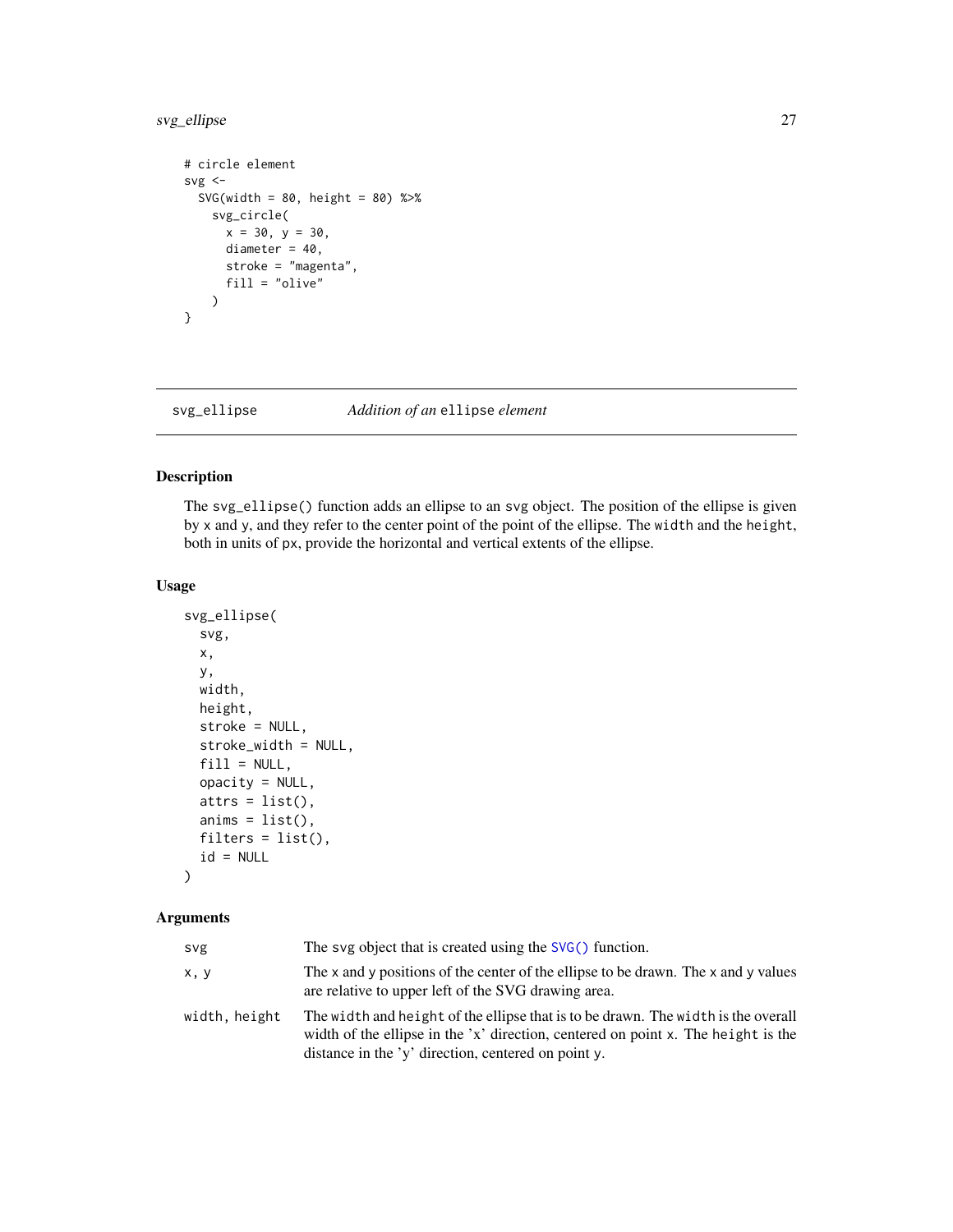# <span id="page-26-0"></span>svg\_ellipse 27

```
# circle element
svg \leftarrowSVG(width = 80, height = 80) %>%
    svg_circle(
      x = 30, y = 30,diameter = 40,
      stroke = "magenta",
      fill = "olive"
    \lambda}
```
# svg\_ellipse *Addition of an* ellipse *element*

# Description

The svg\_ellipse() function adds an ellipse to an svg object. The position of the ellipse is given by x and y, and they refer to the center point of the point of the ellipse. The width and the height, both in units of px, provide the horizontal and vertical extents of the ellipse.

#### Usage

```
svg_ellipse(
  svg,
  x,
 y,
 width,
 height,
  stroke = NULL,
  stroke_width = NULL,
  fill = NULL,opacity = NULL,
  atts = list(),anims = list(),filters = list(),
  id = NULL)
```

| svg           | The svg object that is created using the $SVG()$ function.                                                                                                                                                                    |
|---------------|-------------------------------------------------------------------------------------------------------------------------------------------------------------------------------------------------------------------------------|
| x, y          | The x and y positions of the center of the ellipse to be drawn. The x and y values<br>are relative to upper left of the SVG drawing area.                                                                                     |
| width, height | The width and height of the ellipse that is to be drawn. The width is the overall<br>width of the ellipse in the 'x' direction, centered on point x. The height is the<br>distance in the 'y' direction, centered on point y. |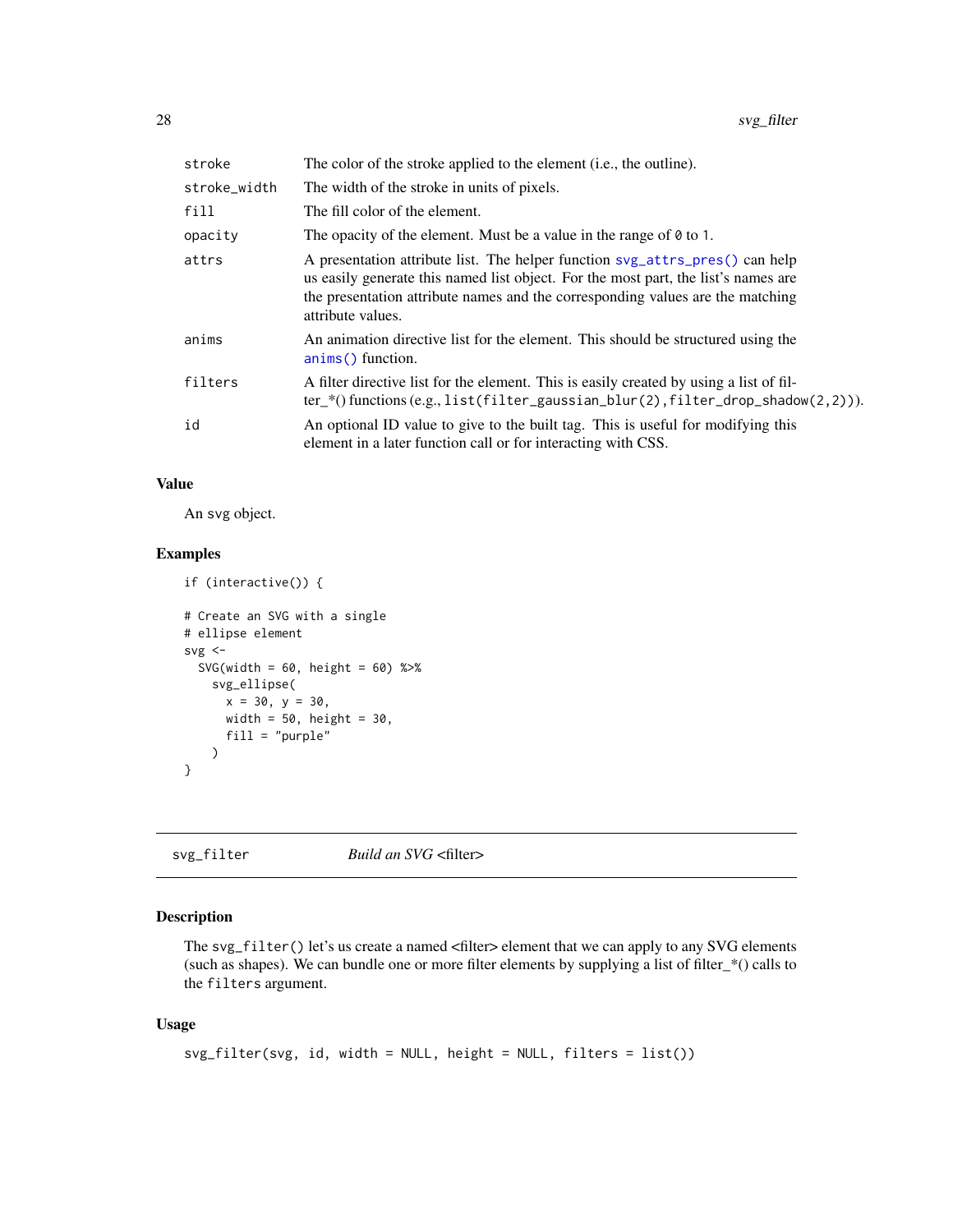<span id="page-27-0"></span>

| stroke       | The color of the stroke applied to the element (i.e., the outline).                                                                                                                                                                                                       |
|--------------|---------------------------------------------------------------------------------------------------------------------------------------------------------------------------------------------------------------------------------------------------------------------------|
| stroke_width | The width of the stroke in units of pixels.                                                                                                                                                                                                                               |
| fill         | The fill color of the element.                                                                                                                                                                                                                                            |
| opacity      | The opacity of the element. Must be a value in the range of $\theta$ to 1.                                                                                                                                                                                                |
| attrs        | A presentation attribute list. The helper function svg_attrs_pres() can help<br>us easily generate this named list object. For the most part, the list's names are<br>the presentation attribute names and the corresponding values are the matching<br>attribute values. |
| anims        | An animation directive list for the element. This should be structured using the<br>anims() function.                                                                                                                                                                     |
| filters      | A filter directive list for the element. This is easily created by using a list of fil-<br>$ter$ (functions (e.g., list(filter_gaussian_blur(2), filter_drop_shadow(2,2))).                                                                                               |
| id           | An optional ID value to give to the built tag. This is useful for modifying this<br>element in a later function call or for interacting with CSS.                                                                                                                         |

#### Value

An svg object.

#### Examples

```
if (interactive()) {
# Create an SVG with a single
# ellipse element
svg \leftarrowSVG(width = 60, height = 60) %>%
    svg_ellipse(
     x = 30, y = 30,width = 50, height = 30,
      fill = "purple")
}
```
svg\_filter *Build an SVG* <filter>

# Description

The svg\_filter() let's us create a named <filter> element that we can apply to any SVG elements (such as shapes). We can bundle one or more filter elements by supplying a list of filter\_\*() calls to the filters argument.

#### Usage

```
svg_filter(svg, id, width = NULL, height = NULL, filters = list())
```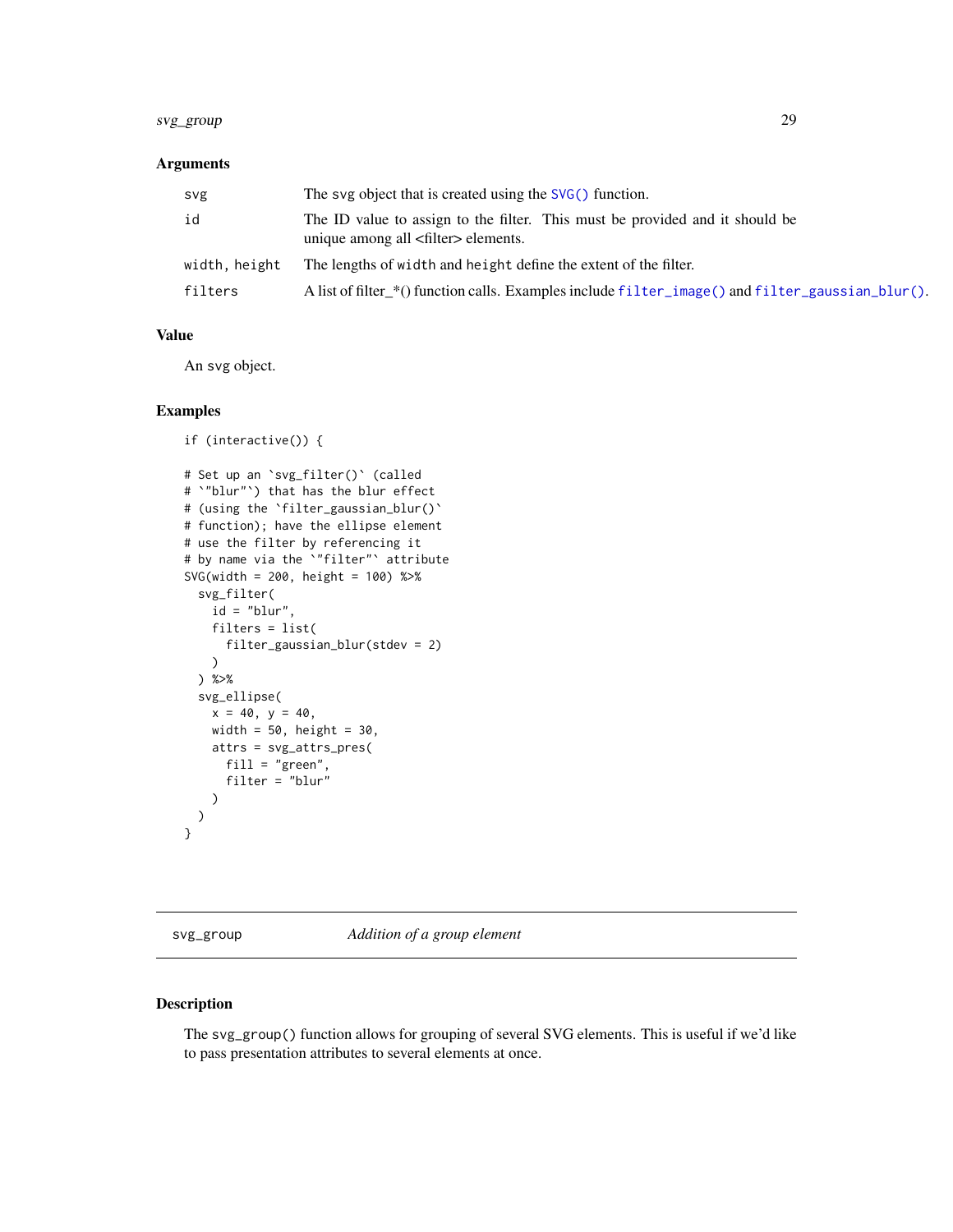# <span id="page-28-0"></span>svg\_group 29

#### Arguments

| svg           | The svg object that is created using the SVG() function.                                                                     |
|---------------|------------------------------------------------------------------------------------------------------------------------------|
| id            | The ID value to assign to the filter. This must be provided and it should be<br>unique among all <filter> elements.</filter> |
| width, height | The lengths of width and height define the extent of the filter.                                                             |
| filters       | A list of filter_*() function calls. Examples include filter_image() and filter_gaussian_blur().                             |

# Value

An svg object.

#### Examples

```
if (interactive()) {
# Set up an `svg_filter()` (called
# `"blur"`) that has the blur effect
# (using the `filter_gaussian_blur()`
# function); have the ellipse element
# use the filter by referencing it
# by name via the `"filter"` attribute
SVG(width = 200, height = 100) %>%
  svg_filter(
   id = "blur",filters = list(
      filter_gaussian_blur(stdev = 2)
   \lambda) %>%
  svg_ellipse(
   x = 40, y = 40,width = 50, height = 30,
   attrs = svg_attrs_pres(
     fill = "green",
      filter = "blur"
   )
 )
}
```
svg\_group *Addition of a group element*

#### Description

The svg\_group() function allows for grouping of several SVG elements. This is useful if we'd like to pass presentation attributes to several elements at once.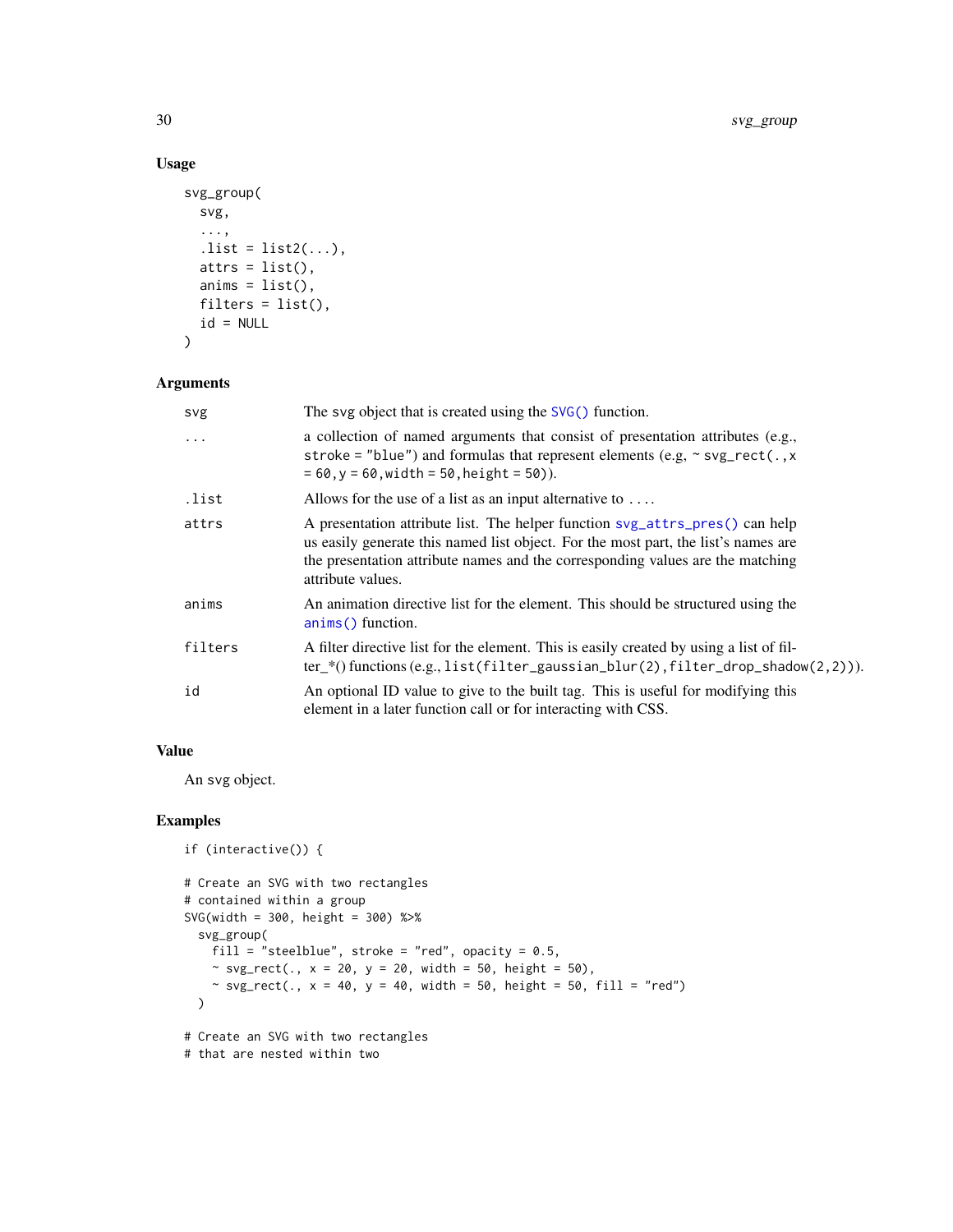# Usage

```
svg_group(
  svg,
  ...,
  . list = list2(...),atts = list(),anims = list(),filters = list(),
 id = NULL\mathcal{L}
```
# Arguments

| svg     | The svg object that is created using the $SVG()$ function.                                                                                                                                                                                                                |
|---------|---------------------------------------------------------------------------------------------------------------------------------------------------------------------------------------------------------------------------------------------------------------------------|
| $\cdot$ | a collection of named arguments that consist of presentation attributes (e.g.,<br>stroke = "blue") and formulas that represent elements (e.g. $\sim$ svg_rect(., x<br>$= 60, y = 60$ , width = 50, height = 50)).                                                         |
| .list   | Allows for the use of a list as an input alternative to $\dots$                                                                                                                                                                                                           |
| attrs   | A presentation attribute list. The helper function syg_attrs_pres() can help<br>us easily generate this named list object. For the most part, the list's names are<br>the presentation attribute names and the corresponding values are the matching<br>attribute values. |
| anims   | An animation directive list for the element. This should be structured using the<br>anims() function.                                                                                                                                                                     |
| filters | A filter directive list for the element. This is easily created by using a list of fil-<br>$ter_{*}($ functions (e.g., list(filter_gaussian_blur(2), filter_drop_shadow(2,2))).                                                                                           |
| id      | An optional ID value to give to the built tag. This is useful for modifying this<br>element in a later function call or for interacting with CSS.                                                                                                                         |

#### Value

An svg object.

```
if (interactive()) {
# Create an SVG with two rectangles
# contained within a group
SVG(width = 300, height = 300) %>%
  svg_group(
   fill = "steelblue", stroke = "red", opacity = 0.5,
    ~ svg_rect(., x = 20, y = 20, width = 50, height = 50),
    ~ svg\_rect(., x = 40, y = 40, width = 50, height = 50, fill = "red")\mathcal{L}# Create an SVG with two rectangles
# that are nested within two
```
<span id="page-29-0"></span>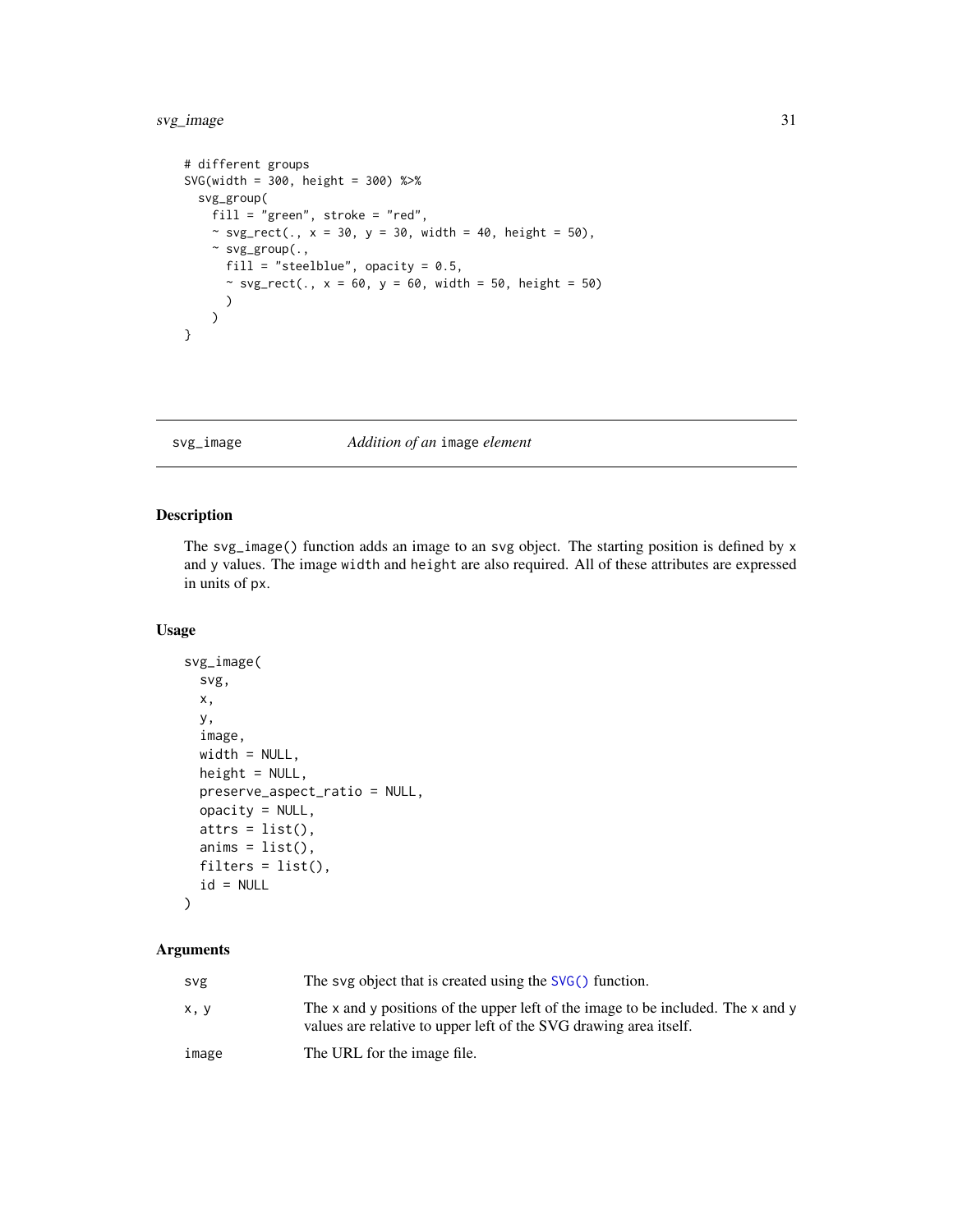# <span id="page-30-0"></span>svg\_image 31

```
# different groups
SVG(width = 300, height = 300) %>%
  svg_group(
    fill = "green", stroke = "red",
    ~ svg_rect(., x = 30, y = 30, width = 40, height = 50),~ svg_group(.,
     fill = "steelblue", opacity = 0.5,
      ~ svg_rect(., x = 60, y = 60, width = 50, height = 50)\lambda\lambda}
```
svg\_image *Addition of an* image *element*

# Description

The svg\_image() function adds an image to an svg object. The starting position is defined by x and y values. The image width and height are also required. All of these attributes are expressed in units of px.

#### Usage

```
svg_image(
  svg,
 x,
 y,
 image,
 width = NULL,
 height = NULL,preserve_aspect_ratio = NULL,
 opacity = NULL,
 atts = list(),anims = list(),filters = list(),
 id = NULL)
```

| svg   | The svg object that is created using the SVG() function.                                                                                              |
|-------|-------------------------------------------------------------------------------------------------------------------------------------------------------|
| x, y  | The x and y positions of the upper left of the image to be included. The x and y<br>values are relative to upper left of the SVG drawing area itself. |
| image | The URL for the image file.                                                                                                                           |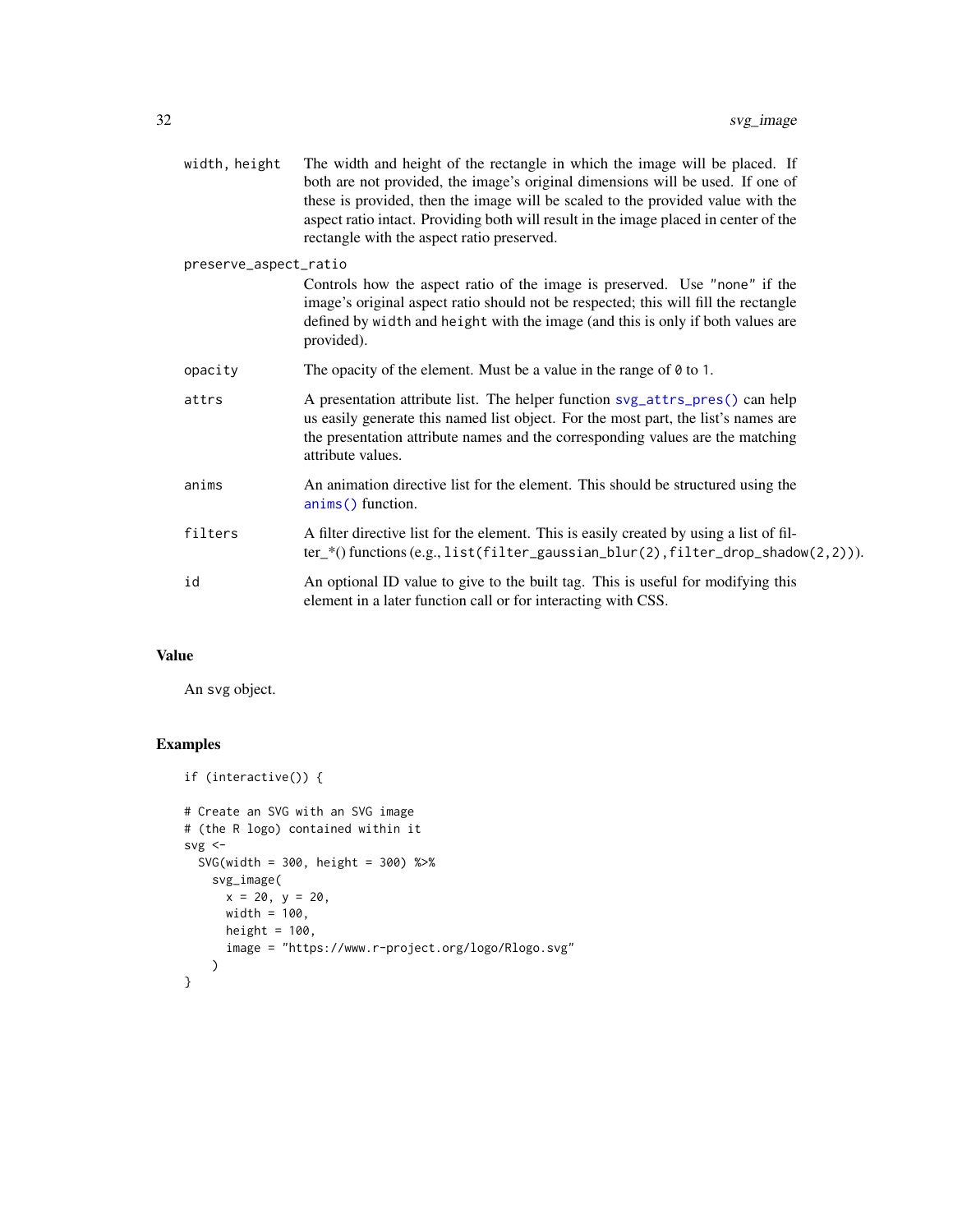<span id="page-31-0"></span>

| width, height         | The width and height of the rectangle in which the image will be placed. If<br>both are not provided, the image's original dimensions will be used. If one of<br>these is provided, then the image will be scaled to the provided value with the<br>aspect ratio intact. Providing both will result in the image placed in center of the<br>rectangle with the aspect ratio preserved. |
|-----------------------|----------------------------------------------------------------------------------------------------------------------------------------------------------------------------------------------------------------------------------------------------------------------------------------------------------------------------------------------------------------------------------------|
| preserve_aspect_ratio |                                                                                                                                                                                                                                                                                                                                                                                        |
|                       | Controls how the aspect ratio of the image is preserved. Use "none" if the<br>image's original aspect ratio should not be respected; this will fill the rectangle<br>defined by width and height with the image (and this is only if both values are<br>provided).                                                                                                                     |
| opacity               | The opacity of the element. Must be a value in the range of $\theta$ to 1.                                                                                                                                                                                                                                                                                                             |
| attrs                 | A presentation attribute list. The helper function svg_attrs_pres() can help<br>us easily generate this named list object. For the most part, the list's names are<br>the presentation attribute names and the corresponding values are the matching<br>attribute values.                                                                                                              |
| anims                 | An animation directive list for the element. This should be structured using the<br>anims() function.                                                                                                                                                                                                                                                                                  |
| filters               | A filter directive list for the element. This is easily created by using a list of fil-<br>$ter_{*}($ functions (e.g., list(filter_gaussian_blur(2), filter_drop_shadow(2,2))).                                                                                                                                                                                                        |
| id                    | An optional ID value to give to the built tag. This is useful for modifying this<br>element in a later function call or for interacting with CSS.                                                                                                                                                                                                                                      |
|                       |                                                                                                                                                                                                                                                                                                                                                                                        |

# Value

An svg object.

```
if (interactive()) {
# Create an SVG with an SVG image
# (the R logo) contained within it
svg \leftarrowSVG(width = 300, height = 300) %>%
   svg_image(
     x = 20, y = 20,width = 100,
     height = 100,
      image = "https://www.r-project.org/logo/Rlogo.svg"
   )
}
```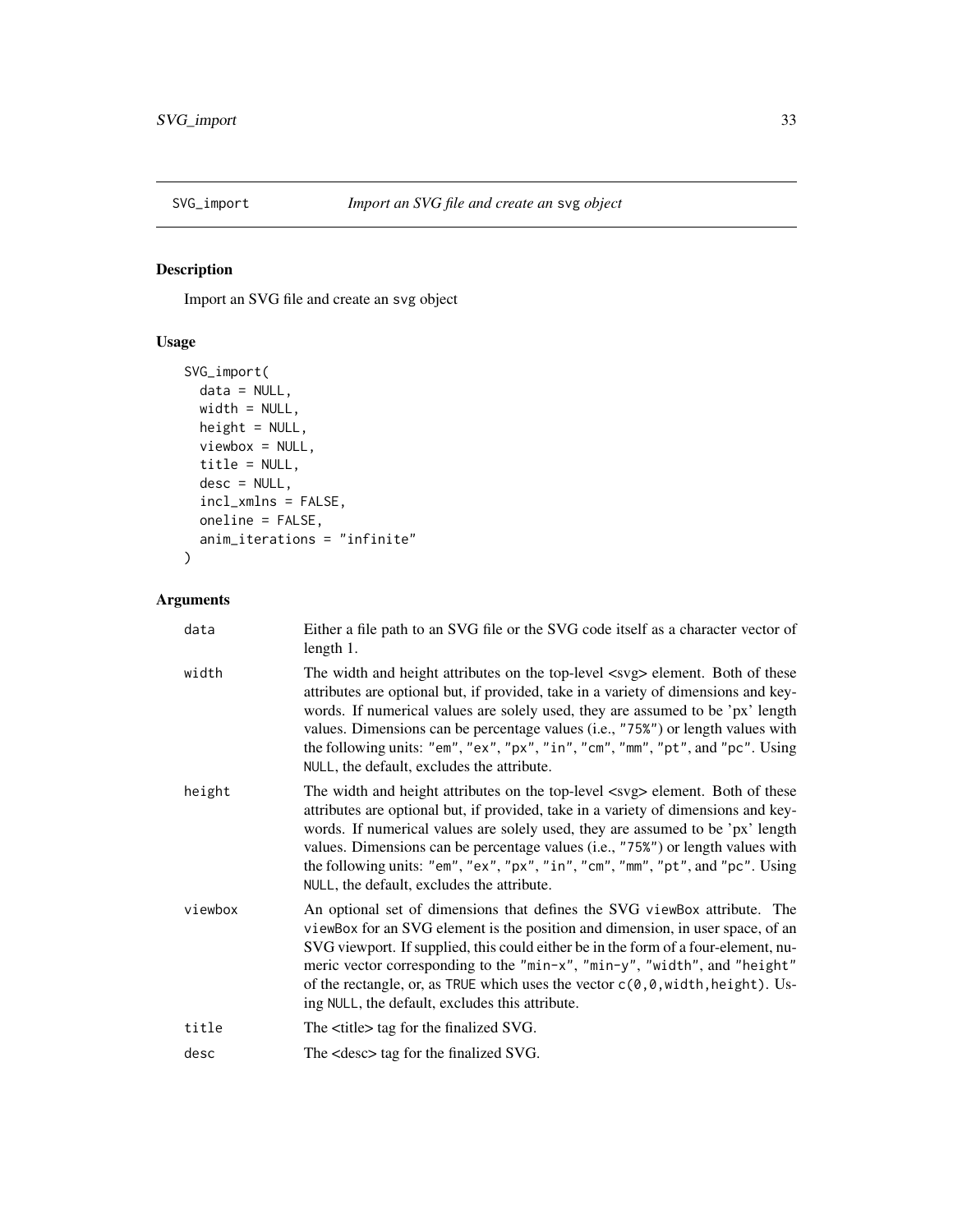<span id="page-32-0"></span>

# Description

Import an SVG file and create an svg object

# Usage

```
SVG_import(
 data = NULL,
 width = NULL,
 height = NULL,
 viewbox = NULL,
 title = NULL,
 desc = NULL,incl_xmlns = FALSE,
 oneline = FALSE,
 anim_iterations = "infinite"
)
```

| data    | Either a file path to an SVG file or the SVG code itself as a character vector of<br>length 1.                                                                                                                                                                                                                                                                                                                                                                                      |
|---------|-------------------------------------------------------------------------------------------------------------------------------------------------------------------------------------------------------------------------------------------------------------------------------------------------------------------------------------------------------------------------------------------------------------------------------------------------------------------------------------|
| width   | The width and height attributes on the top-level <svg> element. Both of these<br/>attributes are optional but, if provided, take in a variety of dimensions and key-<br/>words. If numerical values are solely used, they are assumed to be 'px' length<br/>values. Dimensions can be percentage values (i.e., "75%") or length values with<br/>the following units: "em", "ex", "px", "in", "cm", "mm", "pt", and "pc". Using<br/>NULL, the default, excludes the attribute.</svg> |
| height  | The width and height attributes on the top-level <svg> element. Both of these<br/>attributes are optional but, if provided, take in a variety of dimensions and key-<br/>words. If numerical values are solely used, they are assumed to be 'px' length<br/>values. Dimensions can be percentage values (i.e., "75%") or length values with<br/>the following units: "em", "ex", "px", "in", "cm", "mm", "pt", and "pc". Using<br/>NULL, the default, excludes the attribute.</svg> |
| viewbox | An optional set of dimensions that defines the SVG viewBox attribute. The<br>viewBox for an SVG element is the position and dimension, in user space, of an<br>SVG viewport. If supplied, this could either be in the form of a four-element, nu-<br>meric vector corresponding to the "min-x", "min-y", "width", and "height"<br>of the rectangle, or, as TRUE which uses the vector $c(0,0,width, height)$ . Us-<br>ing NULL, the default, excludes this attribute.               |
| title   | The <title> tag for the finalized SVG.</title>                                                                                                                                                                                                                                                                                                                                                                                                                                      |
| desc    | The <desc> tag for the finalized SVG.</desc>                                                                                                                                                                                                                                                                                                                                                                                                                                        |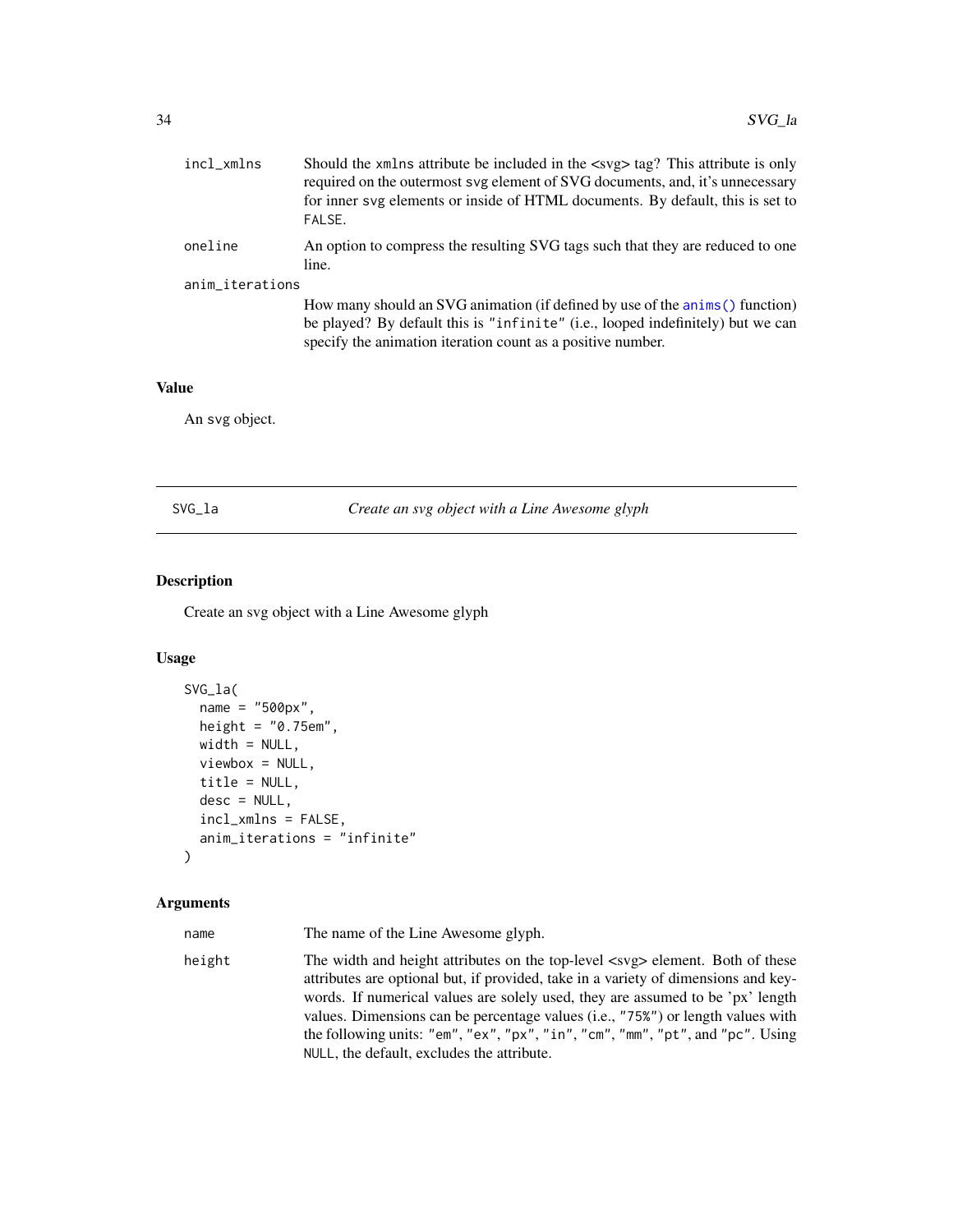<span id="page-33-0"></span>

| incl_xmlns      | Should the xmlns attribute be included in the <svg> tag? This attribute is only<br/>required on the outermost syg element of SVG documents, and, it's unnecessary<br/>for inner syg elements or inside of HTML documents. By default, this is set to<br/>FALSE.</svg> |
|-----------------|-----------------------------------------------------------------------------------------------------------------------------------------------------------------------------------------------------------------------------------------------------------------------|
| oneline         | An option to compress the resulting SVG tags such that they are reduced to one<br>line.                                                                                                                                                                               |
| anim_iterations |                                                                                                                                                                                                                                                                       |
|                 | How many should an SVG animation (if defined by use of the anims () function)<br>be played? By default this is "infinite" (i.e., looped indefinitely) but we can<br>specify the animation iteration count as a positive number.                                       |

#### Value

An svg object.

<span id="page-33-1"></span>SVG\_la *Create an svg object with a Line Awesome glyph*

# Description

Create an svg object with a Line Awesome glyph

# Usage

```
SVG_la(
  name = "500px",
  height = "0.75em",
 width = NULL,
  viewbox = NULL,title = NULL,
  desc = NULL,incl_xmlns = FALSE,
  anim_iterations = "infinite"
)
```
#### Arguments

name The name of the Line Awesome glyph.

height The width and height attributes on the top-level  $\langle s \rangle$  element. Both of these attributes are optional but, if provided, take in a variety of dimensions and keywords. If numerical values are solely used, they are assumed to be 'px' length values. Dimensions can be percentage values (i.e., "75%") or length values with the following units: "em", "ex", "px", "in", "cm", "mm", "pt", and "pc". Using NULL, the default, excludes the attribute.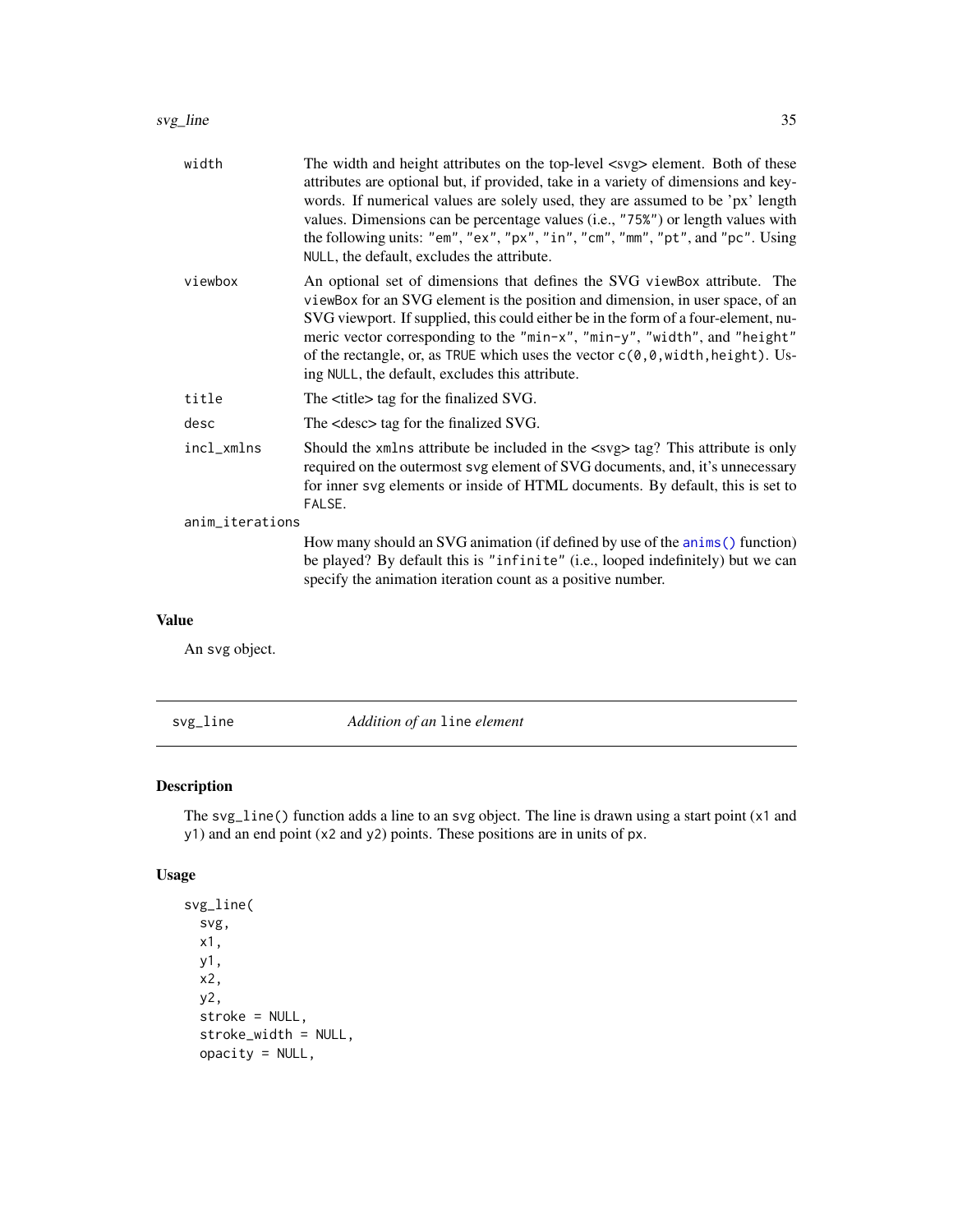<span id="page-34-0"></span>

| width           | The width and height attributes on the top-level <svg> element. Both of these<br/>attributes are optional but, if provided, take in a variety of dimensions and key-<br/>words. If numerical values are solely used, they are assumed to be 'px' length<br/>values. Dimensions can be percentage values (i.e., "75%") or length values with<br/>the following units: "em", "ex", "px", "in", "cm", "mm", "pt", and "pc". Using<br/>NULL, the default, excludes the attribute.</svg>             |
|-----------------|-------------------------------------------------------------------------------------------------------------------------------------------------------------------------------------------------------------------------------------------------------------------------------------------------------------------------------------------------------------------------------------------------------------------------------------------------------------------------------------------------|
| viewbox         | An optional set of dimensions that defines the SVG viewBox attribute. The<br>viewBox for an SVG element is the position and dimension, in user space, of an<br>SVG viewport. If supplied, this could either be in the form of a four-element, nu-<br>meric vector corresponding to the "min-x", "min-y", "width", and "height"<br>of the rectangle, or, as TRUE which uses the vector $c(\theta, \theta, \text{width}, \text{height})$ . Us-<br>ing NULL, the default, excludes this attribute. |
| title           | The <title> tag for the finalized SVG.</title>                                                                                                                                                                                                                                                                                                                                                                                                                                                  |
| desc            | The <desc> tag for the finalized SVG.</desc>                                                                                                                                                                                                                                                                                                                                                                                                                                                    |
| incl_xmlns      | Should the xmlns attribute be included in the <svg> tag? This attribute is only<br/>required on the outermost svg element of SVG documents, and, it's unnecessary<br/>for inner svg elements or inside of HTML documents. By default, this is set to<br/>FALSE.</svg>                                                                                                                                                                                                                           |
| anim_iterations |                                                                                                                                                                                                                                                                                                                                                                                                                                                                                                 |
|                 | How many should an SVG animation (if defined by use of the anims () function)<br>be played? By default this is "infinite" (i.e., looped indefinitely) but we can<br>specify the animation iteration count as a positive number.                                                                                                                                                                                                                                                                 |
|                 |                                                                                                                                                                                                                                                                                                                                                                                                                                                                                                 |

### Value

An svg object.

svg\_line *Addition of an* line *element*

# Description

The svg\_line() function adds a line to an svg object. The line is drawn using a start point (x1 and y1) and an end point (x2 and y2) points. These positions are in units of px.

# Usage

```
svg_line(
  svg,
 x1,
 y1,
 x2,
 y2,
  stroke = NULL,
  stroke_width = NULL,
  opacity = NULL,
```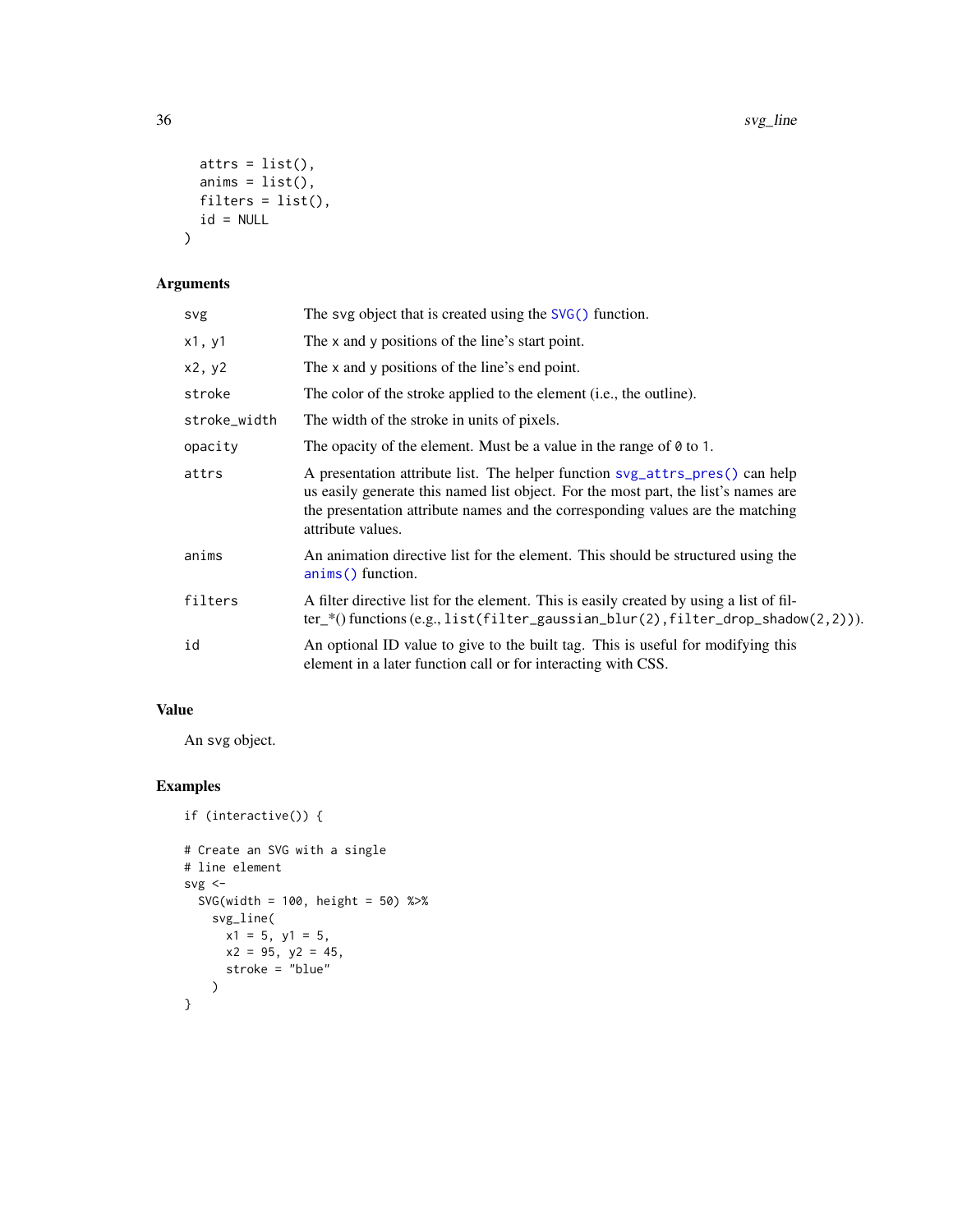```
atts = list(),anims = list(),filters = list(),
  id = NULL\mathcal{L}
```
# Arguments

| svg          | The svg object that is created using the $SVG()$ function.                                                                                                                                                                                                                |
|--------------|---------------------------------------------------------------------------------------------------------------------------------------------------------------------------------------------------------------------------------------------------------------------------|
| x1, y1       | The x and y positions of the line's start point.                                                                                                                                                                                                                          |
| x2, y2       | The x and y positions of the line's end point.                                                                                                                                                                                                                            |
| stroke       | The color of the stroke applied to the element (i.e., the outline).                                                                                                                                                                                                       |
| stroke_width | The width of the stroke in units of pixels.                                                                                                                                                                                                                               |
| opacity      | The opacity of the element. Must be a value in the range of $\theta$ to 1.                                                                                                                                                                                                |
| attrs        | A presentation attribute list. The helper function svg_attrs_pres() can help<br>us easily generate this named list object. For the most part, the list's names are<br>the presentation attribute names and the corresponding values are the matching<br>attribute values. |
| anims        | An animation directive list for the element. This should be structured using the<br>anims() function.                                                                                                                                                                     |
| filters      | A filter directive list for the element. This is easily created by using a list of fil-<br>$ter_{*}($ functions (e.g., list(filter_gaussian_blur(2), filter_drop_shadow(2,2))).                                                                                           |
| id           | An optional ID value to give to the built tag. This is useful for modifying this<br>element in a later function call or for interacting with CSS.                                                                                                                         |

# Value

An svg object.

```
if (interactive()) {
# Create an SVG with a single
# line element
svg \leftarrowSVG(width = 100, height = 50) %>%
   svg_line(
      x1 = 5, y1 = 5,
      x2 = 95, y2 = 45,
     stroke = "blue"
    )
}
```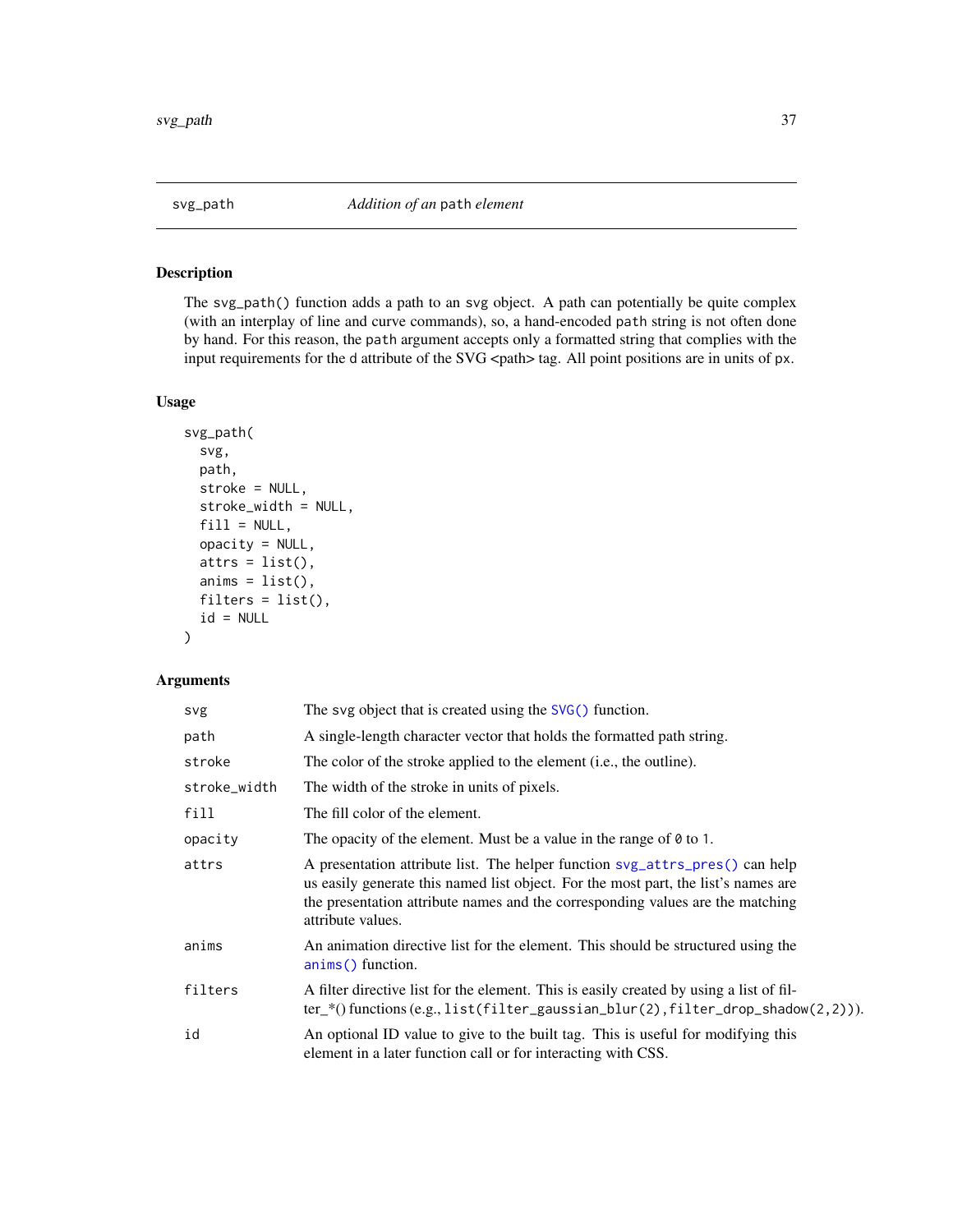# <span id="page-36-0"></span>Description

The svg\_path() function adds a path to an svg object. A path can potentially be quite complex (with an interplay of line and curve commands), so, a hand-encoded path string is not often done by hand. For this reason, the path argument accepts only a formatted string that complies with the input requirements for the d attribute of the SVG <path> tag. All point positions are in units of px.

# Usage

```
svg_path(
  svg,
 path,
 stroke = NULL,
 stroke_width = NULL,
 fill = NULL,opacity = NULL,
 atts = list(),anims = list(),
 filters = list(),
 id = NULL)
```

| svg          | The svg object that is created using the SVG() function.                                                                                                                                                                                                                  |
|--------------|---------------------------------------------------------------------------------------------------------------------------------------------------------------------------------------------------------------------------------------------------------------------------|
| path         | A single-length character vector that holds the formatted path string.                                                                                                                                                                                                    |
| stroke       | The color of the stroke applied to the element (i.e., the outline).                                                                                                                                                                                                       |
| stroke_width | The width of the stroke in units of pixels.                                                                                                                                                                                                                               |
| fill         | The fill color of the element.                                                                                                                                                                                                                                            |
| opacity      | The opacity of the element. Must be a value in the range of $\theta$ to 1.                                                                                                                                                                                                |
| attrs        | A presentation attribute list. The helper function svg_attrs_pres() can help<br>us easily generate this named list object. For the most part, the list's names are<br>the presentation attribute names and the corresponding values are the matching<br>attribute values. |
| anims        | An animation directive list for the element. This should be structured using the<br>anims() function.                                                                                                                                                                     |
| filters      | A filter directive list for the element. This is easily created by using a list of fil-<br>$ter_{*}($ functions (e.g., list(filter_gaussian_blur(2), filter_drop_shadow(2,2))).                                                                                           |
| id           | An optional ID value to give to the built tag. This is useful for modifying this<br>element in a later function call or for interacting with CSS.                                                                                                                         |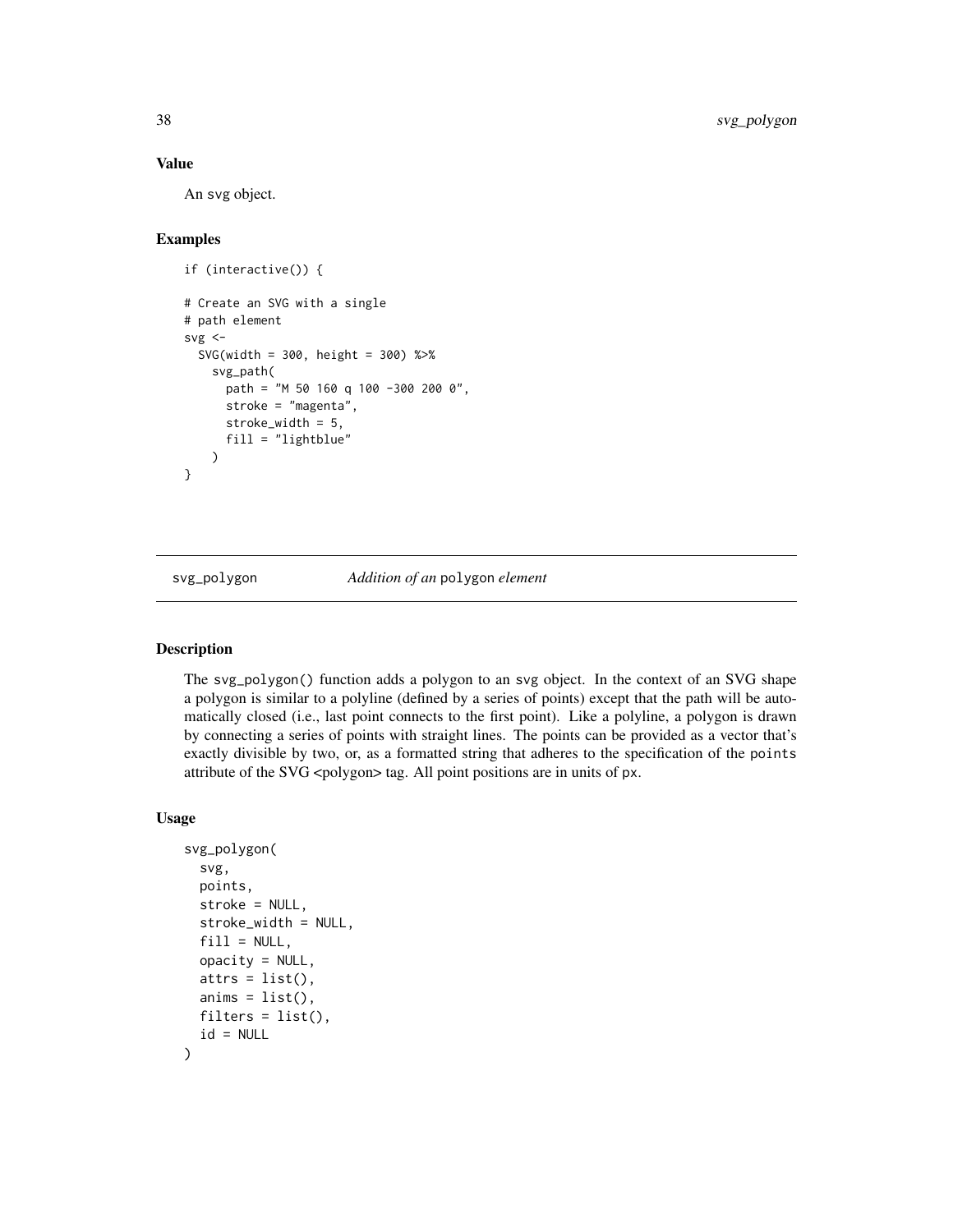#### <span id="page-37-0"></span>Value

An svg object.

# Examples

```
if (interactive()) {
# Create an SVG with a single
# path element
svg < -SVG(width = 300, height = 300) %>%
   svg_path(
      path = "M 50 160 q 100 -300 200 0",
      stroke = "magenta",
      stroke_width = 5,
      fill = "lightblue"
   \lambda}
```
svg\_polygon *Addition of an* polygon *element*

#### Description

The svg\_polygon() function adds a polygon to an svg object. In the context of an SVG shape a polygon is similar to a polyline (defined by a series of points) except that the path will be automatically closed (i.e., last point connects to the first point). Like a polyline, a polygon is drawn by connecting a series of points with straight lines. The points can be provided as a vector that's exactly divisible by two, or, as a formatted string that adheres to the specification of the points attribute of the SVG <polygon> tag. All point positions are in units of px.

#### Usage

```
svg_polygon(
  svg,
 points,
  stroke = NULL,
  stroke_width = NULL,
  fill = NULL,
  opacity = NULL,
  atts = list(),anims = list(),filters = list(),
  id = NULL
)
```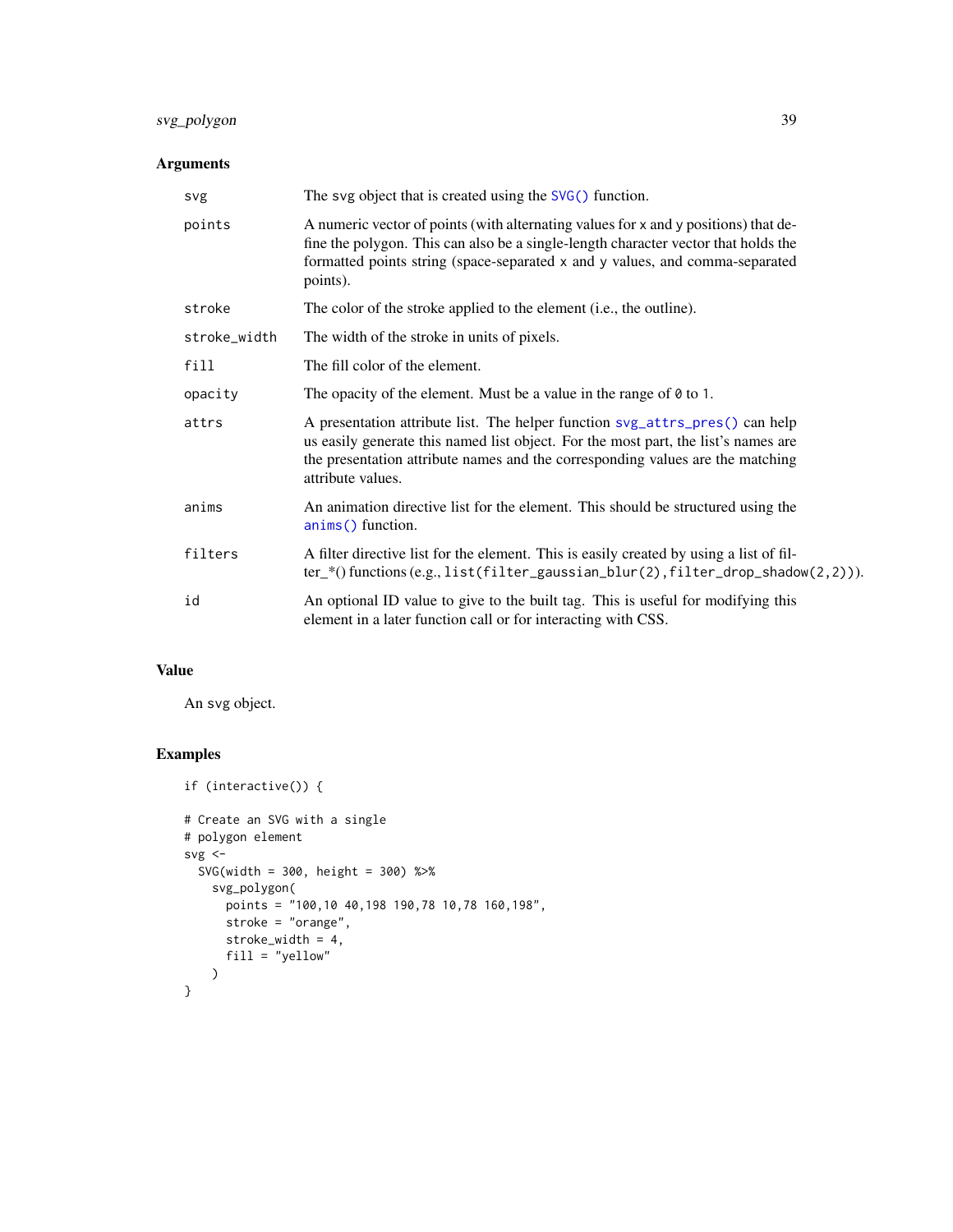# <span id="page-38-0"></span>svg\_polygon 39

# Arguments

| svg          | The svg object that is created using the $SVG()$ function.                                                                                                                                                                                                                |
|--------------|---------------------------------------------------------------------------------------------------------------------------------------------------------------------------------------------------------------------------------------------------------------------------|
| points       | A numeric vector of points (with alternating values for x and y positions) that de-<br>fine the polygon. This can also be a single-length character vector that holds the<br>formatted points string (space-separated x and y values, and comma-separated<br>points).     |
| stroke       | The color of the stroke applied to the element (i.e., the outline).                                                                                                                                                                                                       |
| stroke_width | The width of the stroke in units of pixels.                                                                                                                                                                                                                               |
| fill         | The fill color of the element.                                                                                                                                                                                                                                            |
| opacity      | The opacity of the element. Must be a value in the range of $\theta$ to 1.                                                                                                                                                                                                |
| attrs        | A presentation attribute list. The helper function svg_attrs_pres() can help<br>us easily generate this named list object. For the most part, the list's names are<br>the presentation attribute names and the corresponding values are the matching<br>attribute values. |
| anims        | An animation directive list for the element. This should be structured using the<br>anims() function.                                                                                                                                                                     |
| filters      | A filter directive list for the element. This is easily created by using a list of fil-<br>$ter_{*}($ functions (e.g., list(filter_gaussian_blur(2), filter_drop_shadow(2,2))).                                                                                           |
| id           | An optional ID value to give to the built tag. This is useful for modifying this<br>element in a later function call or for interacting with CSS.                                                                                                                         |

#### Value

An svg object.

```
if (interactive()) {
# Create an SVG with a single
# polygon element
svg \leftarrowSVG(width = 300, height = 300) %>%
   svg_polygon(
      points = "100,10 40,198 190,78 10,78 160,198",
      stroke = "orange",
     stroke_width = 4,
      fill = "yellow"
   )
}
```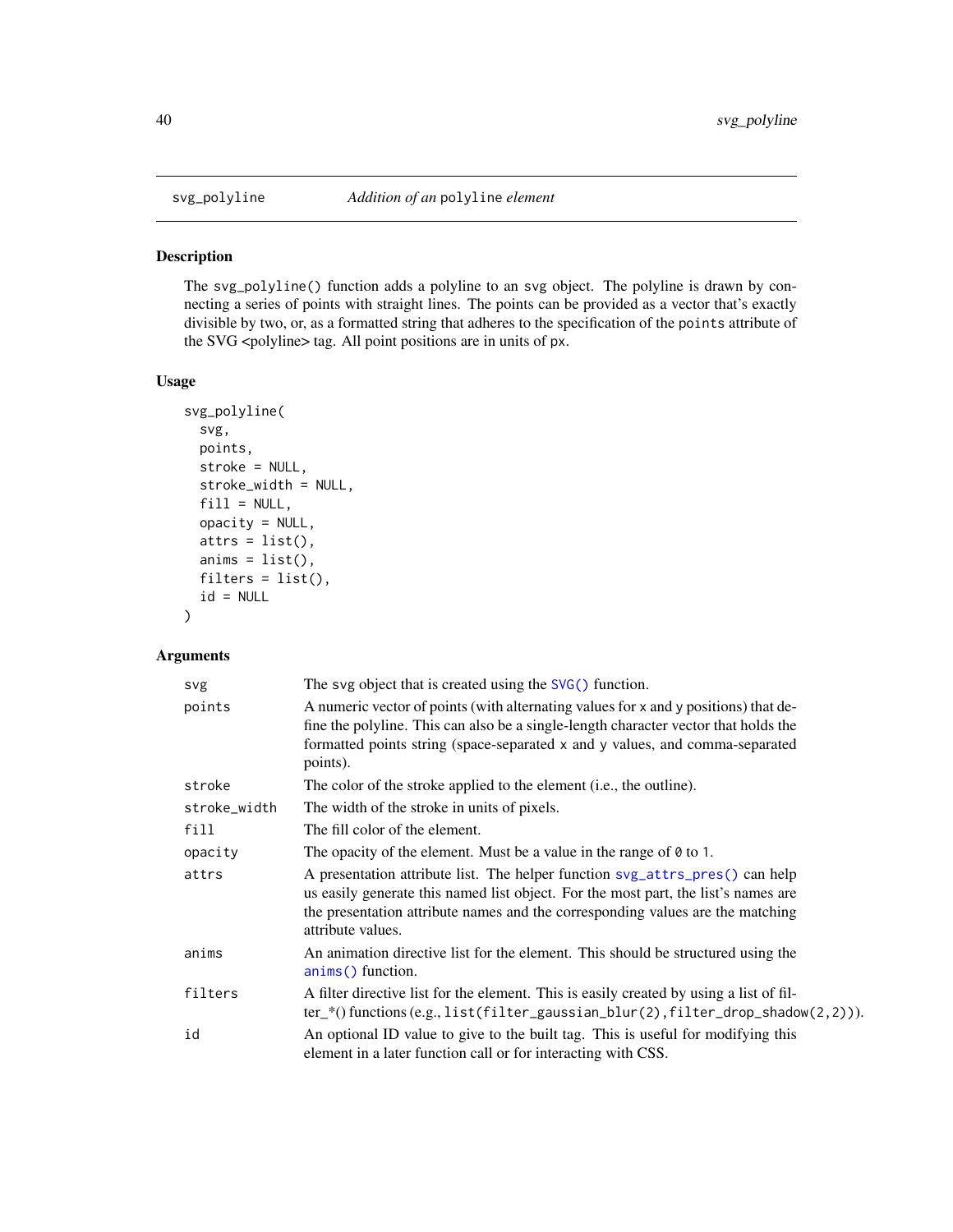<span id="page-39-0"></span>

# Description

The svg\_polyline() function adds a polyline to an svg object. The polyline is drawn by connecting a series of points with straight lines. The points can be provided as a vector that's exactly divisible by two, or, as a formatted string that adheres to the specification of the points attribute of the SVG <polyline> tag. All point positions are in units of px.

#### Usage

```
svg_polyline(
  svg,
 points,
  stroke = NULL,
  stroke_width = NULL,
  fill = NULL,opacity = NULL,
  attrs = list(),
  anims = list(),
  filters = list(),
  id = NULL)
```

| svg          | The svg object that is created using the $SVG()$ function.                                                                                                                                                                                                                |
|--------------|---------------------------------------------------------------------------------------------------------------------------------------------------------------------------------------------------------------------------------------------------------------------------|
| points       | A numeric vector of points (with alternating values for x and y positions) that de-<br>fine the polyline. This can also be a single-length character vector that holds the<br>formatted points string (space-separated x and y values, and comma-separated<br>points).    |
| stroke       | The color of the stroke applied to the element (i.e., the outline).                                                                                                                                                                                                       |
| stroke_width | The width of the stroke in units of pixels.                                                                                                                                                                                                                               |
| fill         | The fill color of the element.                                                                                                                                                                                                                                            |
| opacity      | The opacity of the element. Must be a value in the range of $\theta$ to 1.                                                                                                                                                                                                |
| attrs        | A presentation attribute list. The helper function syg_attrs_pres() can help<br>us easily generate this named list object. For the most part, the list's names are<br>the presentation attribute names and the corresponding values are the matching<br>attribute values. |
| anims        | An animation directive list for the element. This should be structured using the<br>anims() function.                                                                                                                                                                     |
| filters      | A filter directive list for the element. This is easily created by using a list of fil-<br>$ter$ (functions (e.g., list(filter_gaussian_blur(2), filter_drop_shadow(2,2))).                                                                                               |
| id           | An optional ID value to give to the built tag. This is useful for modifying this<br>element in a later function call or for interacting with CSS.                                                                                                                         |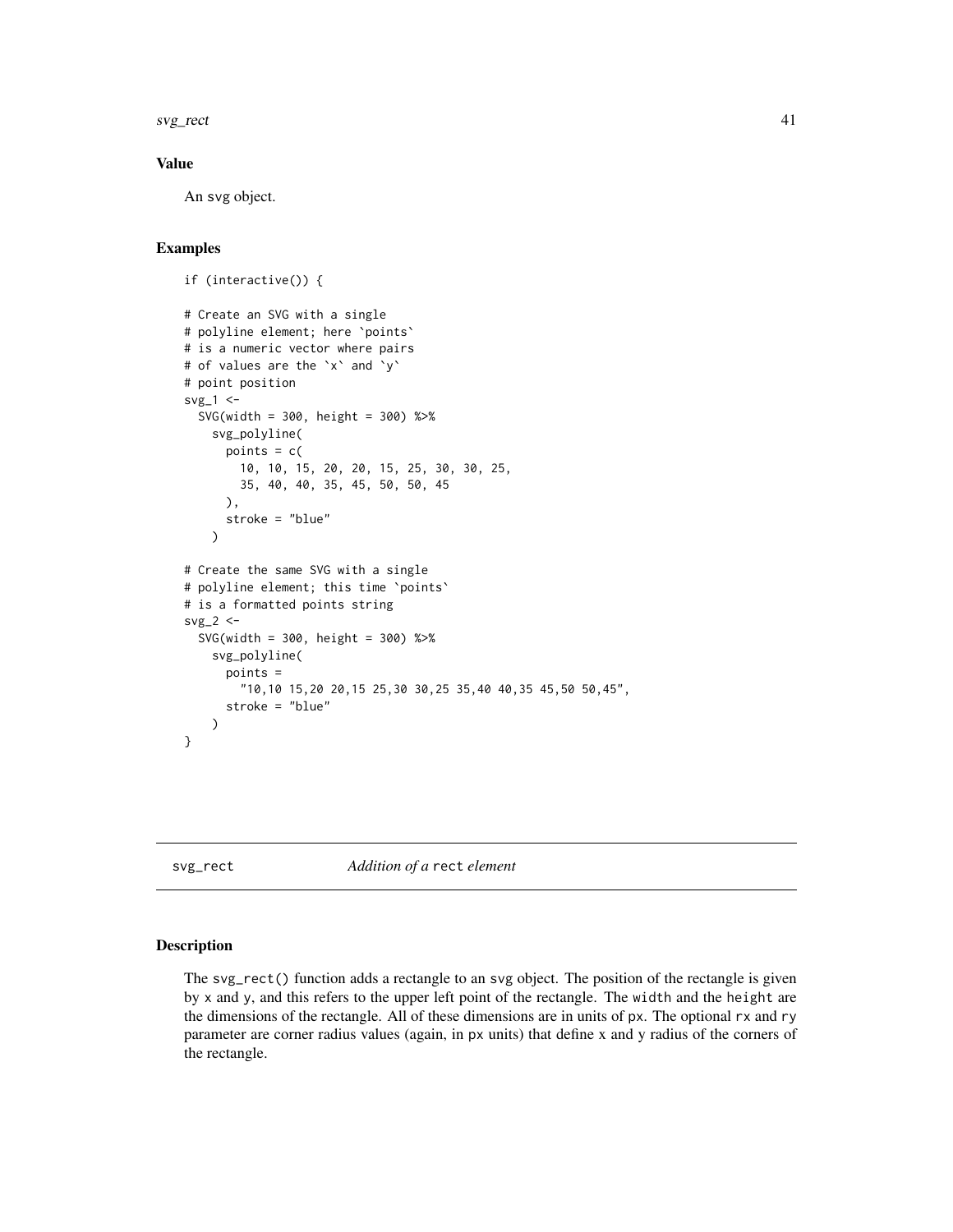<span id="page-40-0"></span>svg\_rect 41

### Value

An svg object.

# Examples

```
if (interactive()) {
# Create an SVG with a single
# polyline element; here `points`
# is a numeric vector where pairs
# of values are the `x` and `y`
# point position
svg_1 < -SVG(width = 300, height = 300) %>%
   svg_polyline(
      points = c(10, 10, 15, 20, 20, 15, 25, 30, 30, 25,
       35, 40, 40, 35, 45, 50, 50, 45
      ),
     stroke = "blue"
   \mathcal{L}# Create the same SVG with a single
# polyline element; this time `points`
# is a formatted points string
svg_2 < -SVG(width = 300, height = 300) %>%
   svg_polyline(
     points =
       "10,10 15,20 20,15 25,30 30,25 35,40 40,35 45,50 50,45",
      stroke = "blue"
   )
}
```
<span id="page-40-1"></span>svg\_rect *Addition of a* rect *element*

#### Description

The svg\_rect() function adds a rectangle to an svg object. The position of the rectangle is given by x and y, and this refers to the upper left point of the rectangle. The width and the height are the dimensions of the rectangle. All of these dimensions are in units of px. The optional rx and ry parameter are corner radius values (again, in px units) that define x and y radius of the corners of the rectangle.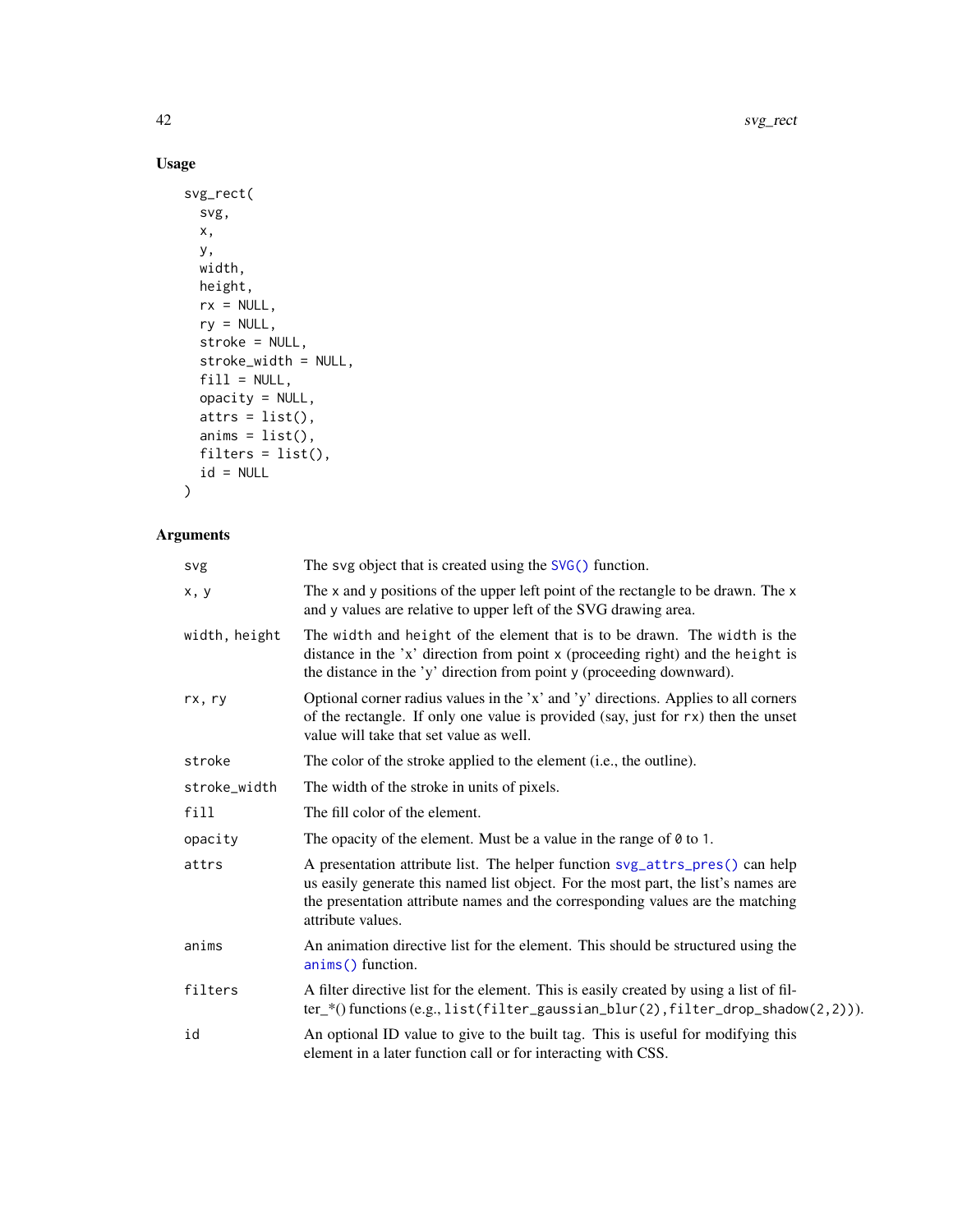42 svg\_rect

# Usage

```
svg_rect(
  svg,
 x,
 y,
 width,
 height,
 rx = NULL,ry = NULL,stroke = NULL,
 stroke_width = NULL,
 fill = NULL,opacity = NULL,atts = list(),anims = list(),filters = list(),
 id = NULL\mathcal{L}
```

| svg           | The svg object that is created using the $SVG()$ function.                                                                                                                                                                                                                |
|---------------|---------------------------------------------------------------------------------------------------------------------------------------------------------------------------------------------------------------------------------------------------------------------------|
| x, y          | The x and y positions of the upper left point of the rectangle to be drawn. The x<br>and y values are relative to upper left of the SVG drawing area.                                                                                                                     |
| width, height | The width and height of the element that is to be drawn. The width is the<br>distance in the 'x' direction from point x (proceeding right) and the height is<br>the distance in the 'y' direction from point y (proceeding downward).                                     |
| rx, ry        | Optional corner radius values in the 'x' and 'y' directions. Applies to all corners<br>of the rectangle. If only one value is provided (say, just for $rx$ ) then the unset<br>value will take that set value as well.                                                    |
| stroke        | The color of the stroke applied to the element (i.e., the outline).                                                                                                                                                                                                       |
| stroke_width  | The width of the stroke in units of pixels.                                                                                                                                                                                                                               |
| fill          | The fill color of the element.                                                                                                                                                                                                                                            |
| opacity       | The opacity of the element. Must be a value in the range of $\theta$ to 1.                                                                                                                                                                                                |
| attrs         | A presentation attribute list. The helper function svg_attrs_pres() can help<br>us easily generate this named list object. For the most part, the list's names are<br>the presentation attribute names and the corresponding values are the matching<br>attribute values. |
| anims         | An animation directive list for the element. This should be structured using the<br>anims() function.                                                                                                                                                                     |
| filters       | A filter directive list for the element. This is easily created by using a list of fil-<br>$ter_{*}($ functions (e.g., list(filter_gaussian_blur(2), filter_drop_shadow(2,2))).                                                                                           |
| id            | An optional ID value to give to the built tag. This is useful for modifying this<br>element in a later function call or for interacting with CSS.                                                                                                                         |

<span id="page-41-0"></span>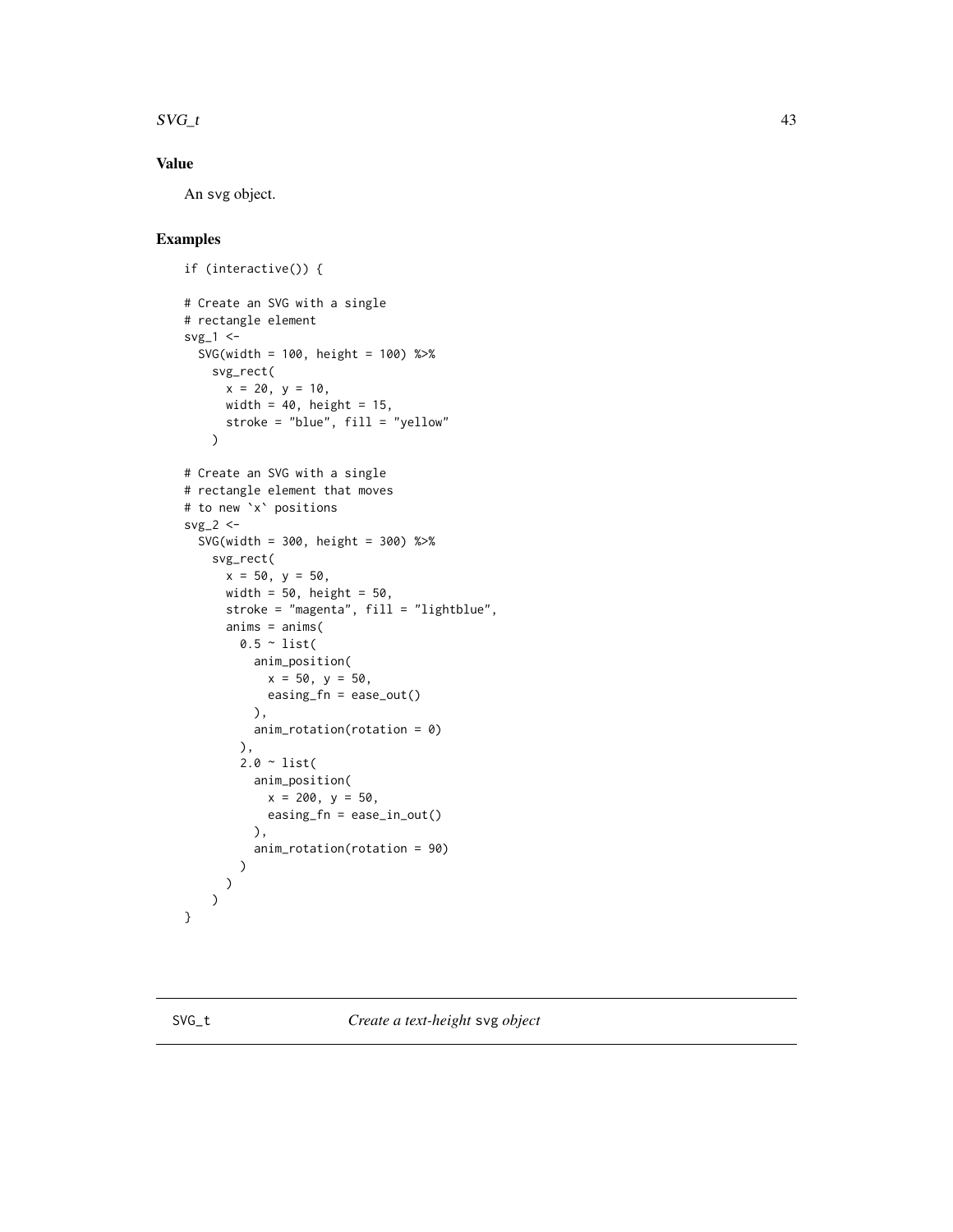#### <span id="page-42-0"></span> $SVG_{\perp}$  and  $43$

# Value

An svg object.

```
if (interactive()) {
# Create an SVG with a single
# rectangle element
svg_1 < -SVG(width = 100, height = 100) %>%
    svg_rect(
      x = 20, y = 10,width = 40, height = 15,
     stroke = "blue", fill = "yellow"
    \lambda# Create an SVG with a single
# rectangle element that moves
# to new `x` positions
svg_2 \leftarrowSVG(width = 300, height = 300) %>%
    svg_rect(
     x = 50, y = 50,width = 50, height = 50,
      stroke = "magenta", fill = "lightblue",
      anims = anims(0.5 \sim list(
          anim_position(
            x = 50, y = 50,easing_fn = ease_out()
          ),
          anim_rotation(rotation = 0)
        ),
        2.0 \sim list(
          anim_position(
            x = 200, y = 50,easing_fn = ease_in_out()
          ),
          anim_rotation(rotation = 90)
        )
     \lambda)
}
```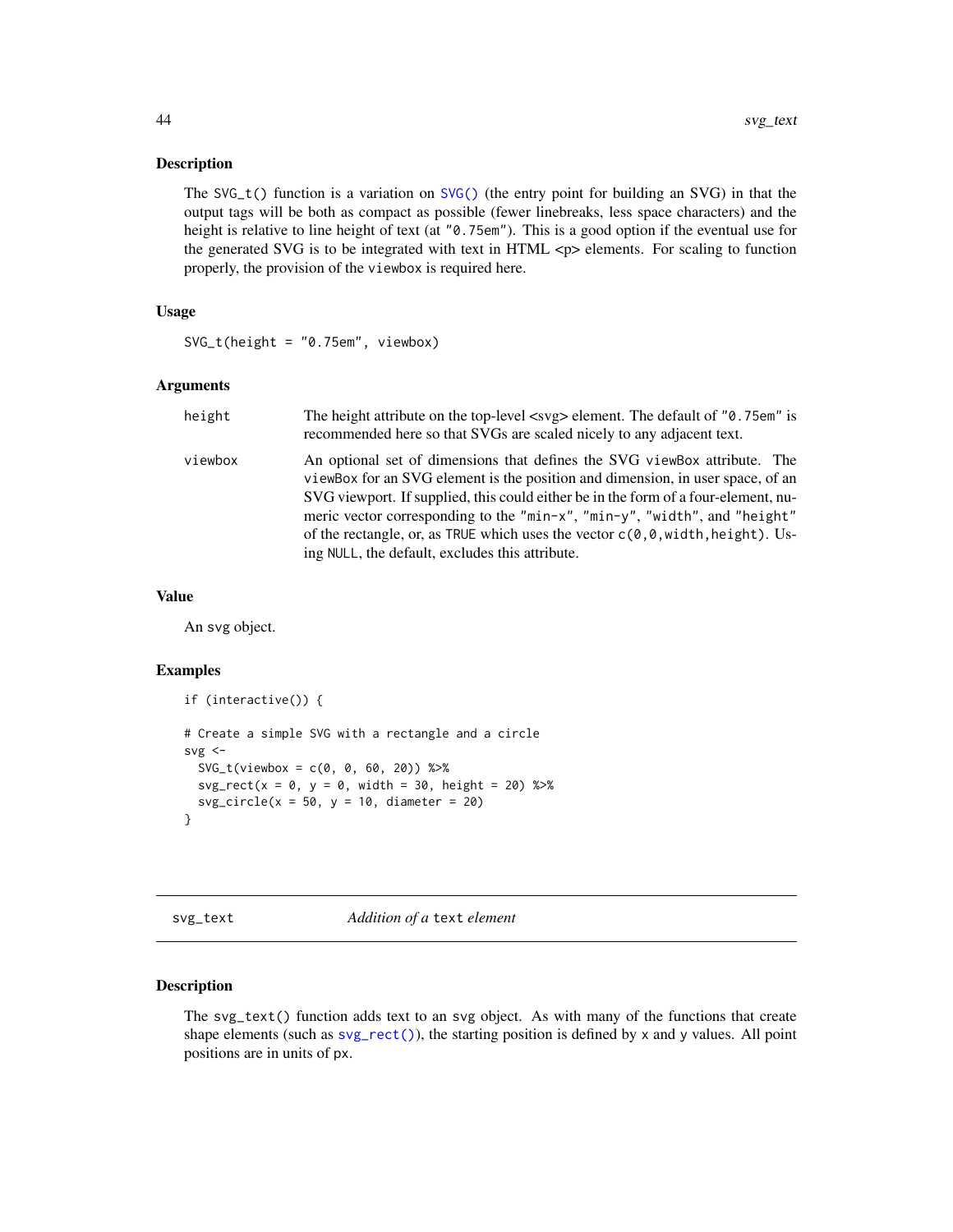#### <span id="page-43-0"></span>Description

The  $SVG_t()$  function is a variation on  $SVG()$  (the entry point for building an  $SVG$ ) in that the output tags will be both as compact as possible (fewer linebreaks, less space characters) and the height is relative to line height of text (at "0.75em"). This is a good option if the eventual use for the generated SVG is to be integrated with text in HTML  $\langle p \rangle$  elements. For scaling to function properly, the provision of the viewbox is required here.

#### Usage

```
SVG_t(height = "0.75em", viewbox)
```
#### Arguments

| height  | The height attribute on the top-level <svg> element. The default of "0.75em" is<br/>recommended here so that SVGs are scaled nicely to any adjacent text.</svg>                                                                                                                                                                                                                                                                                                        |
|---------|------------------------------------------------------------------------------------------------------------------------------------------------------------------------------------------------------------------------------------------------------------------------------------------------------------------------------------------------------------------------------------------------------------------------------------------------------------------------|
| viewbox | An optional set of dimensions that defines the SVG viewBox attribute. The<br>viewBox for an SVG element is the position and dimension, in user space, of an<br>SVG viewport. If supplied, this could either be in the form of a four-element, nu-<br>meric vector corresponding to the "min-x", "min-y", "width", and "height"<br>of the rectangle, or, as TRUE which uses the vector $c(0,0,w$ width, height). Us-<br>ing NULL, the default, excludes this attribute. |

#### Value

An svg object.

#### Examples

```
if (interactive()) {
# Create a simple SVG with a rectangle and a circle
svg < -SVG_t(viewbox = c(0, 0, 60, 20)) %>%
 svg\_rect(x = 0, y = 0, width = 30, height = 20) %>%
 svg\_circle(x = 50, y = 10, diameter = 20)}
```
<span id="page-43-1"></span>svg\_text *Addition of a* text *element*

#### Description

The svg\_text() function adds text to an svg object. As with many of the functions that create shape elements (such as [svg\\_rect\(\)](#page-40-1)), the starting position is defined by x and y values. All point positions are in units of px.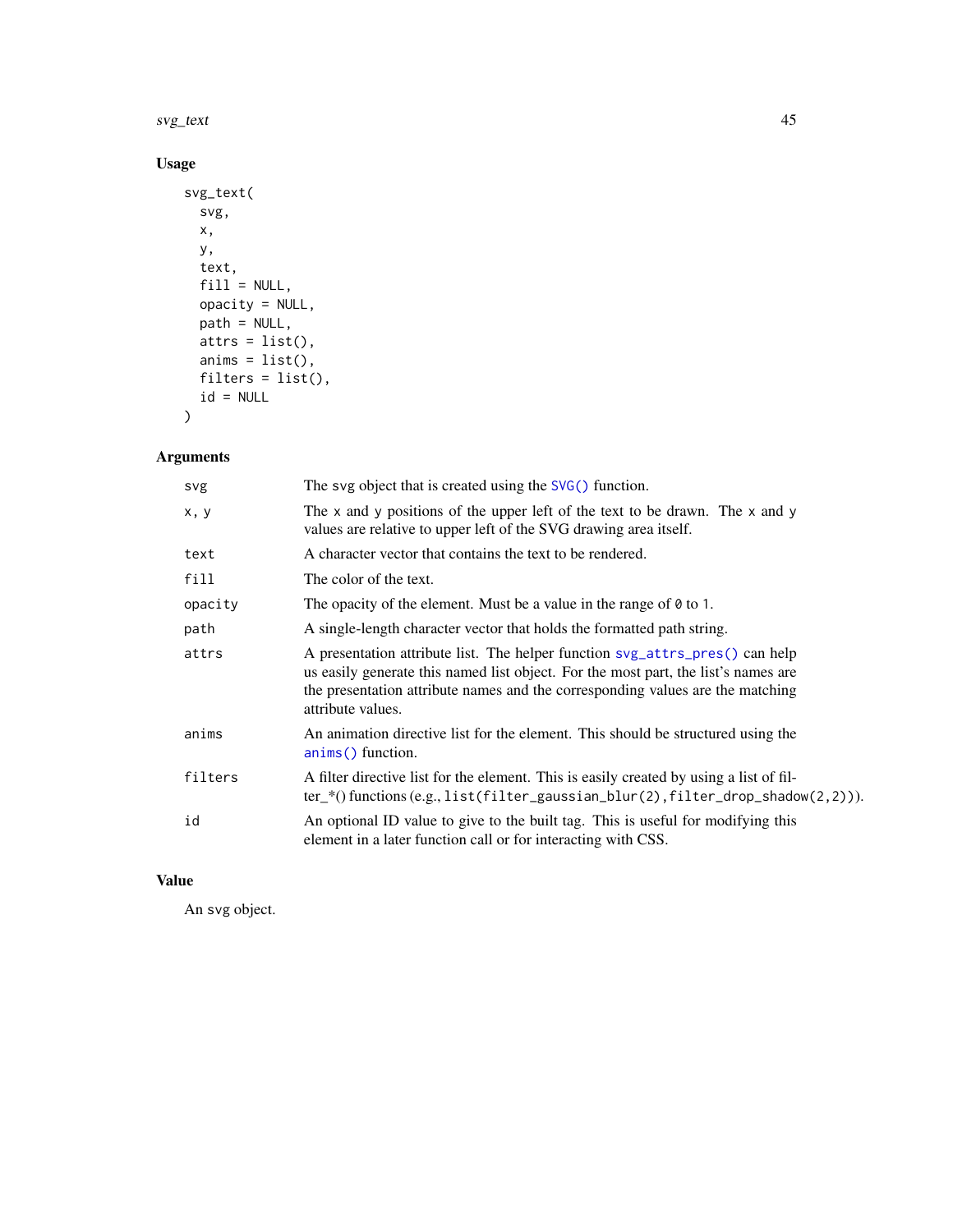<span id="page-44-0"></span>svg\_text 45

# Usage

```
svg_text(
  svg,
  x,
  y,
  text,
  fill = NULL,opacity = NULL,
  path = NULL,
  atts = list(),anims = list(),filters = list(),
  id = NULL\mathcal{L}
```
# Arguments

| svg     | The svg object that is created using the $SVG()$ function.                                                                                                                                                                                                                |
|---------|---------------------------------------------------------------------------------------------------------------------------------------------------------------------------------------------------------------------------------------------------------------------------|
| x, y    | The $x$ and $y$ positions of the upper left of the text to be drawn. The $x$ and $y$<br>values are relative to upper left of the SVG drawing area itself.                                                                                                                 |
| text    | A character vector that contains the text to be rendered.                                                                                                                                                                                                                 |
| fill    | The color of the text.                                                                                                                                                                                                                                                    |
| opacity | The opacity of the element. Must be a value in the range of $\theta$ to 1.                                                                                                                                                                                                |
| path    | A single-length character vector that holds the formatted path string.                                                                                                                                                                                                    |
| attrs   | A presentation attribute list. The helper function syg_attrs_pres() can help<br>us easily generate this named list object. For the most part, the list's names are<br>the presentation attribute names and the corresponding values are the matching<br>attribute values. |
| anims   | An animation directive list for the element. This should be structured using the<br>anims() function.                                                                                                                                                                     |
| filters | A filter directive list for the element. This is easily created by using a list of fil-<br>$ter_{*}($ functions (e.g., list(filter_gaussian_blur(2), filter_drop_shadow(2,2))).                                                                                           |
| id      | An optional ID value to give to the built tag. This is useful for modifying this<br>element in a later function call or for interacting with CSS.                                                                                                                         |

# Value

An svg object.